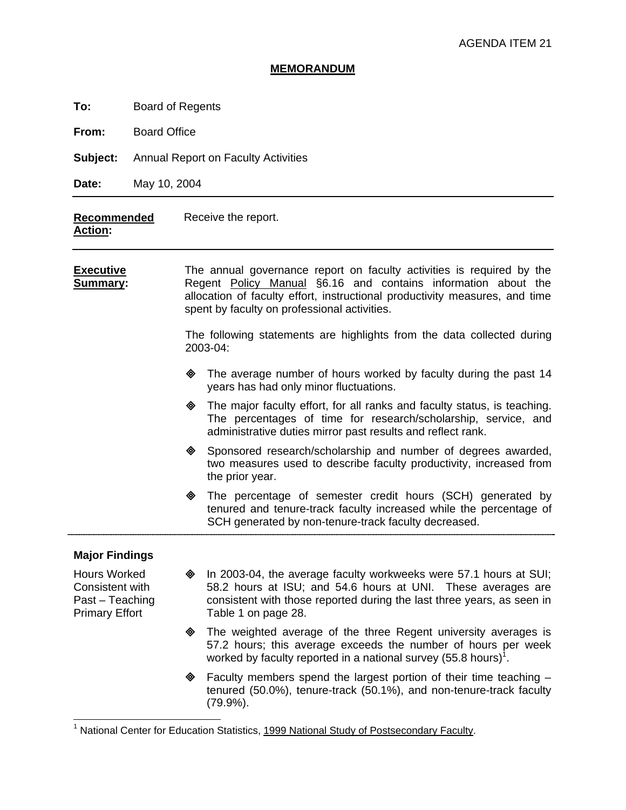#### **MEMORANDUM**

**To:** Board of Regents

**From:** Board Office

**Subject:** Annual Report on Faculty Activities

**Date:** May 10, 2004

#### **Recommended Action:**  Receive the report.

**Executive Summary:** The annual governance report on faculty activities is required by the Regent Policy Manual §6.16 and contains information about the allocation of faculty effort, instructional productivity measures, and time spent by faculty on professional activities.

> The following statements are highlights from the data collected during 2003-04:

- $\diamond$  The average number of hours worked by faculty during the past 14 years has had only minor fluctuations.
- $\diamond$  The major faculty effort, for all ranks and faculty status, is teaching. The percentages of time for research/scholarship, service, and administrative duties mirror past results and reflect rank.
- ! Sponsored research/scholarship and number of degrees awarded, two measures used to describe faculty productivity, increased from the prior year.
- The percentage of semester credit hours (SCH) generated by tenured and tenure-track faculty increased while the percentage of SCH generated by non-tenure-track faculty decreased.

### **Major Findings**

Hours Worked Consistent with Past – Teaching Primary Effort

-

- $\oint$  In 2003-04, the average faculty workweeks were 57.1 hours at SUI; 58.2 hours at ISU; and 54.6 hours at UNI. These averages are consistent with those reported during the last three years, as seen in Table 1 on page 28.
- $\diamond$  The weighted average of the three Regent university averages is 57.2 hours; this average exceeds the number of hours per week worked by faculty reported in a national survey (55.8 hours)<sup>1</sup>.
- ! Faculty members spend the largest portion of their time teaching tenured (50.0%), tenure-track (50.1%), and non-tenure-track faculty (79.9%).

<sup>1</sup> National Center for Education Statistics, 1999 National Study of Postsecondary Faculty.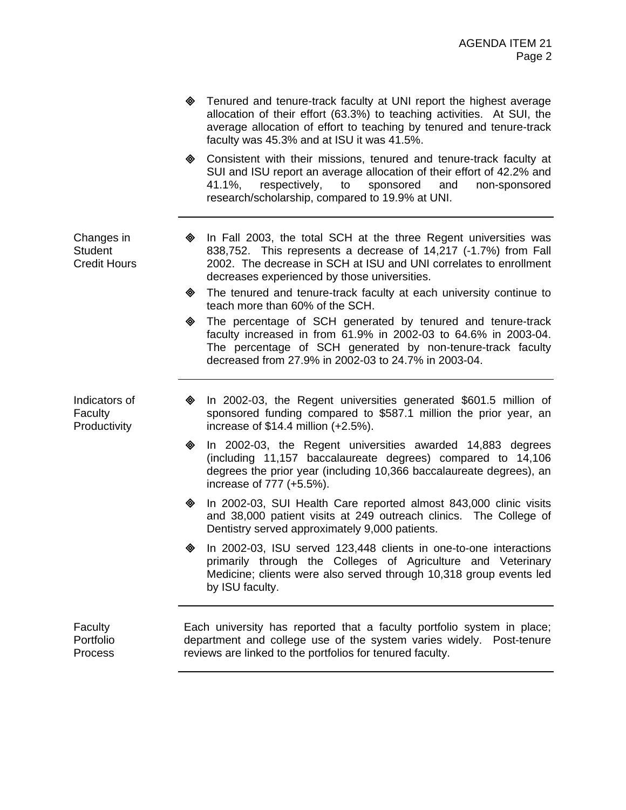- **Example 2** Tenured and tenure-track faculty at UNI report the highest average allocation of their effort (63.3%) to teaching activities. At SUI, the average allocation of effort to teaching by tenured and tenure-track faculty was 45.3% and at ISU it was 41.5%.
- Consistent with their missions, tenured and tenure-track faculty at SUI and ISU report an average allocation of their effort of 42.2% and 41.1%, respectively, to sponsored and non-sponsored research/scholarship, compared to 19.9% at UNI.

Changes in **Student** Credit Hours

- $\lozenge$  In Fall 2003, the total SCH at the three Regent universities was 838,752. This represents a decrease of 14,217 (-1.7%) from Fall 2002. The decrease in SCH at ISU and UNI correlates to enrollment decreases experienced by those universities.
- $\triangle$  The tenured and tenure-track faculty at each university continue to teach more than 60% of the SCH.
- The percentage of SCH generated by tenured and tenure-track faculty increased in from 61.9% in 2002-03 to 64.6% in 2003-04. The percentage of SCH generated by non-tenure-track faculty decreased from 27.9% in 2002-03 to 24.7% in 2003-04.

Indicators of **Faculty Productivity** 

- $\textcircled{4}$  In 2002-03, the Regent universities generated \$601.5 million of sponsored funding compared to \$587.1 million the prior year, an increase of \$14.4 million (+2.5%).
- In 2002-03, the Regent universities awarded 14,883 degrees (including 11,157 baccalaureate degrees) compared to 14,106 degrees the prior year (including 10,366 baccalaureate degrees), an increase of 777 (+5.5%).
- ! In 2002-03, SUI Health Care reported almost 843,000 clinic visits and 38,000 patient visits at 249 outreach clinics. The College of Dentistry served approximately 9,000 patients.
- In 2002-03, ISU served 123,448 clients in one-to-one interactions primarily through the Colleges of Agriculture and Veterinary Medicine; clients were also served through 10,318 group events led by ISU faculty.

Faculty Portfolio **Process** Each university has reported that a faculty portfolio system in place; department and college use of the system varies widely. Post-tenure reviews are linked to the portfolios for tenured faculty.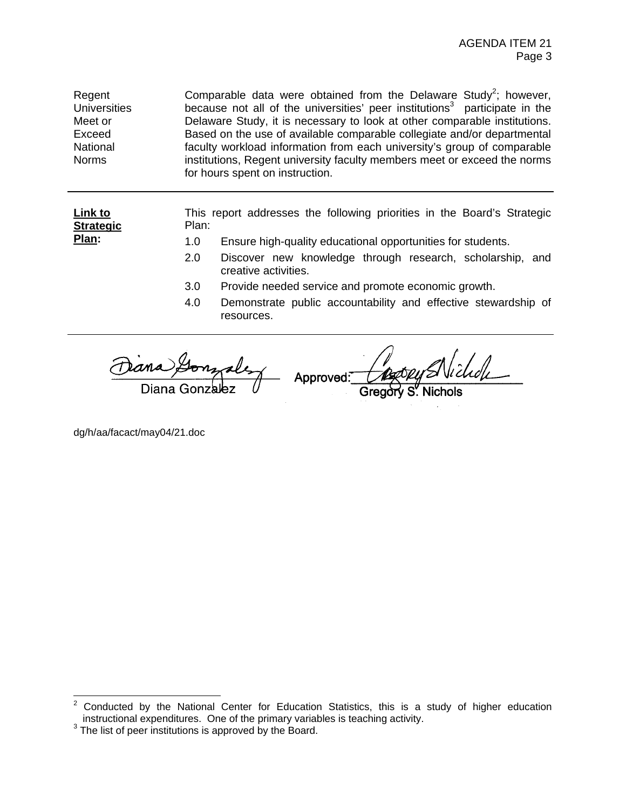Regent **Universities** Meet or Exceed National Norms Comparable data were obtained from the Delaware Study<sup>2</sup>; however, because not all of the universities' peer institutions<sup>3</sup> participate in the Delaware Study, it is necessary to look at other comparable institutions. Based on the use of available comparable collegiate and/or departmental faculty workload information from each university's group of comparable institutions, Regent university faculty members meet or exceed the norms for hours spent on instruction.

> This report addresses the following priorities in the Board's Strategic Plan:

- 1.0 Ensure high-quality educational opportunities for students.
- 2.0 Discover new knowledge through research, scholarship, and creative activities.
- 3.0 Provide needed service and promote economic growth.
- 4.0 Demonstrate public accountability and effective stewardship of resources.

Approved:

dg/h/aa/facact/may04/21.doc

**Link to Strategic Plan:**

 $\frac{1}{2}$  Conducted by the National Center for Education Statistics, this is a study of higher education instructional expenditures. One of the primary variables is teaching activity.

<sup>&</sup>lt;sup>3</sup> The list of peer institutions is approved by the Board.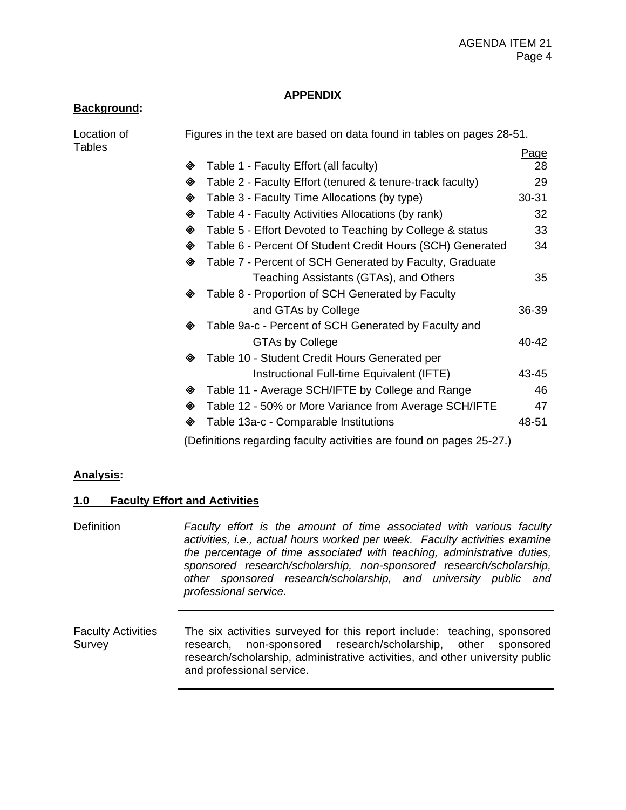### **APPENDIX**

### **Background:**

| Location of |   | Figures in the text are based on data found in tables on pages 28-51. |       |
|-------------|---|-----------------------------------------------------------------------|-------|
| Tables      |   |                                                                       | Page  |
|             | ◈ | Table 1 - Faculty Effort (all faculty)                                | 28    |
|             | ◈ | Table 2 - Faculty Effort (tenured & tenure-track faculty)             | 29    |
|             | ◈ | Table 3 - Faculty Time Allocations (by type)                          | 30-31 |
|             | ◈ | Table 4 - Faculty Activities Allocations (by rank)                    | 32    |
|             | ◈ | Table 5 - Effort Devoted to Teaching by College & status              | 33    |
|             | ◈ | Table 6 - Percent Of Student Credit Hours (SCH) Generated             | 34    |
|             | ◈ | Table 7 - Percent of SCH Generated by Faculty, Graduate               |       |
|             |   | Teaching Assistants (GTAs), and Others                                | 35    |
|             | ◈ | Table 8 - Proportion of SCH Generated by Faculty                      |       |
|             |   | and GTAs by College                                                   | 36-39 |
|             | ◈ | Table 9a-c - Percent of SCH Generated by Faculty and                  |       |
|             |   | <b>GTAs by College</b>                                                | 40-42 |
|             | ◈ | Table 10 - Student Credit Hours Generated per                         |       |
|             |   | Instructional Full-time Equivalent (IFTE)                             | 43-45 |
|             | ◈ | Table 11 - Average SCH/IFTE by College and Range                      | 46    |
|             | ◈ | Table 12 - 50% or More Variance from Average SCH/IFTE                 | 47    |
|             | ◈ | Table 13a-c - Comparable Institutions                                 | 48-51 |
|             |   | (Definitions regarding faculty activities are found on pages 25-27.)  |       |

### **Analysis:**

### **1.0 Faculty Effort and Activities**

Definition *Faculty effort is the amount of time associated with various faculty activities, i.e., actual hours worked per week. Faculty activities examine the percentage of time associated with teaching, administrative duties, sponsored research/scholarship, non-sponsored research/scholarship, other sponsored research/scholarship, and university public and professional service.*

Faculty Activities Survey The six activities surveyed for this report include: teaching, sponsored research, non-sponsored research/scholarship, other sponsored research/scholarship, administrative activities, and other university public and professional service.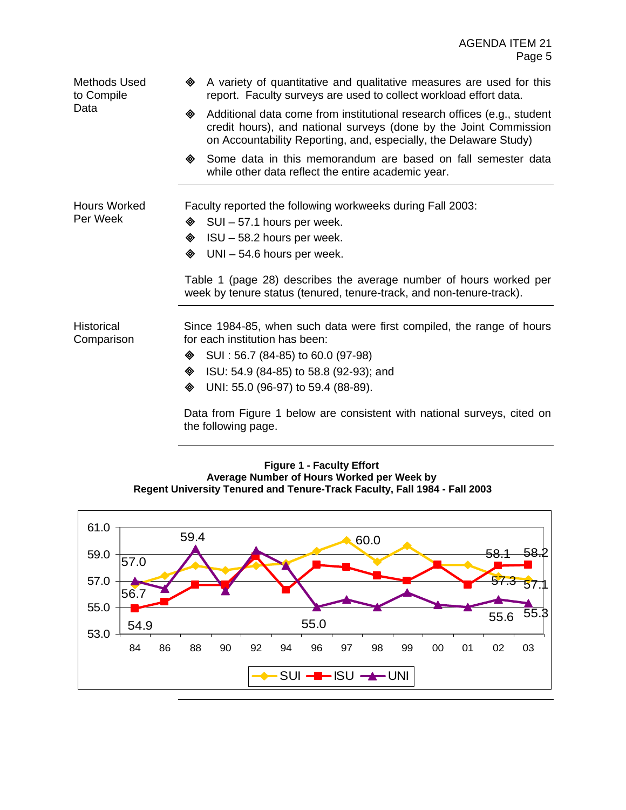Methods Used to Compile Data

- A variety of quantitative and qualitative measures are used for this report. Faculty surveys are used to collect workload effort data.
- ◆ Additional data come from institutional research offices (e.g., student credit hours), and national surveys (done by the Joint Commission on Accountability Reporting, and, especially, the Delaware Study)
- Some data in this memorandum are based on fall semester data while other data reflect the entire academic year.

Hours Worked Per Week

- Faculty reported the following workweeks during Fall 2003:
- $\textcircled{ }$  SUI 57.1 hours per week.
- $\textcircled{ }$  ISU 58.2 hours per week.
- $\textcircled{4}$  UNI 54.6 hours per week.

Table 1 (page 28) describes the average number of hours worked per week by tenure status (tenured, tenure-track, and non-tenure-track).

Historical **Comparison**  Since 1984-85, when such data were first compiled, the range of hours for each institution has been:

- $\textcircled{ }$  SUI : 56.7 (84-85) to 60.0 (97-98)
- ! ISU: 54.9 (84-85) to 58.8 (92-93); and
- UNI: 55.0 (96-97) to 59.4 (88-89).

Data from Figure 1 below are consistent with national surveys, cited on the following page.

#### **Figure 1 - Faculty Effort Average Number of Hours Worked per Week by Regent University Tenured and Tenure-Track Faculty, Fall 1984 - Fall 2003**

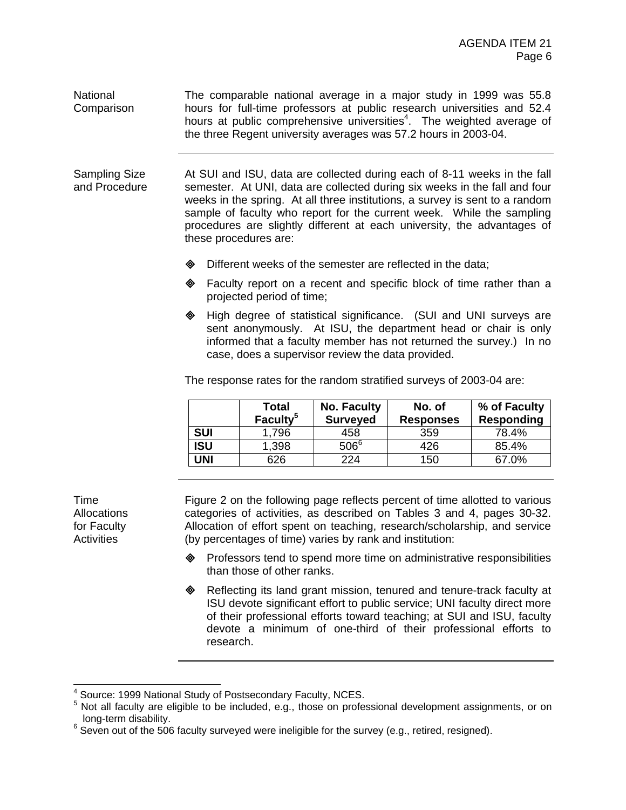National **Comparison** The comparable national average in a major study in 1999 was 55.8 hours for full-time professors at public research universities and 52.4 hours at public comprehensive universities<sup>4</sup>. The weighted average of the three Regent university averages was 57.2 hours in 2003-04.

Sampling Size and Procedure At SUI and ISU, data are collected during each of 8-11 weeks in the fall semester. At UNI, data are collected during six weeks in the fall and four weeks in the spring. At all three institutions, a survey is sent to a random sample of faculty who report for the current week. While the sampling procedures are slightly different at each university, the advantages of these procedures are:

- **EXECUTE:** Different weeks of the semester are reflected in the data;
- $\otimes$  Faculty report on a recent and specific block of time rather than a projected period of time;
- $\triangle$  High degree of statistical significance. (SUI and UNI surveys are sent anonymously. At ISU, the department head or chair is only informed that a faculty member has not returned the survey.) In no case, does a supervisor review the data provided.

The response rates for the random stratified surveys of 2003-04 are:

| <b>Total</b><br>Faculty <sup>5</sup> | <b>No. Faculty</b><br><b>Surveyed</b> | No. of<br><b>Responses</b> | % of Faculty<br><b>Responding</b> |
|--------------------------------------|---------------------------------------|----------------------------|-----------------------------------|
| 1,796                                | 458                                   | 359                        | 78.4%                             |
| 1,398                                | $506^6$                               | 426                        | 85.4%                             |
| 626                                  | 224                                   | 150                        | 67.0%                             |
|                                      |                                       |                            |                                   |

Time **Allocations** for Faculty **Activities** 

Figure 2 on the following page reflects percent of time allotted to various categories of activities, as described on Tables 3 and 4, pages 30-32. Allocation of effort spent on teaching, research/scholarship, and service (by percentages of time) varies by rank and institution:

- ! Professors tend to spend more time on administrative responsibilities than those of other ranks.
- Reflecting its land grant mission, tenured and tenure-track faculty at ISU devote significant effort to public service; UNI faculty direct more of their professional efforts toward teaching; at SUI and ISU, faculty devote a minimum of one-third of their professional efforts to research.

 4 Source: 1999 National Study of Postsecondary Faculty, NCES.

<sup>&</sup>lt;sup>5</sup> Not all faculty are eligible to be included, e.g., those on professional development assignments, or on

long-term disability.<br><sup>6</sup> Seven out of the 506 faculty surveyed were ineligible for the survey (e.g., retired, resigned).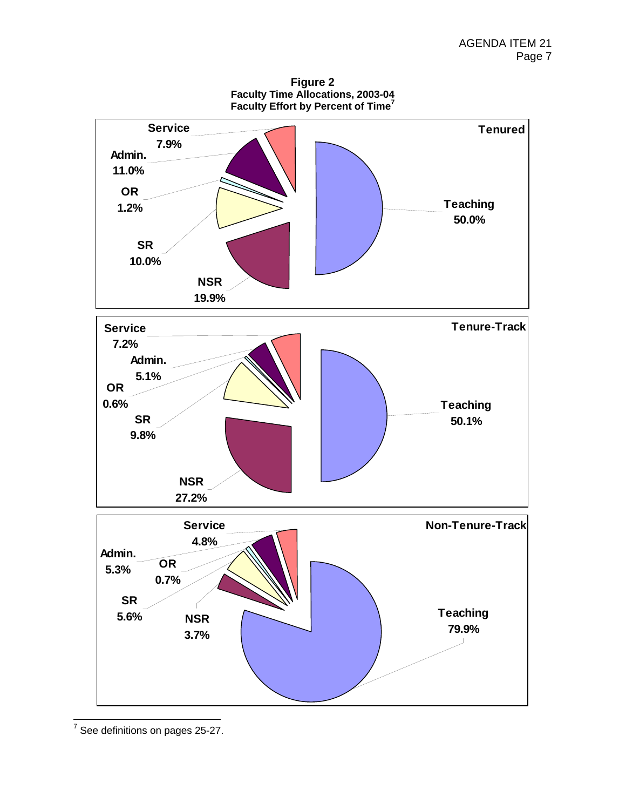**Figure 2 Faculty Time Allocations, 2003-04 Faculty Effort by Percent of Time<sup>7</sup>**



7 See definitions on pages 25-27.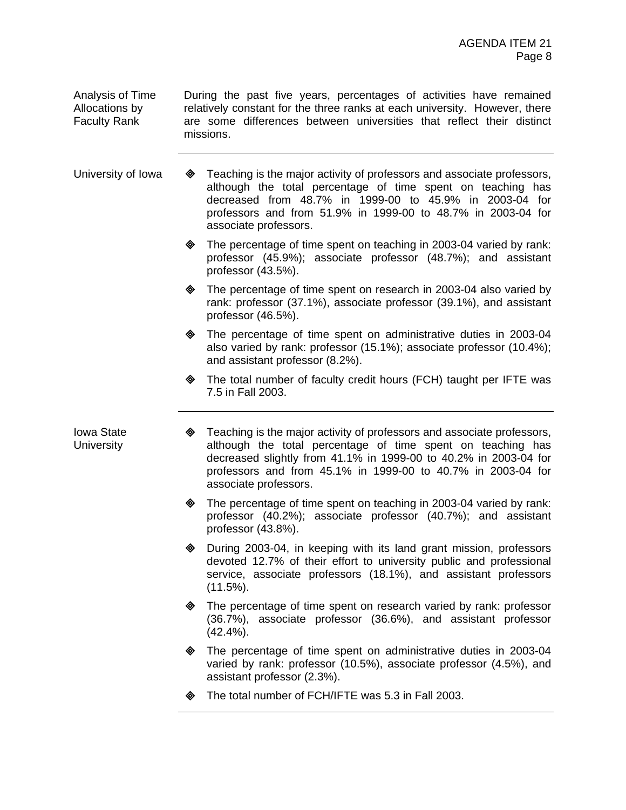Analysis of Time Allocations by Faculty Rank

During the past five years, percentages of activities have remained relatively constant for the three ranks at each university. However, there are some differences between universities that reflect their distinct missions.

University of Iowa  $\quad \, \otimes \quad$  Teaching is the major activity of professors and associate professors, although the total percentage of time spent on teaching has decreased from 48.7% in 1999-00 to 45.9% in 2003-04 for professors and from 51.9% in 1999-00 to 48.7% in 2003-04 for associate professors.

- $\textcircled{}$  The percentage of time spent on teaching in 2003-04 varied by rank: professor (45.9%); associate professor (48.7%); and assistant professor (43.5%).
- The percentage of time spent on research in 2003-04 also varied by rank: professor (37.1%), associate professor (39.1%), and assistant professor (46.5%).
- ! The percentage of time spent on administrative duties in 2003-04 also varied by rank: professor (15.1%); associate professor (10.4%); and assistant professor (8.2%).
- ! The total number of faculty credit hours (FCH) taught per IFTE was 7.5 in Fall 2003.

Iowa State **University** 

- $\otimes$  Teaching is the major activity of professors and associate professors, although the total percentage of time spent on teaching has decreased slightly from 41.1% in 1999-00 to 40.2% in 2003-04 for professors and from 45.1% in 1999-00 to 40.7% in 2003-04 for associate professors.
- $\diamond$  The percentage of time spent on teaching in 2003-04 varied by rank: professor (40.2%); associate professor (40.7%); and assistant professor (43.8%).
- During 2003-04, in keeping with its land grant mission, professors devoted 12.7% of their effort to university public and professional service, associate professors (18.1%), and assistant professors  $(11.5\%)$ .
- $\diamond$  The percentage of time spent on research varied by rank: professor (36.7%), associate professor (36.6%), and assistant professor  $(42.4\%)$ .
- The percentage of time spent on administrative duties in 2003-04 varied by rank: professor (10.5%), associate professor (4.5%), and assistant professor (2.3%).
- The total number of FCH/IFTE was 5.3 in Fall 2003.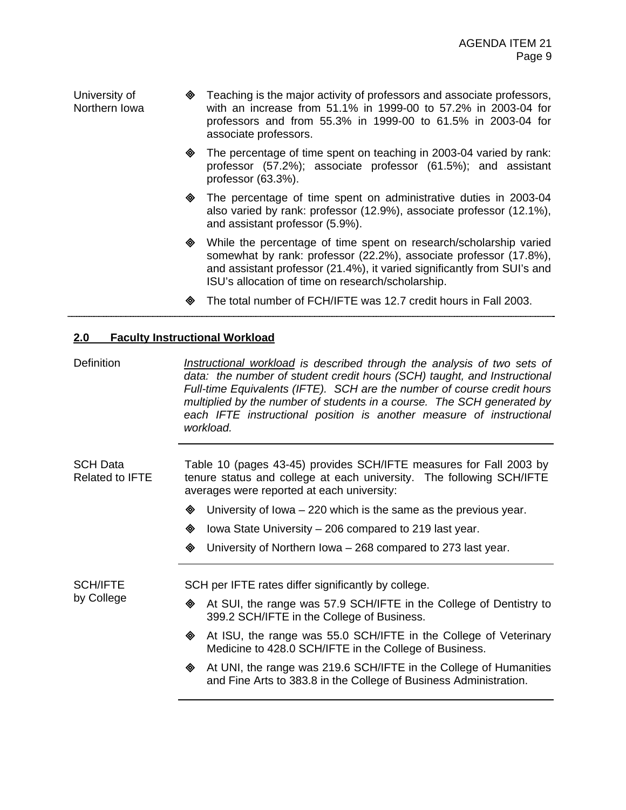University of Northern Iowa ! Teaching is the major activity of professors and associate professors, with an increase from 51.1% in 1999-00 to 57.2% in 2003-04 for professors and from 55.3% in 1999-00 to 61.5% in 2003-04 for associate professors.

- The percentage of time spent on teaching in 2003-04 varied by rank: professor (57.2%); associate professor (61.5%); and assistant professor (63.3%).
- The percentage of time spent on administrative duties in 2003-04 also varied by rank: professor (12.9%), associate professor (12.1%), and assistant professor (5.9%).
- ! While the percentage of time spent on research/scholarship varied somewhat by rank: professor (22.2%), associate professor (17.8%), and assistant professor (21.4%), it varied significantly from SUI's and ISU's allocation of time on research/scholarship.
- ! The total number of FCH/IFTE was 12.7 credit hours in Fall 2003.

### **2.0 Faculty Instructional Workload**

Definition *Instructional workload is described through the analysis of two sets of data: the number of student credit hours (SCH) taught, and Instructional Full-time Equivalents (IFTE). SCH are the number of course credit hours multiplied by the number of students in a course. The SCH generated by each IFTE instructional position is another measure of instructional workload.*

SCH Data Related to IFTE Table 10 (pages 43-45) provides SCH/IFTE measures for Fall 2003 by tenure status and college at each university. The following SCH/IFTE averages were reported at each university:

- $\bullet$  University of Iowa 220 which is the same as the previous year.
- $\textcircled{4}$  lowa State University 206 compared to 219 last year.
- $\textcircled{4}$  University of Northern Iowa 268 compared to 273 last year.

SCH/IFTE by College SCH per IFTE rates differ significantly by college.

- ! At SUI, the range was 57.9 SCH/IFTE in the College of Dentistry to 399.2 SCH/IFTE in the College of Business.
- $\textcircled{}$  At ISU, the range was 55.0 SCH/IFTE in the College of Veterinary Medicine to 428.0 SCH/IFTE in the College of Business.
- $\textcircled{}$  At UNI, the range was 219.6 SCH/IFTE in the College of Humanities and Fine Arts to 383.8 in the College of Business Administration.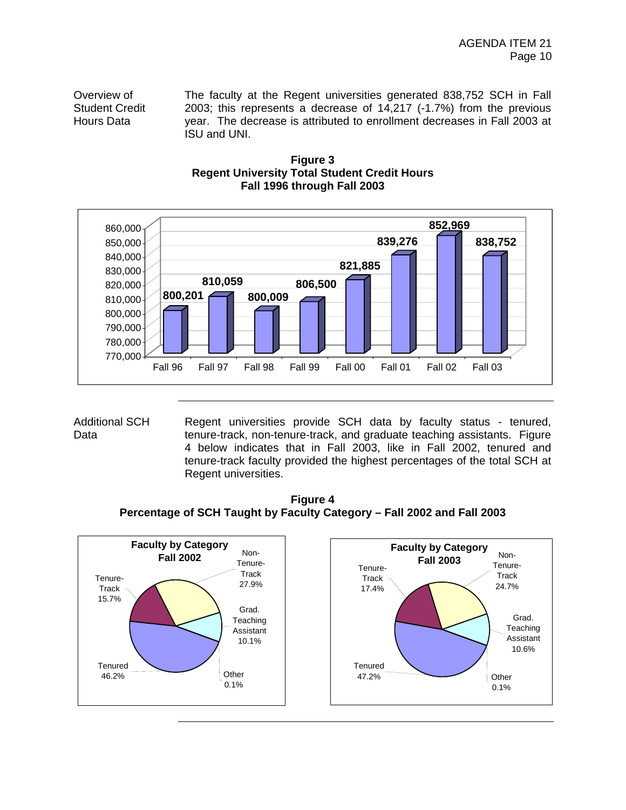Overview of Student Credit Hours Data

The faculty at the Regent universities generated 838,752 SCH in Fall 2003; this represents a decrease of 14,217 (-1.7%) from the previous year. The decrease is attributed to enrollment decreases in Fall 2003 at ISU and UNI.





Additional SCH Data

Regent universities provide SCH data by faculty status - tenured, tenure-track, non-tenure-track, and graduate teaching assistants. Figure 4 below indicates that in Fall 2003, like in Fall 2002, tenured and tenure-track faculty provided the highest percentages of the total SCH at Regent universities.

**Figure 4 Percentage of SCH Taught by Faculty Category – Fall 2002 and Fall 2003** 

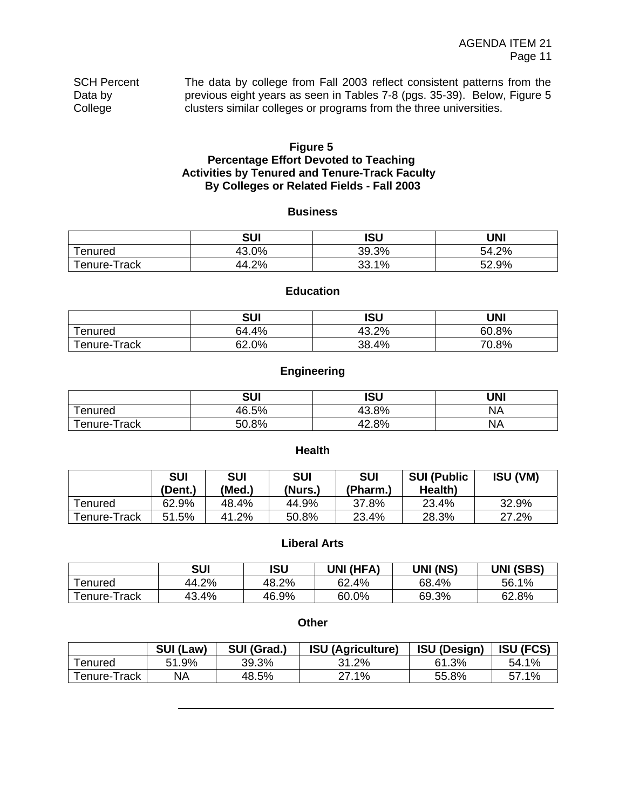| <b>SCH Percent</b> | The data by college from Fall 2003 reflect consistent patterns from the  |
|--------------------|--------------------------------------------------------------------------|
| Data by            | previous eight years as seen in Tables 7-8 (pgs. 35-39). Below, Figure 5 |
| College            | clusters similar colleges or programs from the three universities.       |

### **Figure 5 Percentage Effort Devoted to Teaching Activities by Tenured and Tenure-Track Faculty By Colleges or Related Fields - Fall 2003**

#### **Business**

|                                    | <b>SUI</b> | <b>ISU</b> | UNI   |
|------------------------------------|------------|------------|-------|
| $\overline{\phantom{a}}$<br>enured | 43.0%      | 39.3%      | 54.2% |
| Гепure-Track                       | 44.2%      | 33.1%      | 52.9% |

### **Education**

|                  | <b>SUI</b> | <b>ISU</b>  | UNI   |
|------------------|------------|-------------|-------|
| enured           | .4%<br>64. | 13.2%<br>43 | 60.8% |
| Track-<br>enure- | 62.0%      | 38.4%       | 70.8% |

### **Engineering**

|                 | <b>SUI</b> | <b>ISU</b> | <b>UNI</b> |
|-----------------|------------|------------|------------|
| enured          | 46.5%      | 43.8%      | <b>NA</b>  |
| Track<br>enure- | 50.8%      | 42.8%      | <b>NA</b>  |

### **Health**

|                | <b>SUI</b><br>(Dent.) | <b>SUI</b><br>(Med.) | <b>SUI</b><br>(Nurs.) | <b>SUI</b><br>(Pharm.) | <b>SUI (Public</b><br>Health) | <b>ISU (VM)</b> |
|----------------|-----------------------|----------------------|-----------------------|------------------------|-------------------------------|-----------------|
| <b>Tenured</b> | 62.9%                 | 48.4%                | 44.9%                 | 37.8%                  | 23.4%                         | 32.9%           |
| Tenure-Track   | 51.5%                 | 41.2%                | 50.8%                 | 23.4%                  | 28.3%                         | 27.2%           |

### **Liberal Arts**

|              | SUI   | ISU   | UNI (HFA) | UNI (NS) | <b>UNI (SBS)</b> |
|--------------|-------|-------|-----------|----------|------------------|
| Tenured      | 44.2% | 48.2% | 62.4%     | 68.4%    | 56.1%            |
| Tenure-Track | 43.4% | 46.9% | 60.0%     | 69.3%    | 62.8%            |

#### **Other**

|              | SUI (Law) | SUI (Grad.) | <b>ISU (Agriculture)</b> | <b>ISU (Design)</b> | <b>ISU (FCS)</b> |
|--------------|-----------|-------------|--------------------------|---------------------|------------------|
| Tenured      | 51.9%     | 39.3%       | 31.2%                    | 61.3%               | 54.1%            |
| Tenure-Track | ΝA        | 48.5%       | 27.1%                    | 55.8%               | 57.1%            |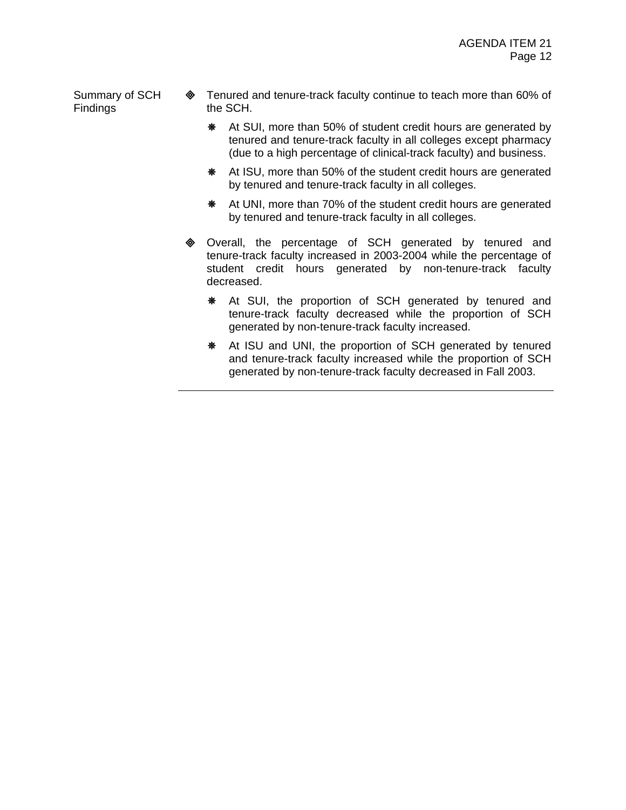Summary of SCH Findings

- **Example 20 Tenured and tenure-track faculty continue to teach more than 60% of** the SCH.
	- \* At SUI, more than 50% of student credit hours are generated by tenured and tenure-track faculty in all colleges except pharmacy (due to a high percentage of clinical-track faculty) and business.
	- **\#\** At ISU, more than 50% of the student credit hours are generated by tenured and tenure-track faculty in all colleges.
	- **\#\** At UNI, more than 70% of the student credit hours are generated by tenured and tenure-track faculty in all colleges.
- ! Overall, the percentage of SCH generated by tenured and tenure-track faculty increased in 2003-2004 while the percentage of student credit hours generated by non-tenure-track faculty decreased.
	- \* At SUI, the proportion of SCH generated by tenured and tenure-track faculty decreased while the proportion of SCH generated by non-tenure-track faculty increased.
	- \* At ISU and UNI, the proportion of SCH generated by tenured and tenure-track faculty increased while the proportion of SCH generated by non-tenure-track faculty decreased in Fall 2003.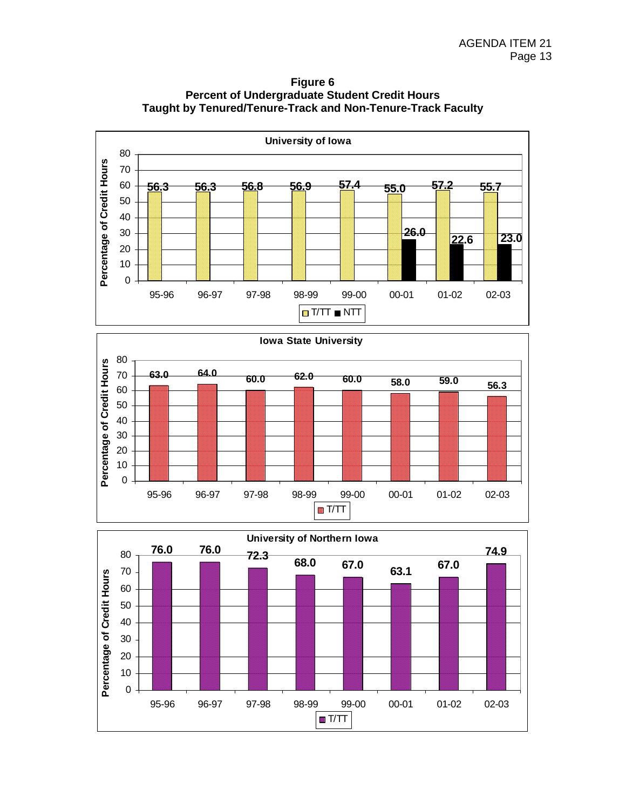

**Figure 6 Percent of Undergraduate Student Credit Hours Taught by Tenured/Tenure-Track and Non-Tenure-Track Faculty** 



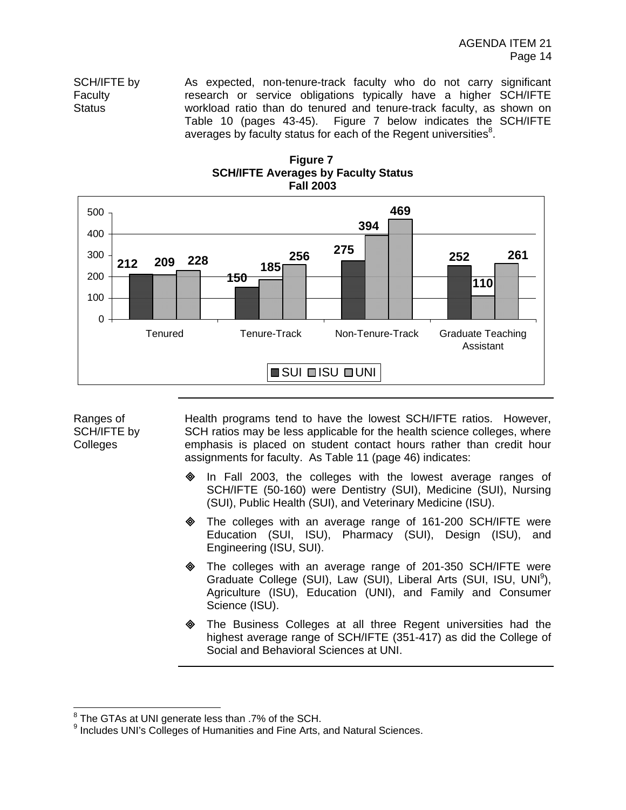SCH/IFTE by Faculty **Status** 

As expected, non-tenure-track faculty who do not carry significant research or service obligations typically have a higher SCH/IFTE workload ratio than do tenured and tenure-track faculty, as shown on Table 10 (pages 43-45). Figure 7 below indicates the SCH/IFTE averages by faculty status for each of the Regent universities<sup>8</sup>.





Ranges of SCH/IFTE by Colleges

Health programs tend to have the lowest SCH/IFTE ratios. However, SCH ratios may be less applicable for the health science colleges, where emphasis is placed on student contact hours rather than credit hour assignments for faculty. As Table 11 (page 46) indicates:

- In Fall 2003, the colleges with the lowest average ranges of SCH/IFTE (50-160) were Dentistry (SUI), Medicine (SUI), Nursing (SUI), Public Health (SUI), and Veterinary Medicine (ISU).
- ! The colleges with an average range of 161-200 SCH/IFTE were Education (SUI, ISU), Pharmacy (SUI), Design (ISU), and Engineering (ISU, SUI).
- $\diamond$  The colleges with an average range of 201-350 SCH/IFTE were Graduate College (SUI), Law (SUI), Liberal Arts (SUI, ISU, UNI<sup>9</sup>), Agriculture (ISU), Education (UNI), and Family and Consumer Science (ISU).
- The Business Colleges at all three Regent universities had the highest average range of SCH/IFTE (351-417) as did the College of Social and Behavioral Sciences at UNI.

 8 The GTAs at UNI generate less than .7% of the SCH.

<sup>&</sup>lt;sup>9</sup> Includes UNI's Colleges of Humanities and Fine Arts, and Natural Sciences.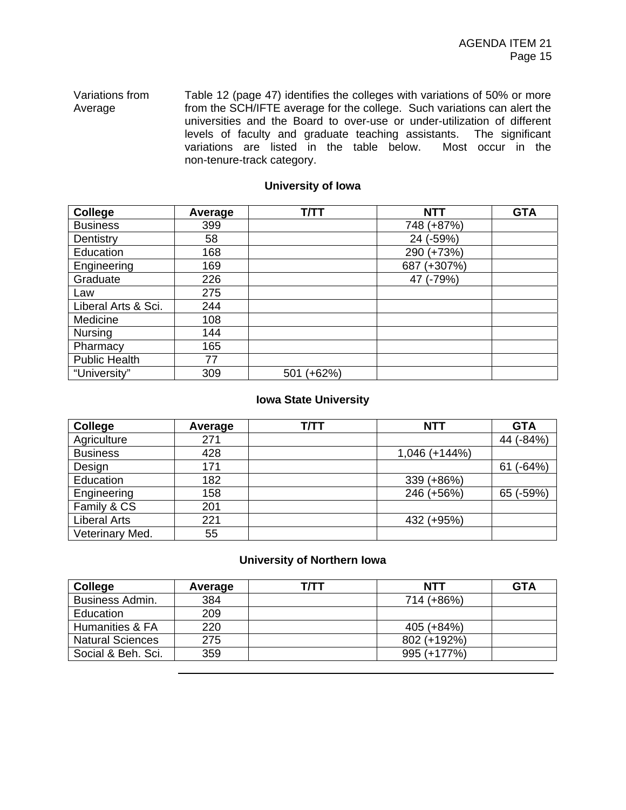#### Variations from Average Table 12 (page 47) identifies the colleges with variations of 50% or more from the SCH/IFTE average for the college. Such variations can alert the universities and the Board to over-use or under-utilization of different levels of faculty and graduate teaching assistants. The significant variations are listed in the table below. Most occur in the non-tenure-track category.

### **University of Iowa**

| College              | Average | <b>T/TT</b>     | <b>NTT</b>       | <b>GTA</b> |
|----------------------|---------|-----------------|------------------|------------|
| <b>Business</b>      | 399     |                 | 748 (+87%)       |            |
| Dentistry            | 58      |                 | $(-59%)$<br>24   |            |
| Education            | 168     |                 | 290 (+73%)       |            |
| Engineering          | 169     |                 | $(+307%)$<br>687 |            |
| Graduate             | 226     |                 | 47 (-79%)        |            |
| Law                  | 275     |                 |                  |            |
| Liberal Arts & Sci.  | 244     |                 |                  |            |
| Medicine             | 108     |                 |                  |            |
| <b>Nursing</b>       | 144     |                 |                  |            |
| Pharmacy             | 165     |                 |                  |            |
| <b>Public Health</b> | 77      |                 |                  |            |
| "University"         | 309     | $(+62%)$<br>501 |                  |            |

### **Iowa State University**

| College             | Average | <b>T/TT</b> | <b>NTT</b>      | <b>GTA</b>     |
|---------------------|---------|-------------|-----------------|----------------|
| Agriculture         | 271     |             |                 | 44 (-84%)      |
| <b>Business</b>     | 428     |             | $1,046 (+144%)$ |                |
| Design              | 171     |             |                 | $(-64%)$<br>61 |
| Education           | 182     |             | 339 (+86%)      |                |
| Engineering         | 158     |             | 246 (+56%)      | 65 (-59%)      |
| Family & CS         | 201     |             |                 |                |
| <b>Liberal Arts</b> | 221     |             | 432 (+95%)      |                |
| Veterinary Med.     | 55      |             |                 |                |

### **University of Northern Iowa**

| College                 | Average | т/тт | <b>NTT</b>  | <b>GTA</b> |
|-------------------------|---------|------|-------------|------------|
| <b>Business Admin.</b>  | 384     |      | 714 (+86%)  |            |
| Education               | 209     |      |             |            |
| Humanities & FA         | 220     |      | 405 (+84%)  |            |
| <b>Natural Sciences</b> | 275     |      | 802 (+192%) |            |
| Social & Beh. Sci.      | 359     |      | 995 (+177%) |            |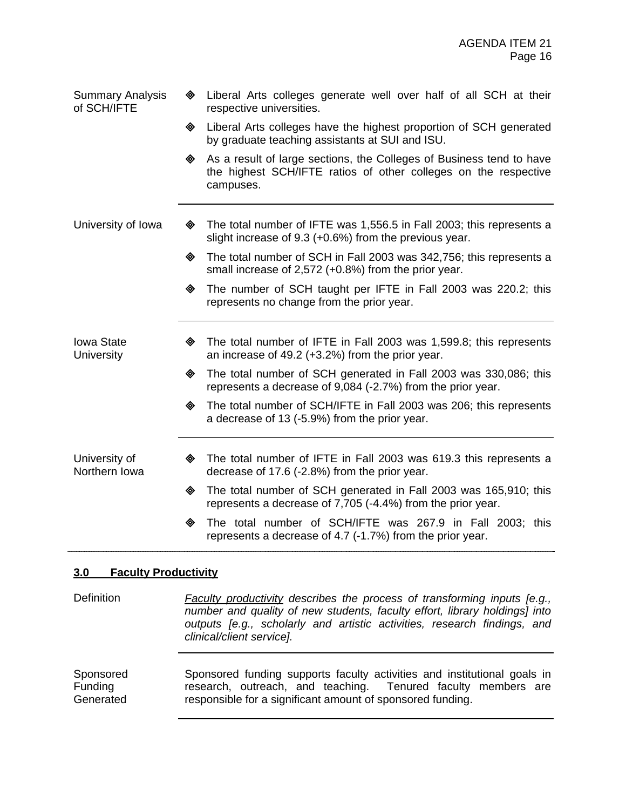| <b>Summary Analysis</b><br>of SCH/IFTE | ◈ | Liberal Arts colleges generate well over half of all SCH at their<br>respective universities.                                                        |
|----------------------------------------|---|------------------------------------------------------------------------------------------------------------------------------------------------------|
|                                        | ◈ | Liberal Arts colleges have the highest proportion of SCH generated<br>by graduate teaching assistants at SUI and ISU.                                |
|                                        | ◈ | As a result of large sections, the Colleges of Business tend to have<br>the highest SCH/IFTE ratios of other colleges on the respective<br>campuses. |
| University of Iowa                     | ◈ | The total number of IFTE was 1,556.5 in Fall 2003; this represents a<br>slight increase of 9.3 (+0.6%) from the previous year.                       |
|                                        | ◈ | The total number of SCH in Fall 2003 was 342,756; this represents a<br>small increase of 2,572 (+0.8%) from the prior year.                          |
|                                        | ◈ | The number of SCH taught per IFTE in Fall 2003 was 220.2; this<br>represents no change from the prior year.                                          |
| <b>Iowa State</b><br><b>University</b> | ◈ | The total number of IFTE in Fall 2003 was 1,599.8; this represents<br>an increase of $49.2$ (+3.2%) from the prior year.                             |
|                                        | ◈ | The total number of SCH generated in Fall 2003 was 330,086; this<br>represents a decrease of 9,084 (-2.7%) from the prior year.                      |
|                                        | ◈ | The total number of SCH/IFTE in Fall 2003 was 206; this represents<br>a decrease of 13 (-5.9%) from the prior year.                                  |
| University of<br>Northern Iowa         | ◈ | The total number of IFTE in Fall 2003 was 619.3 this represents a<br>decrease of 17.6 (-2.8%) from the prior year.                                   |
|                                        | ◈ | The total number of SCH generated in Fall 2003 was 165,910; this<br>represents a decrease of 7,705 (-4.4%) from the prior year.                      |
|                                        | ◈ | The total number of SCH/IFTE was 267.9 in Fall 2003; this<br>represents a decrease of 4.7 (-1.7%) from the prior year.                               |

### **3.0 Faculty Productivity**

Definition *Faculty productivity describes the process of transforming inputs [e.g., number and quality of new students, faculty effort, library holdings] into outputs [e.g., scholarly and artistic activities, research findings, and clinical/client service].*

Sponsored Funding **Generated** Sponsored funding supports faculty activities and institutional goals in research, outreach, and teaching. Tenured faculty members are responsible for a significant amount of sponsored funding.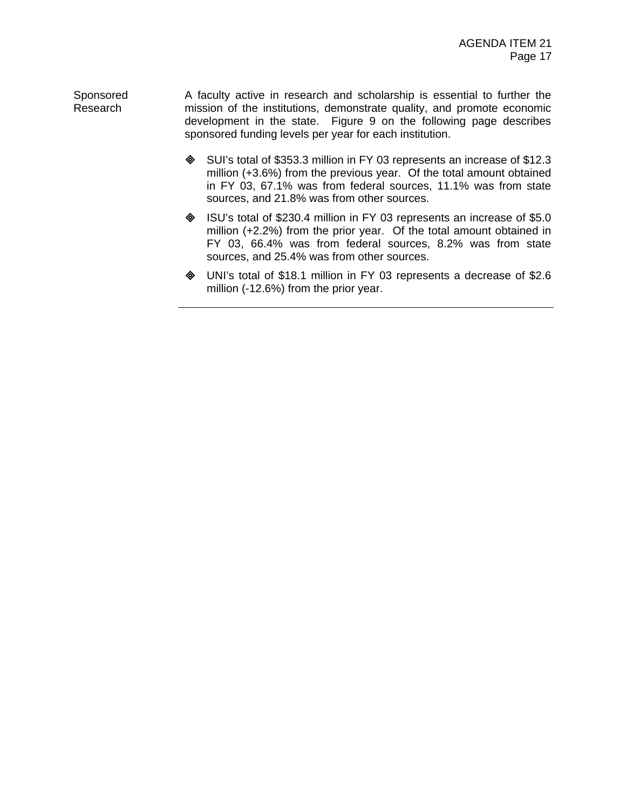Sponsored Research A faculty active in research and scholarship is essential to further the mission of the institutions, demonstrate quality, and promote economic development in the state. Figure 9 on the following page describes sponsored funding levels per year for each institution.

- ♦ SUI's total of \$353.3 million in FY 03 represents an increase of \$12.3 million (+3.6%) from the previous year. Of the total amount obtained in FY 03, 67.1% was from federal sources, 11.1% was from state sources, and 21.8% was from other sources.
- ! ISU's total of \$230.4 million in FY 03 represents an increase of \$5.0 million (+2.2%) from the prior year. Of the total amount obtained in FY 03, 66.4% was from federal sources, 8.2% was from state sources, and 25.4% was from other sources.
- ! UNI's total of \$18.1 million in FY 03 represents a decrease of \$2.6 million (-12.6%) from the prior year.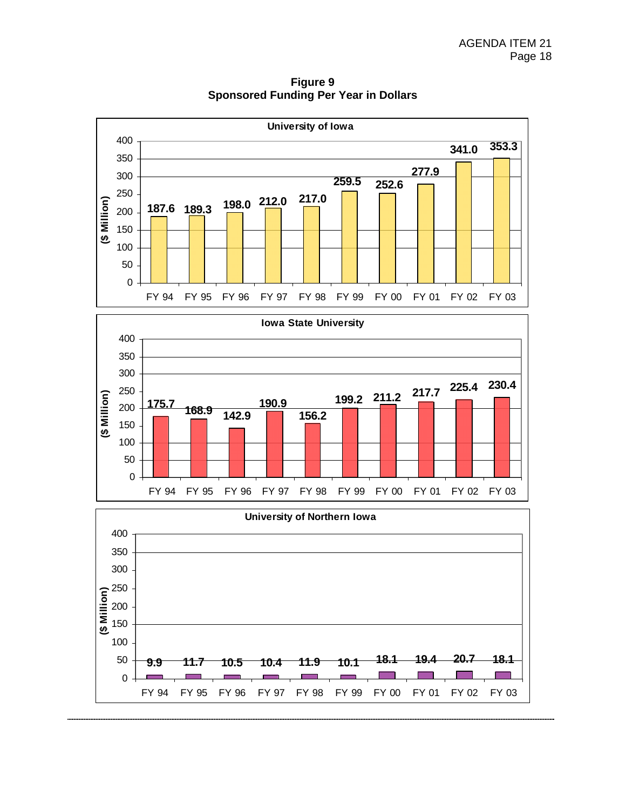

**Figure 9 Sponsored Funding Per Year in Dollars** 



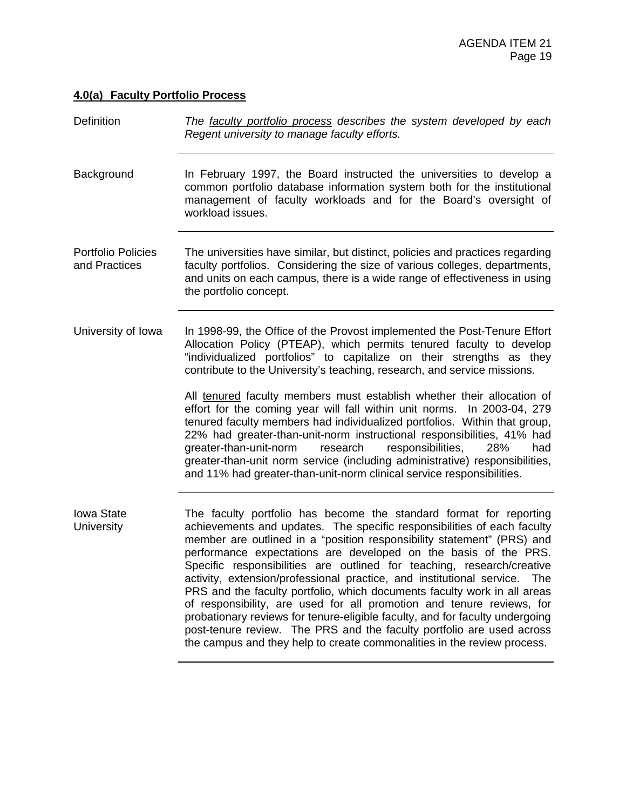## **4.0(a) Faculty Portfolio Process**

| Definition                                 | The faculty portfolio process describes the system developed by each<br>Regent university to manage faculty efforts.                                                                                                                                                                                                                                                                                                                                                                                                                                                                                                                                                                                                                                                                                                                          |
|--------------------------------------------|-----------------------------------------------------------------------------------------------------------------------------------------------------------------------------------------------------------------------------------------------------------------------------------------------------------------------------------------------------------------------------------------------------------------------------------------------------------------------------------------------------------------------------------------------------------------------------------------------------------------------------------------------------------------------------------------------------------------------------------------------------------------------------------------------------------------------------------------------|
| Background                                 | In February 1997, the Board instructed the universities to develop a<br>common portfolio database information system both for the institutional<br>management of faculty workloads and for the Board's oversight of<br>workload issues.                                                                                                                                                                                                                                                                                                                                                                                                                                                                                                                                                                                                       |
| <b>Portfolio Policies</b><br>and Practices | The universities have similar, but distinct, policies and practices regarding<br>faculty portfolios. Considering the size of various colleges, departments,<br>and units on each campus, there is a wide range of effectiveness in using<br>the portfolio concept.                                                                                                                                                                                                                                                                                                                                                                                                                                                                                                                                                                            |
| University of Iowa                         | In 1998-99, the Office of the Provost implemented the Post-Tenure Effort<br>Allocation Policy (PTEAP), which permits tenured faculty to develop<br>"individualized portfolios" to capitalize on their strengths as they<br>contribute to the University's teaching, research, and service missions.                                                                                                                                                                                                                                                                                                                                                                                                                                                                                                                                           |
|                                            | All tenured faculty members must establish whether their allocation of<br>effort for the coming year will fall within unit norms. In 2003-04, 279<br>tenured faculty members had individualized portfolios. Within that group,<br>22% had greater-than-unit-norm instructional responsibilities, 41% had<br>greater-than-unit-norm<br>responsibilities,<br>research<br>28%<br>had<br>greater-than-unit norm service (including administrative) responsibilities,<br>and 11% had greater-than-unit-norm clinical service responsibilities.                                                                                                                                                                                                                                                                                                     |
| <b>lowa State</b><br>University            | The faculty portfolio has become the standard format for reporting<br>achievements and updates. The specific responsibilities of each faculty<br>member are outlined in a "position responsibility statement" (PRS) and<br>performance expectations are developed on the basis of the PRS.<br>Specific responsibilities are outlined for teaching, research/creative<br>activity, extension/professional practice, and institutional service.<br>The<br>PRS and the faculty portfolio, which documents faculty work in all areas<br>of responsibility, are used for all promotion and tenure reviews, for<br>probationary reviews for tenure-eligible faculty, and for faculty undergoing<br>post-tenure review. The PRS and the faculty portfolio are used across<br>the campus and they help to create commonalities in the review process. |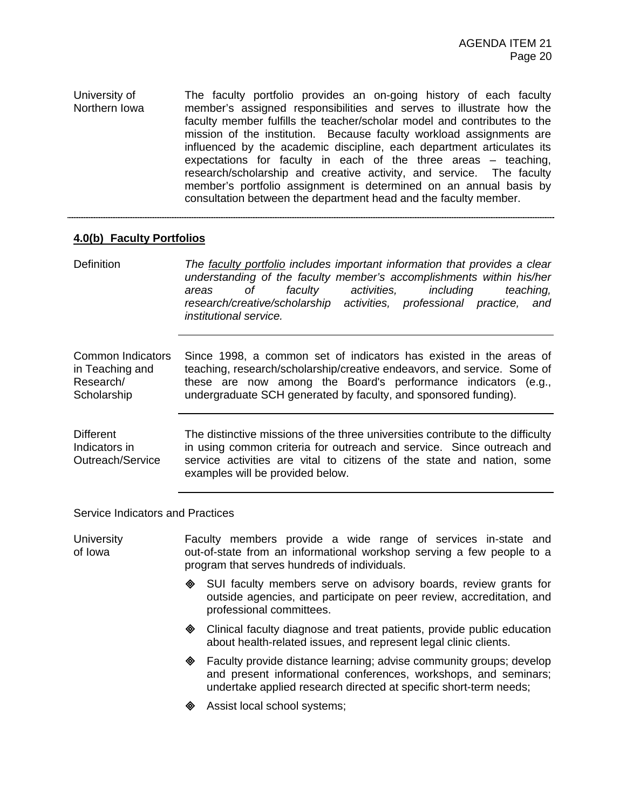University of Northern Iowa The faculty portfolio provides an on-going history of each faculty member's assigned responsibilities and serves to illustrate how the faculty member fulfills the teacher/scholar model and contributes to the mission of the institution. Because faculty workload assignments are influenced by the academic discipline, each department articulates its expectations for faculty in each of the three areas – teaching, research/scholarship and creative activity, and service. The faculty member's portfolio assignment is determined on an annual basis by consultation between the department head and the faculty member.

#### **4.0(b) Faculty Portfolios**

Definition *The faculty portfolio includes important information that provides a clear understanding of the faculty member's accomplishments within his/her areas of faculty activities, including teaching, research/creative/scholarship activities, professional practice, and institutional service.*

Common Indicators in Teaching and Research/ **Scholarship** Since 1998, a common set of indicators has existed in the areas of teaching, research/scholarship/creative endeavors, and service. Some of these are now among the Board's performance indicators (e.g., undergraduate SCH generated by faculty, and sponsored funding).

Different Indicators in Outreach/Service The distinctive missions of the three universities contribute to the difficulty in using common criteria for outreach and service. Since outreach and service activities are vital to citizens of the state and nation, some examples will be provided below.

Service Indicators and Practices

| <b>University</b><br>of Iowa |   | Faculty members provide a wide range of services in-state and<br>out-of-state from an informational workshop serving a few people to a<br>program that serves hundreds of individuals. |
|------------------------------|---|----------------------------------------------------------------------------------------------------------------------------------------------------------------------------------------|
|                              | ◈ | SUI faculty members serve on advisory boards, review grants for<br>outside agencies, and participate on peer review, accreditation, and<br>professional committees.                    |
|                              | ◈ | Clinical faculty diagnose and treat patients, provide public education<br>about health-related issues, and represent legal clinic clients.                                             |
|                              | ◈ | Faculty provide distance learning; advise community groups; develop<br>and present informational conferences, workshops, and seminars;                                                 |

- undertake applied research directed at specific short-term needs;
	- Assist local school systems;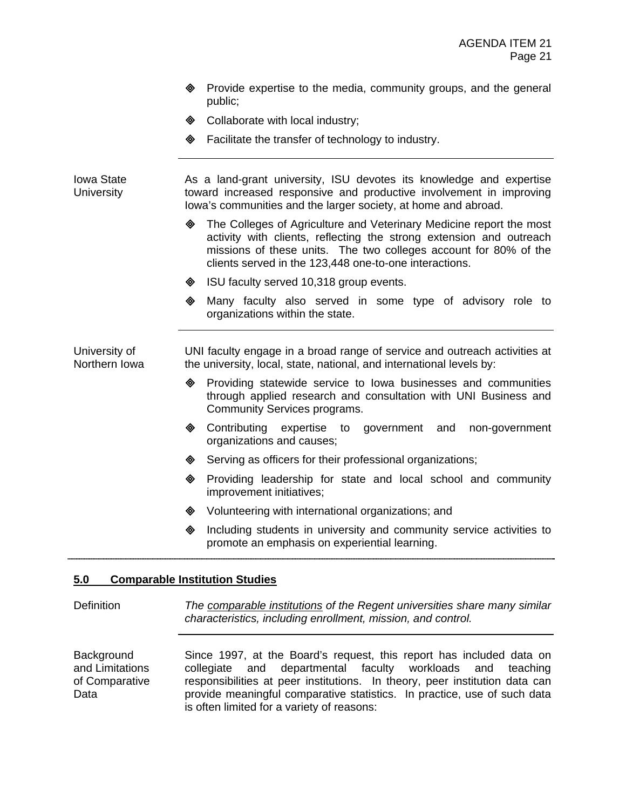- **EXE** Provide expertise to the media, community groups, and the general public;
- **♦ Collaborate with local industry;**
- **Example 1** Facilitate the transfer of technology to industry.

Iowa State **University** As a land-grant university, ISU devotes its knowledge and expertise toward increased responsive and productive involvement in improving Iowa's communities and the larger society, at home and abroad.

- $\diamond$  The Colleges of Agriculture and Veterinary Medicine report the most activity with clients, reflecting the strong extension and outreach missions of these units. The two colleges account for 80% of the clients served in the 123,448 one-to-one interactions.
- ♦ ISU faculty served 10,318 group events.
- ! Many faculty also served in some type of advisory role to organizations within the state.

University of Northern Iowa UNI faculty engage in a broad range of service and outreach activities at the university, local, state, national, and international levels by:

- ! Providing statewide service to Iowa businesses and communities through applied research and consultation with UNI Business and Community Services programs.
- ! Contributing expertise to government and non-government organizations and causes;
- ♦ Serving as officers for their professional organizations;
- ! Providing leadership for state and local school and community improvement initiatives;
- $\diamond$  Volunteering with international organizations; and
- $\Diamond$  Including students in university and community service activities to promote an emphasis on experiential learning.

#### **5.0 Comparable Institution Studies**

Definition *The comparable institutions of the Regent universities share many similar characteristics, including enrollment, mission, and control.*

**Background** and Limitations of Comparative Data Since 1997, at the Board's request, this report has included data on collegiate and departmental faculty workloads and teaching responsibilities at peer institutions. In theory, peer institution data can provide meaningful comparative statistics. In practice, use of such data is often limited for a variety of reasons: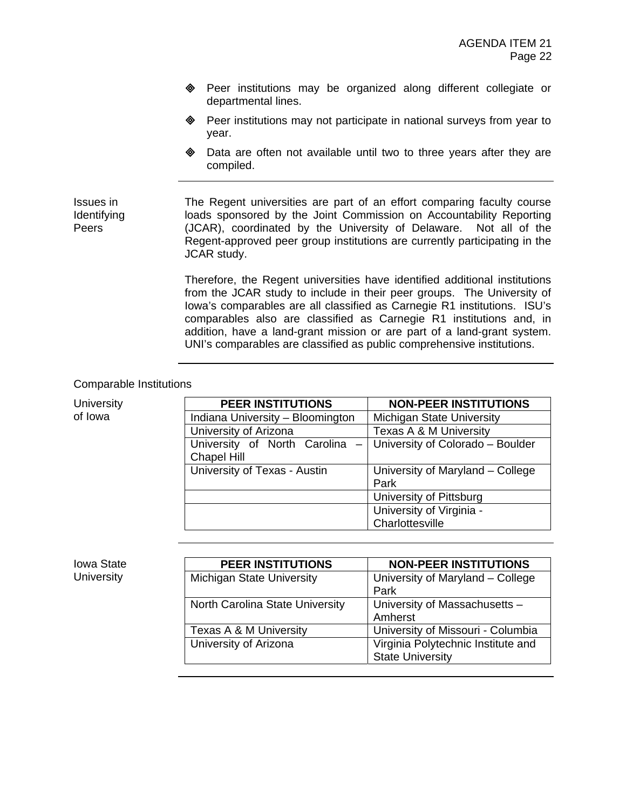- ! Peer institutions may be organized along different collegiate or departmental lines.
- ! Peer institutions may not participate in national surveys from year to year.
- **EXE** Data are often not available until two to three years after they are compiled.

The Regent universities are part of an effort comparing faculty course loads sponsored by the Joint Commission on Accountability Reporting (JCAR), coordinated by the University of Delaware. Not all of the Regent-approved peer group institutions are currently participating in the JCAR study.

> Therefore, the Regent universities have identified additional institutions from the JCAR study to include in their peer groups. The University of Iowa's comparables are all classified as Carnegie R1 institutions. ISU's comparables also are classified as Carnegie R1 institutions and, in addition, have a land-grant mission or are part of a land-grant system. UNI's comparables are classified as public comprehensive institutions.

#### Comparable Institutions

Issues in Identifying Peers

| <b>University</b> | <b>PEER INSTITUTIONS</b>         | <b>NON-PEER INSTITUTIONS</b>         |
|-------------------|----------------------------------|--------------------------------------|
| of Iowa           | Indiana University - Bloomington | <b>Michigan State University</b>     |
|                   | University of Arizona            | Texas A & M University               |
|                   | University of North Carolina     | -   University of Colorado - Boulder |
|                   | <b>Chapel Hill</b>               |                                      |
|                   | University of Texas - Austin     | University of Maryland - College     |
|                   |                                  | Park                                 |
|                   |                                  | University of Pittsburg              |
|                   |                                  | University of Virginia -             |
|                   |                                  | Charlottesville                      |

Iowa State **University** 

| <b>PEER INSTITUTIONS</b>         | <b>NON-PEER INSTITUTIONS</b>       |
|----------------------------------|------------------------------------|
| <b>Michigan State University</b> | University of Maryland - College   |
|                                  | Park                               |
| North Carolina State University  | University of Massachusetts -      |
|                                  | Amherst                            |
| Texas A & M University           | University of Missouri - Columbia  |
| University of Arizona            | Virginia Polytechnic Institute and |
|                                  | <b>State University</b>            |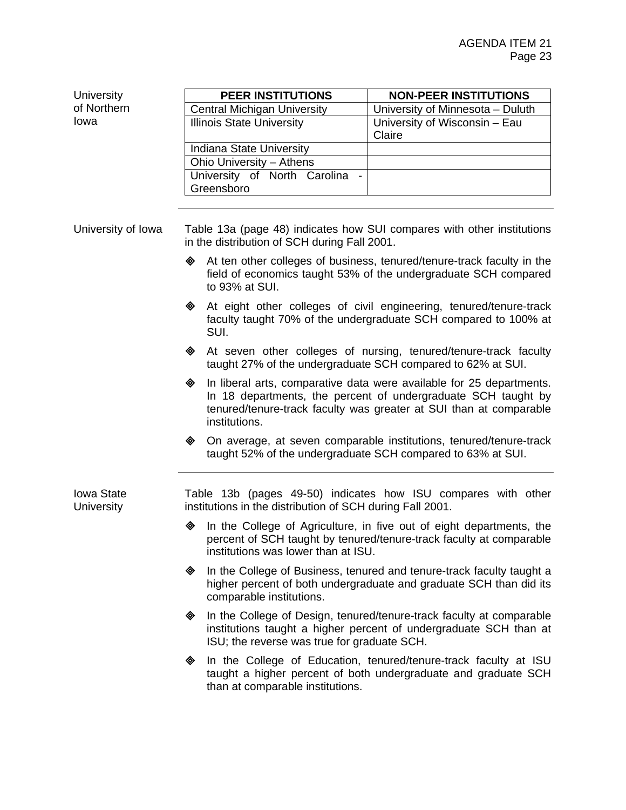**University** of Northern Iowa

| <b>PEER INSTITUTIONS</b>           | <b>NON-PEER INSTITUTIONS</b>     |
|------------------------------------|----------------------------------|
| <b>Central Michigan University</b> | University of Minnesota - Duluth |
| <b>Illinois State University</b>   | University of Wisconsin - Eau    |
|                                    | Claire                           |
| <b>Indiana State University</b>    |                                  |
| Ohio University - Athens           |                                  |
| University of North Carolina       |                                  |
| Greensboro                         |                                  |
|                                    |                                  |

University of Iowa Table 13a (page 48) indicates how SUI compares with other institutions in the distribution of SCH during Fall 2001.

- $\triangleleft$  At ten other colleges of business, tenured/tenure-track faculty in the field of economics taught 53% of the undergraduate SCH compared to 93% at SUI.
- ! At eight other colleges of civil engineering, tenured/tenure-track faculty taught 70% of the undergraduate SCH compared to 100% at SUI.
- ! At seven other colleges of nursing, tenured/tenure-track faculty taught 27% of the undergraduate SCH compared to 62% at SUI.
- $\textcircled{4}$  In liberal arts, comparative data were available for 25 departments. In 18 departments, the percent of undergraduate SCH taught by tenured/tenure-track faculty was greater at SUI than at comparable institutions.
- ! On average, at seven comparable institutions, tenured/tenure-track taught 52% of the undergraduate SCH compared to 63% at SUI.

Iowa State **University** Table 13b (pages 49-50) indicates how ISU compares with other institutions in the distribution of SCH during Fall 2001.

- $\diamond$  In the College of Agriculture, in five out of eight departments, the percent of SCH taught by tenured/tenure-track faculty at comparable institutions was lower than at ISU.
- $\oint$  In the College of Business, tenured and tenure-track faculty taught a higher percent of both undergraduate and graduate SCH than did its comparable institutions.
- $\textcircled{}$  In the College of Design, tenured/tenure-track faculty at comparable institutions taught a higher percent of undergraduate SCH than at ISU; the reverse was true for graduate SCH.
- In the College of Education, tenured/tenure-track faculty at ISU taught a higher percent of both undergraduate and graduate SCH than at comparable institutions.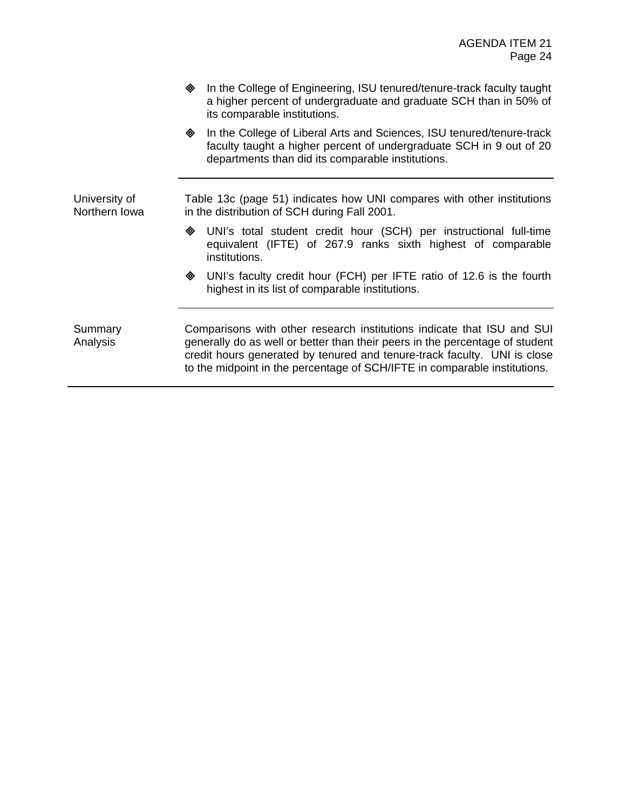- $\oint$  In the College of Engineering, ISU tenured/tenure-track faculty taught a higher percent of undergraduate and graduate SCH than in 50% of its comparable institutions.
- **In the College of Liberal Arts and Sciences, ISU tenured/tenure-track** faculty taught a higher percent of undergraduate SCH in 9 out of 20 departments than did its comparable institutions.

University of Northern Iowa Table 13c (page 51) indicates how UNI compares with other institutions in the distribution of SCH during Fall 2001.

- ! UNI's total student credit hour (SCH) per instructional full-time equivalent (IFTE) of 267.9 ranks sixth highest of comparable institutions.
- ! UNI's faculty credit hour (FCH) per IFTE ratio of 12.6 is the fourth highest in its list of comparable institutions.

Summary Analysis

Comparisons with other research institutions indicate that ISU and SUI generally do as well or better than their peers in the percentage of student credit hours generated by tenured and tenure-track faculty. UNI is close to the midpoint in the percentage of SCH/IFTE in comparable institutions.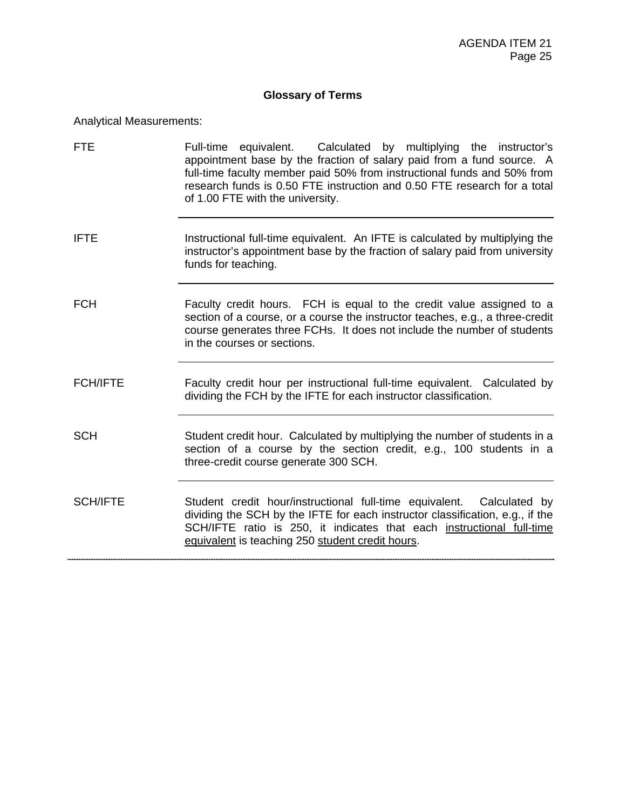## **Glossary of Terms**

Analytical Measurements:

| <b>FTE</b>      | Full-time equivalent. Calculated by multiplying the instructor's<br>appointment base by the fraction of salary paid from a fund source. A<br>full-time faculty member paid 50% from instructional funds and 50% from<br>research funds is 0.50 FTE instruction and 0.50 FTE research for a total<br>of 1.00 FTE with the university. |
|-----------------|--------------------------------------------------------------------------------------------------------------------------------------------------------------------------------------------------------------------------------------------------------------------------------------------------------------------------------------|
| <b>IFTE</b>     | Instructional full-time equivalent. An IFTE is calculated by multiplying the<br>instructor's appointment base by the fraction of salary paid from university<br>funds for teaching.                                                                                                                                                  |
| <b>FCH</b>      | Faculty credit hours. FCH is equal to the credit value assigned to a<br>section of a course, or a course the instructor teaches, e.g., a three-credit<br>course generates three FCHs. It does not include the number of students<br>in the courses or sections.                                                                      |
| <b>FCH/IFTE</b> | Faculty credit hour per instructional full-time equivalent. Calculated by<br>dividing the FCH by the IFTE for each instructor classification.                                                                                                                                                                                        |
| <b>SCH</b>      | Student credit hour. Calculated by multiplying the number of students in a<br>section of a course by the section credit, e.g., 100 students in a<br>three-credit course generate 300 SCH.                                                                                                                                            |
| <b>SCH/IFTE</b> | Student credit hour/instructional full-time equivalent. Calculated by<br>dividing the SCH by the IFTE for each instructor classification, e.g., if the<br>SCH/IFTE ratio is 250, it indicates that each instructional full-time<br>equivalent is teaching 250 student credit hours.                                                  |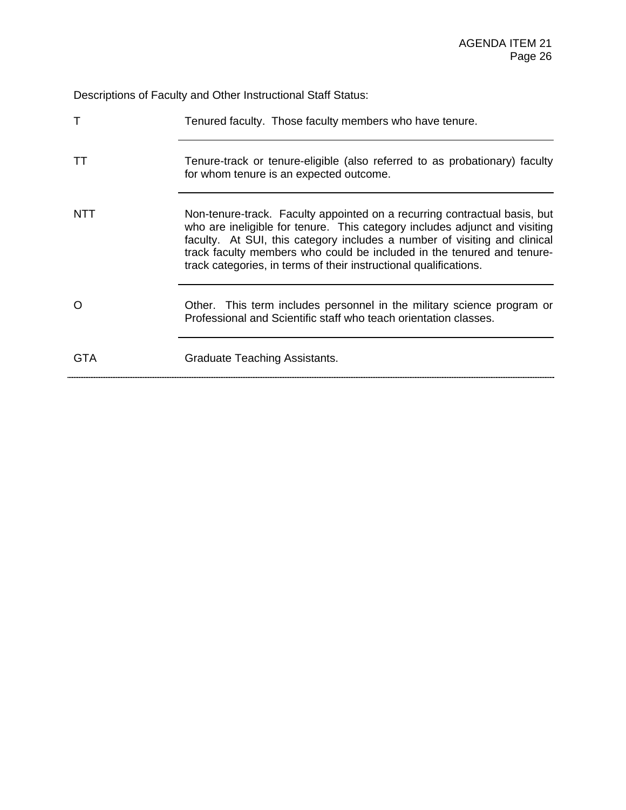Descriptions of Faculty and Other Instructional Staff Status:

|     | Tenured faculty. Those faculty members who have tenure.                                                                                                                                                                                                                                                                                                                             |
|-----|-------------------------------------------------------------------------------------------------------------------------------------------------------------------------------------------------------------------------------------------------------------------------------------------------------------------------------------------------------------------------------------|
|     | Tenure-track or tenure-eligible (also referred to as probationary) faculty<br>for whom tenure is an expected outcome.                                                                                                                                                                                                                                                               |
| NTT | Non-tenure-track. Faculty appointed on a recurring contractual basis, but<br>who are ineligible for tenure. This category includes adjunct and visiting<br>faculty. At SUI, this category includes a number of visiting and clinical<br>track faculty members who could be included in the tenured and tenure-<br>track categories, in terms of their instructional qualifications. |
|     | Other. This term includes personnel in the military science program or<br>Professional and Scientific staff who teach orientation classes.                                                                                                                                                                                                                                          |
| GTA | Graduate Teaching Assistants.                                                                                                                                                                                                                                                                                                                                                       |
|     |                                                                                                                                                                                                                                                                                                                                                                                     |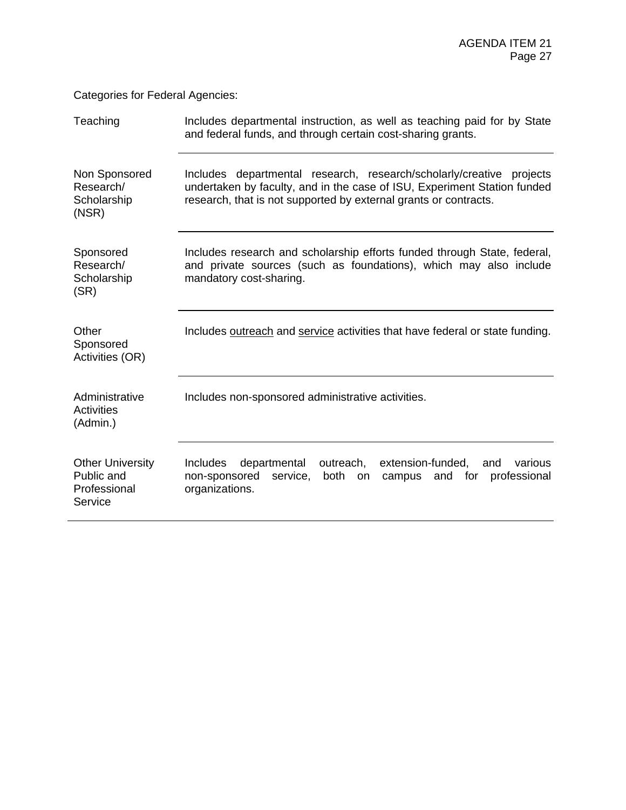Categories for Federal Agencies:

| Teaching                                                         | Includes departmental instruction, as well as teaching paid for by State<br>and federal funds, and through certain cost-sharing grants.                                                                              |  |  |  |  |  |  |  |  |  |  |
|------------------------------------------------------------------|----------------------------------------------------------------------------------------------------------------------------------------------------------------------------------------------------------------------|--|--|--|--|--|--|--|--|--|--|
| Non Sponsored<br>Research/<br>Scholarship<br>(NSR)               | Includes departmental research, research/scholarly/creative projects<br>undertaken by faculty, and in the case of ISU, Experiment Station funded<br>research, that is not supported by external grants or contracts. |  |  |  |  |  |  |  |  |  |  |
| Sponsored<br>Research/<br>Scholarship<br>(SR)                    | Includes research and scholarship efforts funded through State, federal,<br>and private sources (such as foundations), which may also include<br>mandatory cost-sharing.                                             |  |  |  |  |  |  |  |  |  |  |
| Other<br>Sponsored<br>Activities (OR)                            | Includes outreach and service activities that have federal or state funding.                                                                                                                                         |  |  |  |  |  |  |  |  |  |  |
| Administrative<br><b>Activities</b><br>(Admin.)                  | Includes non-sponsored administrative activities.                                                                                                                                                                    |  |  |  |  |  |  |  |  |  |  |
| <b>Other University</b><br>Public and<br>Professional<br>Service | <b>Includes</b><br>departmental<br>outreach,<br>extension-funded,<br>and<br>various<br>non-sponsored<br>both<br>service,<br>and<br>for<br>professional<br>on<br>campus<br>organizations.                             |  |  |  |  |  |  |  |  |  |  |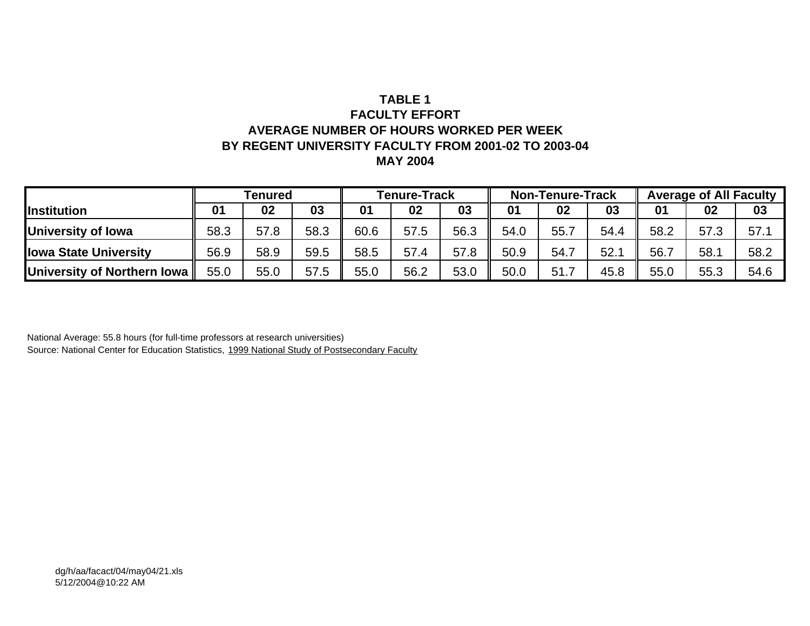## **TABLE 1FACULTY EFFORTAVERAGE NUMBER OF HOURS WORKED PER WEEKBY REGENT UNIVERSITY FACULTY FROM 2001-02 TO 2003-04 MAY 2004**

|                               | Tenured        |      |      | <b>Tenure-Track</b> |      |      | <b>Non-Tenure-Track</b> |      |      | <b>Average of All Faculty</b> |      |      |
|-------------------------------|----------------|------|------|---------------------|------|------|-------------------------|------|------|-------------------------------|------|------|
| <b>Institution</b>            | 03<br>02<br>01 |      |      | 01                  | 02   | 03   | 01                      | 02   | 03   | 01                            | 02   | 03   |
| University of Iowa            | 58.3           | 57.8 | 58.3 | 60.6                | 57.5 | 56.3 | 54.0                    | 55.  | 54.4 | 58.2                          | 57.3 | 57.1 |
| <b>Ilowa State University</b> | 56.9           | 58.9 | 59.5 | 58.5                | 57.4 | 57.8 | 50.9                    | 54.7 | 52.1 | 56.7                          | 58.1 | 58.2 |
| University of Northern Iowa   | 55.0           | 55.0 | 57.5 | 55.0                | 56.2 | 53.0 | 50.0                    | 51.7 | 45.8 | 55.0                          | 55.3 | 54.6 |

National Average: 55.8 hours (for full-time professors at research universities) Source: National Center for Education Statistics, 1999 National Study of Postsecondary Faculty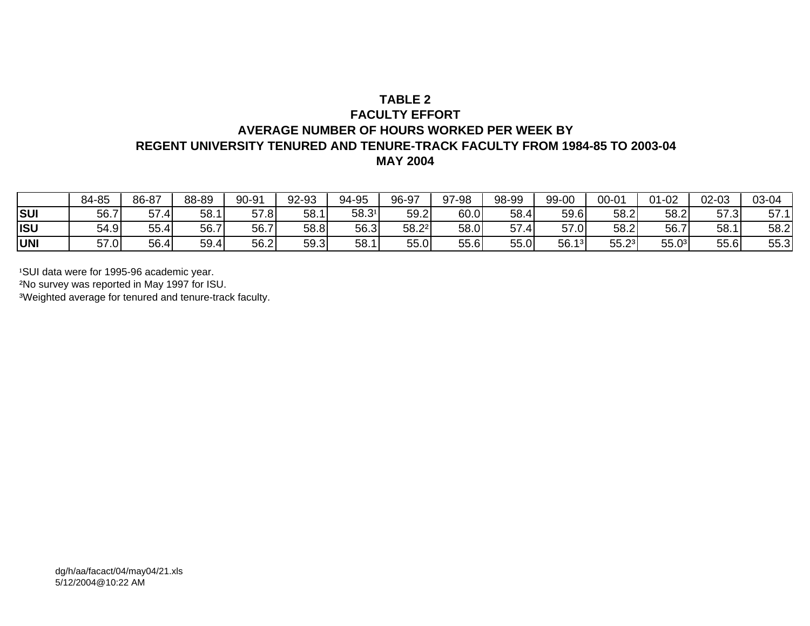## **TABLE 2FACULTY EFFORTAVERAGE NUMBER OF HOURS WORKED PER WEEK BYREGENT UNIVERSITY TENURED AND TENURE-TRACK FACULTY FROM 1984-85 TO 2003-04 MAY 2004**

|            | 84-85 | 86-87 | 88-89 | 90-91 | 92-93 | 94-95 | 96-97 | 97-98 | 98-99             | 99-00       | $00 - 01$         | $01 - 02$        | 02-03 | 03-04 |
|------------|-------|-------|-------|-------|-------|-------|-------|-------|-------------------|-------------|-------------------|------------------|-------|-------|
| <b>SUI</b> | 56.7  | 57.4  | 58.1  | 57.8  | 58.1  | 58.31 | 59.2  | 60.0  | 58.4              | 59.6        | 58.2              | 58.2             | 57.3  | 57.1  |
| <b>ISU</b> | 54.9  | 55.4  | 56.7  | 56.7  | 58.8  | 56.3  | 58.22 | 58.0  | <b>E7</b><br>57.4 | 57.0        | 58.2              | 56.7             | 58.1  | 58.2  |
| <b>UNI</b> | 57.0  | 56.4  | 59.4  | 56.2  | 59.3  | 58.1  | 55.0  | 55.6  | 55.0              | 56.1<br>131 | 55.2 <sup>3</sup> | 55<br>∩3<br>JJ.U | 55.6  | 55.3  |

<sup>1</sup>SUI data were for 1995-96 academic year.

²No survey was reported in May 1997 for ISU.

³Weighted average for tenured and tenure-track faculty.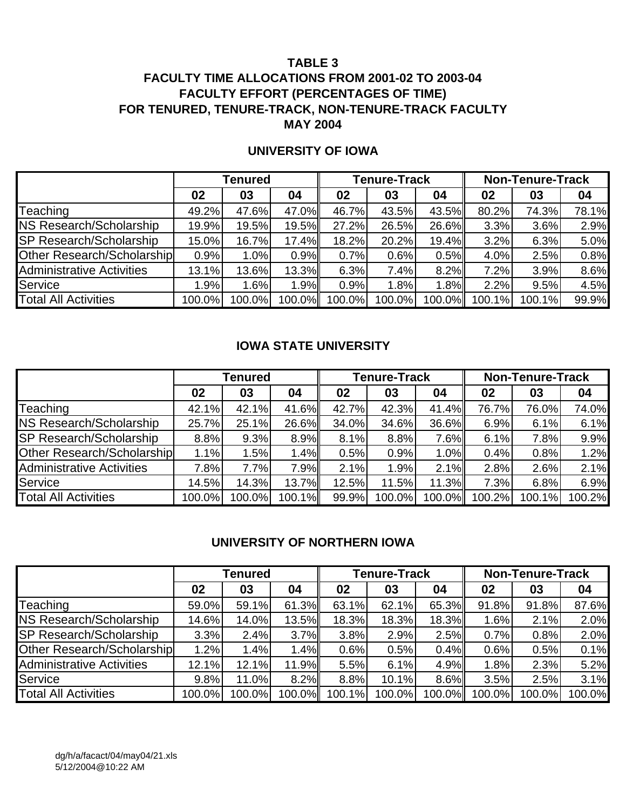## **FACULTY TIME ALLOCATIONS FROM 2001-02 TO 2003-04 FACULTY EFFORT (PERCENTAGES OF TIME) FOR TENURED, TENURE-TRACK, NON-TENURE-TRACK FACULTY MAY 2004**

|                                   |        | Tenured |        |        | <b>Tenure-Track</b> |        | <b>Non-Tenure-Track</b> |        |       |  |
|-----------------------------------|--------|---------|--------|--------|---------------------|--------|-------------------------|--------|-------|--|
|                                   | 02     | 03      | 04     | 02     | 03                  | 04     | 02                      | 03     | 04    |  |
| Teaching                          | 49.2%  | 47.6%   | 47.0%  | 46.7%  | 43.5%               | 43.5%  | 80.2%                   | 74.3%  | 78.1% |  |
| <b>NS Research/Scholarship</b>    | 19.9%  | 19.5%   | 19.5%  | 27.2%  | 26.5%               | 26.6%  | 3.3%                    | 3.6%   | 2.9%  |  |
| <b>SP Research/Scholarship</b>    | 15.0%  | 16.7%   | 17.4%  | 18.2%  | 20.2%               | 19.4%  | 3.2%                    | 6.3%   | 5.0%  |  |
| <b>Other Research/Scholarship</b> | 0.9%   | 1.0%    | 0.9%   | 0.7%   | 0.6%                | 0.5%   | 4.0%                    | 2.5%   | 0.8%  |  |
| <b>Administrative Activities</b>  | 13.1%  | 13.6%   | 13.3%  | 6.3%   | 7.4%                | 8.2%   | 7.2%                    | 3.9%   | 8.6%  |  |
| Service                           | 1.9%   | 1.6%    | 1.9%   | 0.9%   | 1.8%                | 1.8%   | 2.2%                    | 9.5%   | 4.5%  |  |
| <b>Total All Activities</b>       | 100.0% | 100.0%  | 100.0% | 100.0% | 100.0%              | 100.0% | 100.1%                  | 100.1% | 99.9% |  |

### **UNIVERSITY OF IOWA**

### **IOWA STATE UNIVERSITY**

|                                   |        | Tenured |          |       | <b>Tenure-Track</b> |        | <b>Non-Tenure-Track</b> |        |        |  |
|-----------------------------------|--------|---------|----------|-------|---------------------|--------|-------------------------|--------|--------|--|
|                                   | 02     | 03      | 04       | 02    | 03                  | 04     | 02                      | 03     | 04     |  |
| <b>Teaching</b>                   | 42.1%  | 42.1%   | 41.6%    | 42.7% | 42.3%               | 41.4%  | 76.7%                   | 76.0%  | 74.0%  |  |
| <b>NS Research/Scholarship</b>    | 25.7%  | 25.1%   | 26.6%    | 34.0% | 34.6%               | 36.6%  | 6.9%                    | 6.1%   | 6.1%   |  |
| <b>SP Research/Scholarship</b>    | 8.8%   | 9.3%    | 8.9%     | 8.1%  | 8.8%                | 7.6%   | 6.1%                    | 7.8%   | 9.9%   |  |
| <b>Other Research/Scholarship</b> | 1.1%   | 1.5%    | 1.4%     | 0.5%  | 0.9%                | 1.0%   | 0.4%                    | 0.8%   | 1.2%   |  |
| <b>Administrative Activities</b>  | 7.8%   | 7.7%    | 7.9%     | 2.1%  | 1.9%                | 2.1%   | 2.8%                    | 2.6%   | 2.1%   |  |
| Service                           | 14.5%  | 14.3%   | $13.7\%$ | 12.5% | 11.5%               | 11.3%  | 7.3%                    | 6.8%   | 6.9%   |  |
| <b>Total All Activities</b>       | 100.0% | 100.0%  | 100.1%   | 99.9% | 100.0%              | 100.0% | 100.2%                  | 100.1% | 100.2% |  |

## **UNIVERSITY OF NORTHERN IOWA**

|                                  |        | Tenured |        |        | <b>Tenure-Track</b> |        | <b>Non-Tenure-Track</b> |        |        |  |
|----------------------------------|--------|---------|--------|--------|---------------------|--------|-------------------------|--------|--------|--|
|                                  | 02     | 03      | 04     | 02     | 03                  | 04     | 02                      | 03     | 04     |  |
| Teaching                         | 59.0%  | 59.1%   | 61.3%  | 63.1%  | 62.1%               | 65.3%  | 91.8%                   | 91.8%  | 87.6%  |  |
| NS Research/Scholarship          | 14.6%  | 14.0%   | 13.5%  | 18.3%  | 18.3%               | 18.3%  | 1.6%                    | 2.1%   | 2.0%   |  |
| <b>SP Research/Scholarship</b>   | 3.3%   | 2.4%    | 3.7%   | 3.8%   | 2.9%                | 2.5%   | 0.7%                    | 0.8%   | 2.0%   |  |
| Other Research/Scholarship       | 1.2%   | 1.4%    | 1.4%   | 0.6%   | 0.5%                | 0.4%   | 0.6%                    | 0.5%   | 0.1%   |  |
| <b>Administrative Activities</b> | 12.1%  | 12.1%   | 11.9%  | 5.5%   | 6.1%                | 4.9%   | 1.8%                    | 2.3%   | 5.2%   |  |
| Service                          | 9.8%   | 11.0%   | 8.2%   | 8.8%   | 10.1%               | 8.6%   | 3.5%                    | 2.5%   | 3.1%   |  |
| <b>Total All Activities</b>      | 100.0% | 100.0%  | 100.0% | 100.1% | 100.0%              | 100.0% | 100.0%                  | 100.0% | 100.0% |  |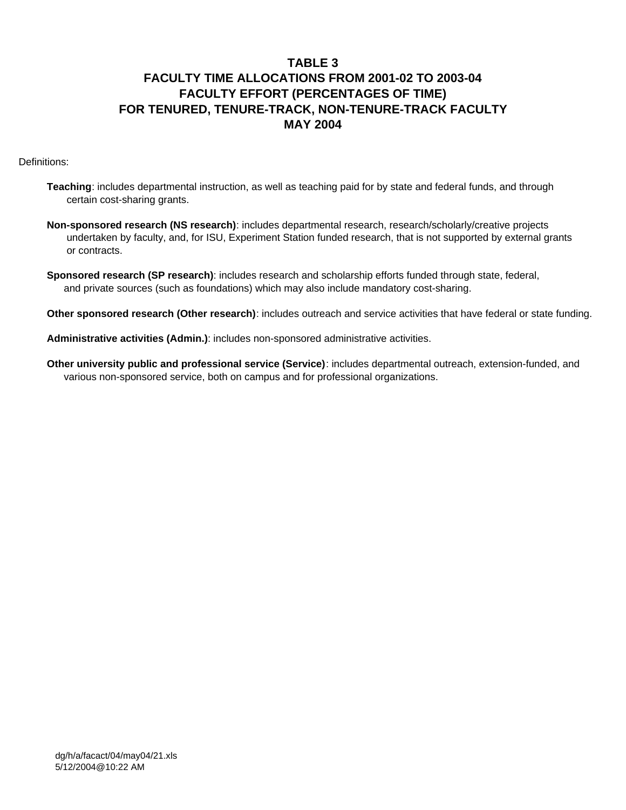# **FACULTY TIME ALLOCATIONS FROM 2001-02 TO 2003-04 FACULTY EFFORT (PERCENTAGES OF TIME) FOR TENURED, TENURE-TRACK, NON-TENURE-TRACK FACULTY MAY 2004**

Definitions:

- **Teaching**: includes departmental instruction, as well as teaching paid for by state and federal funds, and through certain cost-sharing grants.
- **Non-sponsored research (NS research)**: includes departmental research, research/scholarly/creative projects undertaken by faculty, and, for ISU, Experiment Station funded research, that is not supported by external grants or contracts.
- **Sponsored research (SP research)**: includes research and scholarship efforts funded through state, federal, and private sources (such as foundations) which may also include mandatory cost-sharing.

 **Other sponsored research (Other research)**: includes outreach and service activities that have federal or state funding.

 **Administrative activities (Admin.)**: includes non-sponsored administrative activities.

 **Other university public and professional service (Service)**: includes departmental outreach, extension-funded, and various non-sponsored service, both on campus and for professional organizations.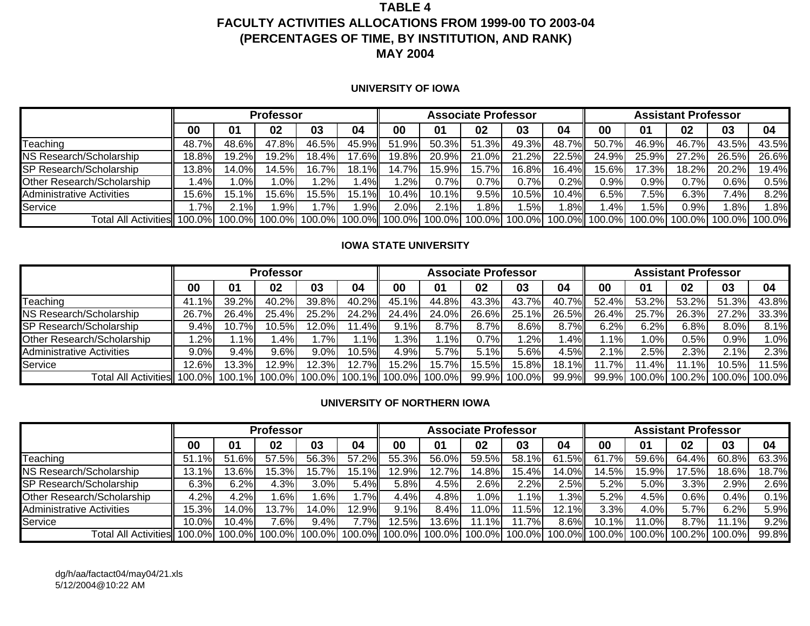## **TABLE 4FACULTY ACTIVITIES ALLOCATIONS FROM 1999-00 TO 2003-04 (PERCENTAGES OF TIME, BY INSTITUTION, AND RANK) MAY 2004**

#### **UNIVERSITY OF IOWA**

|                                  |        | <b>Professor</b>   |          |        |         |       | <b>Associate Professor</b> |        |         | Assistant Professor |        |                                                                                                         |         |                             |        |
|----------------------------------|--------|--------------------|----------|--------|---------|-------|----------------------------|--------|---------|---------------------|--------|---------------------------------------------------------------------------------------------------------|---------|-----------------------------|--------|
|                                  | 00     | 01                 | 02       | 03     | 04      | 00    | 01                         | 02     | 03      | 04                  | 00     | 01                                                                                                      | 02      | 03                          | 04     |
| Teaching                         | 48.7%  | 48.6%              | 47.8%    | 46.5%  | 45.9%   | 51.9% | 50.3%                      | 51.3%  | 49.3%   | 48.7%               | 50.7%  | 46.9%                                                                                                   | 46.7%   | 43.5%                       | 43.5%  |
| NS Research/Scholarship          | 18.8%  | 19.2% <sub>L</sub> | $19.2\%$ | 18.4%  | $7.6\%$ | 19.8% | 20.9%                      | 21.0%  | 21.2%   | 22.5%               | 24.9%  | 25.9%                                                                                                   | 27.2%   | 26.5%                       | 26.6%  |
| SP Research/Scholarship          | 13.8%  | 14.0%              | 14.5%    | 16.7%  | 18.1%   | 14.7% | 15.9%                      | 15.7%  | 16.8%   | 16.4%               | 15.6%l | 17.3%                                                                                                   | 18.2%   | 20.2%                       | 19.4%  |
| Other Research/Scholarship       | .4%    | $.0\%$             | $.0\%$   | $.2\%$ | $.4\%$  | .2%I  | 0.7%                       | 0.7%   | $0.7\%$ | 0.2%                | 0.9%   | 0.9%                                                                                                    | 0.7%    | 0.6%                        | 0.5%   |
| <b>Administrative Activities</b> | 15.6%  | $15.1\%$           | 15.6%    | 15.5%  | 15.1%ll | 10.4% | 10.1%                      | 9.5%   | 10.5%   | 10.4%               | 6.5%   | '.5%                                                                                                    | 6.3%    | $^{\prime}$ .4% $^{\prime}$ | 8.2%   |
| Service                          | $.7\%$ | 2.1%               | .9%      | .7%    | $.9\%$  | 2.0%  | 2.1%                       | $.8\%$ | .5%     | .8%                 | .4%    | .5%                                                                                                     | $0.9\%$ | .8%l                        | $.8\%$ |
| Total All Activities 100.0%      |        | 100.0%             |          |        |         |       |                            |        |         |                     |        | 100.0%  100.0%  100.0%   100.0%  100.0%  100.0%  100.0%  100.0%  100.0%  100.0%  100.0%  100.0%  100.0% |         |                             |        |

#### **IOWA STATE UNIVERSITY**

|                                  |          | <b>Professor</b> |         |        | <b>Associate Professor</b> |                             |        |         |           | Assistant Professor |        |        |         |          |        |
|----------------------------------|----------|------------------|---------|--------|----------------------------|-----------------------------|--------|---------|-----------|---------------------|--------|--------|---------|----------|--------|
|                                  | 00       | 01               | 02      | 03     | 04                         | 00                          | 01     | 02      | 03        | 04                  | 00     | 01     | 02      | 03       | 04     |
| Teaching                         | 41.1%l   | 39.2%l           | 40.2%   | 39.8%  | 40.2%                      | 45.1%                       | 44.8%  | 43.3%   | 43.7%     | 40.7%               | 52.4%  | 53.2%  | 53.2%   | 51.3%    | 43.8%  |
| NS Research/Scholarship          | 26.7%    | 26.4%            | 25.4%   | 25.2%  | 24.2%                      | 24.4%                       | 24.0%  | 26.6%   | 25.1%     | 26.5%               | 26.4%  | 25.7%  | 26.3%   | 27.2%    | 33.3%  |
| SP Research/Scholarship          | $9.4\%$  | 10.7%L           | 10.5%।  | 12.0%। | .4%II                      | 9.1%                        | 8.7%   | 8.7%    | 8.6%      | 8.7%                | 6.2%   | 6.2%   | 6.8%    | $8.0\%$  | 8.1%   |
| Other Research/Scholarship       | $.2\%$   | $.1\%$           | $.4\%$  | .7%    | .1%II                      | $.3\%$                      | $.1\%$ | $0.7\%$ | $.2\%$    | $.4\%$              | $.1\%$ | $.0\%$ | $0.5\%$ | $0.9\%$  | .0%    |
| <b>Administrative Activities</b> | 9.0%     | 9.4%             | 9.6%    | 9.0%   | $10.5\%$                   | 4.9%                        | 5.7%   | 5.1%    | 5.6%      | 4.5%                | 2.1%   | 2.5%   | 2.3%    | 2.1%     | 2.3%   |
| Service                          | $12.6\%$ | 13.3%            | 12.9%   | 12.3%  | 12.7%                      | 15.2%                       | 15.7%  | 15.5%   | 15.8%     | 18.1%               | $.7\%$ | $.4\%$ | ີ 1%⊧   | $10.5\%$ | 11.5%  |
| Total All Activities             | 100.0%   | 1%I              | 100.0%L |        |                            | 100.0% 100.1% 100.0% 100.0% |        | 99.9%   | $100.0\%$ | 99.9%               | 99.9%  | 100.0% | 100.2%  | 100.0%   | 100.0% |

#### **UNIVERSITY OF NORTHERN IOWA**

|                                |           | <b>Professor</b> |        |       |            |       | <b>Associate Professor</b> |                                                                       |         | <b>Assistant Professor</b> |            |         |       |               |       |
|--------------------------------|-----------|------------------|--------|-------|------------|-------|----------------------------|-----------------------------------------------------------------------|---------|----------------------------|------------|---------|-------|---------------|-------|
|                                | 00        | 01               | 02     | 03    | 04         | 00    | 01                         | 02                                                                    | 03      | 04                         | 00         | 01      | 02    | 03            | 04    |
| Teaching                       | 51.1%     | .6%I<br>51       | 57.5%  | 56.3% | 57.2%      | 55.3% | 56.0%                      | 59.5%                                                                 | 58.1%   | 61.5%                      | .7%<br>-61 | 59.6%   | 64.4% | 60.8%         | 63.3% |
| NS Research/Scholarship        | 13.1%     | 13.6%            | 15.3%  | 15.7% | .1%<br>15. | 12.9% | 12.7%                      | 14.8%                                                                 | 15.4%   | 14.0%                      | 14.5%      | 15.9%   | 7.5%  | 18.6%         | 18.7% |
| <b>SP Research/Scholarship</b> | 6.3%      | 6.2%             | 4.3%   | 3.0%  | 5.4%       | 5.8%  | 4.5%                       | 2.6%                                                                  | 2.2%    | 2.5%                       | 5.2%       | 5.0%    | 3.3%  | 2.9%          | 2.6%  |
| Other Research/Scholarship     | 4.2%      | 4.2%             | $.6\%$ | .6%   | $.7\%$     | 4.4%  | 4.8%                       | $.0\%$                                                                | $.1\%$  | $.3\%$                     | 5.2%       | 4.5%    | 0.6%  | 0.4%          | 0.1%  |
| Administrative Activities      | 15.3%     | 14.0%I           | 13.7%  | 14.0% | 12.9%      | 9.1%  | 8.4%                       | $1.0\%$                                                               | $.5\%$  | 12.1%                      | 3.3%       | 4.0%    | 5.7%  | 6.2%          | 5.9%  |
| Service                        | 10.0%     | 10.4%            | 7.6%   | 9.4%  | 7.7%       | 12.5% | 13.6%                      | $1.1\%$                                                               | $1.7\%$ | 8.6%                       | 10.1%      | $1.0\%$ | 8.7%  | $11.1\%$      | 9.2%  |
| Total All Activities           | $100.0\%$ | 100.0%           |        |       |            |       |                            | 100.0% 100.0% 100.0% 100.0% 100.0% 100.0% 100.0% 100.0% 100.0% 100.0% |         |                            |            | 100.0%  |       | 100.2% 100.0% | 99.8% |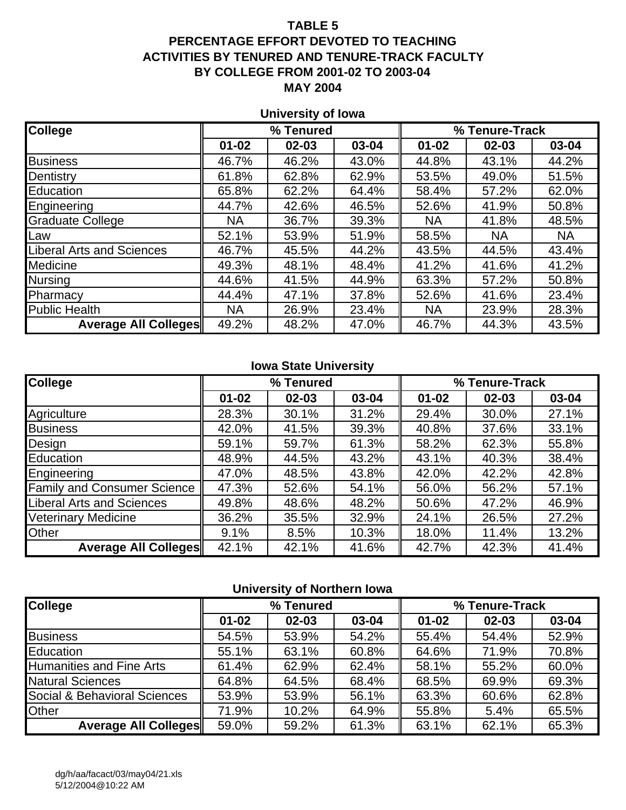## **PERCENTAGE EFFORT DEVOTED TO TEACHING ACTIVITIES BY TENURED AND TENURE-TRACK FACULTY BY COLLEGE FROM 2001-02 TO 2003-04 MAY 2004**

## **University of Iowa**

| <b>College</b>                   |           | % Tenured |       |           | % Tenure-Track |           |
|----------------------------------|-----------|-----------|-------|-----------|----------------|-----------|
|                                  | $01 - 02$ | $02 - 03$ | 03-04 | $01 - 02$ | $02 - 03$      | 03-04     |
| <b>Business</b>                  | 46.7%     | 46.2%     | 43.0% | 44.8%     | 43.1%          | 44.2%     |
| Dentistry                        | 61.8%     | 62.8%     | 62.9% | 53.5%     | 49.0%          | 51.5%     |
| Education                        | 65.8%     | 62.2%     | 64.4% | 58.4%     | 57.2%          | 62.0%     |
| Engineering                      | 44.7%     | 42.6%     | 46.5% | 52.6%     | 41.9%          | 50.8%     |
| <b>Graduate College</b>          | <b>NA</b> | 36.7%     | 39.3% | <b>NA</b> | 41.8%          | 48.5%     |
| Law                              | 52.1%     | 53.9%     | 51.9% | 58.5%     | <b>NA</b>      | <b>NA</b> |
| <b>Liberal Arts and Sciences</b> | 46.7%     | 45.5%     | 44.2% | 43.5%     | 44.5%          | 43.4%     |
| <b>Medicine</b>                  | 49.3%     | 48.1%     | 48.4% | 41.2%     | 41.6%          | 41.2%     |
| Nursing                          | 44.6%     | 41.5%     | 44.9% | 63.3%     | 57.2%          | 50.8%     |
| Pharmacy                         | 44.4%     | 47.1%     | 37.8% | 52.6%     | 41.6%          | 23.4%     |
| <b>Public Health</b>             | <b>NA</b> | 26.9%     | 23.4% | <b>NA</b> | 23.9%          | 28.3%     |
| <b>Average All Colleges</b>      | 49.2%     | 48.2%     | 47.0% | 46.7%     | 44.3%          | 43.5%     |

### **Iowa State University**

| <b>College</b>                     |           | % Tenured |       |           | % Tenure-Track |       |
|------------------------------------|-----------|-----------|-------|-----------|----------------|-------|
|                                    | $01 - 02$ | $02 - 03$ | 03-04 | $01 - 02$ | $02 - 03$      | 03-04 |
| Agriculture                        | 28.3%     | 30.1%     | 31.2% | 29.4%     | 30.0%          | 27.1% |
| <b>Business</b>                    | 42.0%     | 41.5%     | 39.3% | 40.8%     | 37.6%          | 33.1% |
| Design                             | 59.1%     | 59.7%     | 61.3% | 58.2%     | 62.3%          | 55.8% |
| Education                          | 48.9%     | 44.5%     | 43.2% | 43.1%     | 40.3%          | 38.4% |
| Engineering                        | 47.0%     | 48.5%     | 43.8% | 42.0%     | 42.2%          | 42.8% |
| <b>Family and Consumer Science</b> | 47.3%     | 52.6%     | 54.1% | 56.0%     | 56.2%          | 57.1% |
| <b>Liberal Arts and Sciences</b>   | 49.8%     | 48.6%     | 48.2% | 50.6%     | 47.2%          | 46.9% |
| <b>Veterinary Medicine</b>         | 36.2%     | 35.5%     | 32.9% | 24.1%     | 26.5%          | 27.2% |
| <b>Other</b>                       | 9.1%      | 8.5%      | 10.3% | 18.0%     | 11.4%          | 13.2% |
| <b>Average All Colleges</b>        | 42.1%     | 42.1%     | 41.6% | 42.7%     | 42.3%          | 41.4% |

### **University of Northern Iowa**

| <b>College</b>                  |           | % Tenured |       |           | % Tenure-Track |       |
|---------------------------------|-----------|-----------|-------|-----------|----------------|-------|
|                                 | $01 - 02$ | $02 - 03$ | 03-04 | $01 - 02$ | $02 - 03$      | 03-04 |
| <b>Business</b>                 | 54.5%     | 53.9%     | 54.2% | 55.4%     | 54.4%          | 52.9% |
| Education                       | 55.1%     | 63.1%     | 60.8% | 64.6%     | 71.9%          | 70.8% |
| <b>Humanities and Fine Arts</b> | 61.4%     | 62.9%     | 62.4% | 58.1%     | 55.2%          | 60.0% |
| <b>Natural Sciences</b>         | 64.8%     | 64.5%     | 68.4% | 68.5%     | 69.9%          | 69.3% |
| Social & Behavioral Sciences    | 53.9%     | 53.9%     | 56.1% | 63.3%     | 60.6%          | 62.8% |
| <b>Other</b>                    | 71.9%     | 10.2%     | 64.9% | 55.8%     | 5.4%           | 65.5% |
| <b>Average All Colleges</b>     | 59.0%     | 59.2%     | 61.3% | 63.1%     | 62.1%          | 65.3% |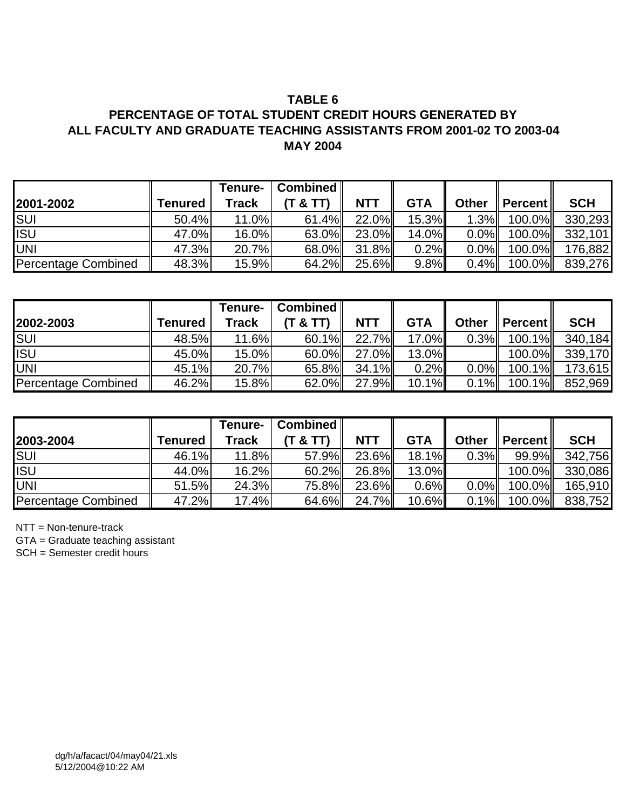## **PERCENTAGE OF TOTAL STUDENT CREDIT HOURS GENERATED BY ALL FACULTY AND GRADUATE TEACHING ASSISTANTS FROM 2001-02 TO 2003-04 MAY 2004**

| 2001-2002                  | <b>Tenured</b> | Tenure-<br>Track | Combined<br>(T 8 T) | <b>NTT</b> | <b>GTA</b> | <b>Other</b> | $\parallel$ Percent $\parallel$ | <b>SCH</b> |
|----------------------------|----------------|------------------|---------------------|------------|------------|--------------|---------------------------------|------------|
| <b>SUI</b>                 | 50.4%          | 11.0%            | $61.4\%$            | 22.0%      | $15.3\%$   | 1.3%         | $100.0\%$                       | 330,293    |
| <b>ISU</b>                 | 47.0%          | 16.0%            | $63.0\%$            | 23.0%      | $14.0\%$   | $0.0\%$      | 100.0% <b>II</b>                | 332,101    |
| <b>UNI</b>                 | 47.3%          | 20.7%            | 68.0%               | $31.8\%$   | 0.2%       | $0.0\%$      | $100.0\%$                       | 176,882    |
| <b>Percentage Combined</b> | 48.3%          | 15.9%            | 64.2%               | 25.6%      | 9.8%       | 0.4%         | $100.0\%$                       | 839,276    |

|                            |                | <b>Tenure-</b> | Combined $\ $ |            |            |              |                                 |            |
|----------------------------|----------------|----------------|---------------|------------|------------|--------------|---------------------------------|------------|
| 2002-2003                  | <b>Tenured</b> | Track          | (T & T)       | <b>NTT</b> | <b>GTA</b> | <b>Other</b> | $\parallel$ Percent $\parallel$ | <b>SCH</b> |
| SUI                        | 48.5%          | 11.6%          | $60.1\%$      | 22.7%      | $17.0\%$   | 0.3%         | $100.1\%$                       | 340,184    |
| <b>ISU</b>                 | 45.0%          | 15.0%          | 60.0%         | 27.0%      | $13.0\%$   |              | $100.0\%$                       | 339,170    |
| UNI                        | 45.1%          | 20.7%          | 65.8%         | $34.1\%$   | 0.2%       | $0.0\%$      | $100.1\%$                       | 173,615    |
| <b>Percentage Combined</b> | 46.2%          | 15.8%          | $62.0\%$      | $27.9\%$   | $10.1\%$   | 0.1%         | $100.1\%$                       | 852,969    |

|                            |                | Tenure-      | $\vert$ Combined $\vert\vert$ |            |            |              |                                 |            |
|----------------------------|----------------|--------------|-------------------------------|------------|------------|--------------|---------------------------------|------------|
| 2003-2004                  | <b>Tenured</b> | <b>Track</b> | (T & T)                       | <b>NTT</b> | <b>GTA</b> | <b>Other</b> | $\parallel$ Percent $\parallel$ | <b>SCH</b> |
| <b>SUI</b>                 | 46.1%          | 11.8%        | 57.9%                         | 23.6%      | $18.1\%$   | 0.3%         | 99.9%                           | 342,756    |
| <b>ISU</b>                 | 44.0%          | 16.2%        | 60.2%                         | $26.8\%$   | $13.0\%$   |              | $100.0\%$                       | 330,086    |
| <b>UNI</b>                 | 51.5%          | 24.3%        | 75.8%                         | 23.6%      | $0.6\%$    | $0.0\%$      | $100.0\%$                       | 165,910    |
| <b>Percentage Combined</b> | 47.2%          | 17.4%        | 64.6%                         | 24.7%      | $10.6\%$   | $0.1\%$      | $100.0\%$                       | 838,752    |

NTT = Non-tenure-track

GTA = Graduate teaching assistant

SCH = Semester credit hours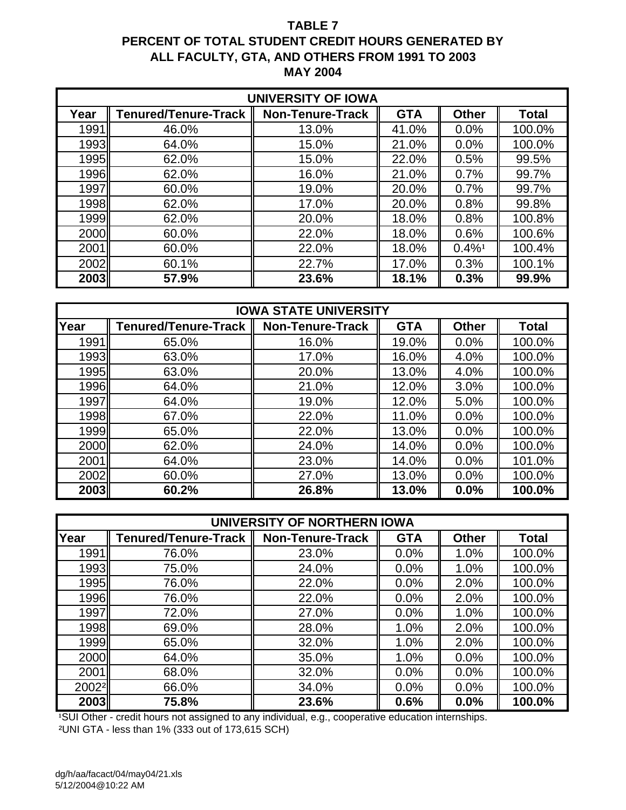## **TABLE 7 PERCENT OF TOTAL STUDENT CREDIT HOURS GENERATED BY ALL FACULTY, GTA, AND OTHERS FROM 1991 TO 2003 MAY 2004**

| <b>UNIVERSITY OF IOWA</b> |                      |                         |            |                      |              |  |  |  |  |  |
|---------------------------|----------------------|-------------------------|------------|----------------------|--------------|--|--|--|--|--|
| Year                      | Tenured/Tenure-Track | <b>Non-Tenure-Track</b> | <b>GTA</b> | <b>Other</b>         | <b>Total</b> |  |  |  |  |  |
| 1991                      | 46.0%                | 13.0%                   | 41.0%      | 0.0%                 | 100.0%       |  |  |  |  |  |
| 1993                      | 64.0%                | 15.0%                   | 21.0%      | 0.0%                 | 100.0%       |  |  |  |  |  |
| 1995                      | 62.0%                | 15.0%                   | 22.0%      | 0.5%                 | 99.5%        |  |  |  |  |  |
| 1996 <sup></sup>          | 62.0%                | 16.0%                   | 21.0%      | 0.7%                 | 99.7%        |  |  |  |  |  |
| 1997                      | 60.0%                | 19.0%                   | 20.0%      | 0.7%                 | 99.7%        |  |  |  |  |  |
| 1998                      | 62.0%                | 17.0%                   | 20.0%      | 0.8%                 | 99.8%        |  |  |  |  |  |
| 1999                      | 62.0%                | 20.0%                   | 18.0%      | 0.8%                 | 100.8%       |  |  |  |  |  |
| 2000                      | 60.0%                | 22.0%                   | 18.0%      | 0.6%                 | 100.6%       |  |  |  |  |  |
| 2001                      | 60.0%                | 22.0%                   | 18.0%      | $0.4\%$ <sup>1</sup> | 100.4%       |  |  |  |  |  |
| 2002                      | 60.1%                | 22.7%                   | 17.0%      | 0.3%                 | 100.1%       |  |  |  |  |  |
| 2003                      | 57.9%                | 23.6%                   | 18.1%      | 0.3%                 | 99.9%        |  |  |  |  |  |

|             |                             | <b>IOWA STATE UNIVERSITY</b> |            |              |        |
|-------------|-----------------------------|------------------------------|------------|--------------|--------|
| Year        | <b>Tenured/Tenure-Track</b> | <b>Non-Tenure-Track</b>      | <b>GTA</b> | <b>Other</b> | Total  |
| 1991        | 65.0%                       | 16.0%                        | 19.0%      | 0.0%         | 100.0% |
| 1993        | 63.0%                       | 17.0%                        | 16.0%      | 4.0%         | 100.0% |
| 1995        | 63.0%                       | 20.0%                        | 13.0%      | 4.0%         | 100.0% |
| 1996        | 64.0%                       | 21.0%                        | 12.0%      | 3.0%         | 100.0% |
| 1997        | 64.0%                       | 19.0%                        | 12.0%      | 5.0%         | 100.0% |
| 1998        | 67.0%                       | 22.0%                        | 11.0%      | 0.0%         | 100.0% |
| 1999        | 65.0%                       | 22.0%                        | 13.0%      | 0.0%         | 100.0% |
| <b>2000</b> | 62.0%                       | 24.0%                        | 14.0%      | 0.0%         | 100.0% |
| 2001        | 64.0%                       | 23.0%                        | 14.0%      | 0.0%         | 101.0% |
| 2002        | 60.0%                       | 27.0%                        | 13.0%      | 0.0%         | 100.0% |
| 2003        | 60.2%                       | 26.8%                        | 13.0%      | 0.0%         | 100.0% |

|                  |                      | UNIVERSITY OF NORTHERN IOWA |            |              |              |
|------------------|----------------------|-----------------------------|------------|--------------|--------------|
| Year             | Tenured/Tenure-Track | <b>Non-Tenure-Track</b>     | <b>GTA</b> | <b>Other</b> | <b>Total</b> |
| 1991             | 76.0%                | 23.0%                       | 0.0%       | 1.0%         | 100.0%       |
| 1993             | 75.0%                | 24.0%                       | 0.0%       | 1.0%         | 100.0%       |
| 1995 <sup></sup> | 76.0%                | 22.0%                       | 0.0%       | 2.0%         | 100.0%       |
| 1996 <sup></sup> | 76.0%                | 22.0%                       | 0.0%       | 2.0%         | 100.0%       |
| 1997             | 72.0%                | 27.0%                       | 0.0%       | 1.0%         | 100.0%       |
| 1998             | 69.0%                | 28.0%                       | 1.0%       | 2.0%         | 100.0%       |
| 1999             | 65.0%                | 32.0%                       | 1.0%       | 2.0%         | 100.0%       |
| 2000             | 64.0%                | 35.0%                       | 1.0%       | 0.0%         | 100.0%       |
| 2001             | 68.0%                | 32.0%                       | 0.0%       | 0.0%         | 100.0%       |
| 20022            | 66.0%                | 34.0%                       | 0.0%       | 0.0%         | 100.0%       |
| 2003             | 75.8%                | 23.6%                       | 0.6%       | 0.0%         | 100.0%       |

<sup>1</sup>SUI Other - credit hours not assigned to any individual, e.g., cooperative education internships. ²UNI GTA - less than 1% (333 out of 173,615 SCH)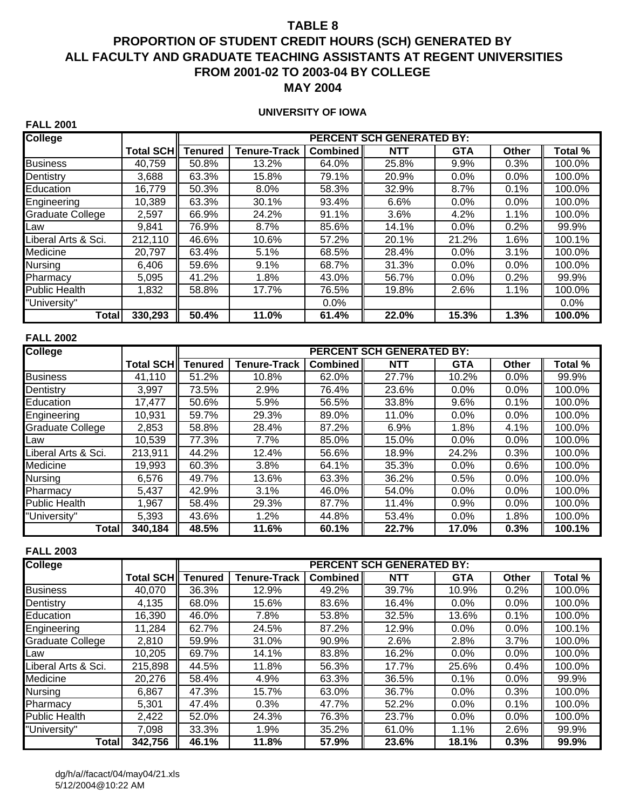## **PROPORTION OF STUDENT CREDIT HOURS (SCH) GENERATED BY ALL FACULTY AND GRADUATE TEACHING ASSISTANTS AT REGENT UNIVERSITIES FROM 2001-02 TO 2003-04 BY COLLEGE MAY 2004**

#### **UNIVERSITY OF IOWA**

| <b>College</b>          |                  |                |                     |          | <b>PERCENT SCH GENERATED BY:</b> |            |         |         |
|-------------------------|------------------|----------------|---------------------|----------|----------------------------------|------------|---------|---------|
|                         | <b>Total SCH</b> | <b>Tenured</b> | <b>Tenure-Track</b> | Combined | <b>NTT</b>                       | <b>GTA</b> | Other   | Total % |
| <b>Business</b>         | 40,759           | 50.8%          | 13.2%               | 64.0%    | 25.8%                            | 9.9%       | 0.3%    | 100.0%  |
| Dentistry               | 3,688            | 63.3%          | 15.8%               | 79.1%    | 20.9%                            | 0.0%       | 0.0%    | 100.0%  |
| Education               | 16,779           | 50.3%          | 8.0%                | 58.3%    | 32.9%                            | 8.7%       | 0.1%    | 100.0%  |
| Engineering             | 10,389           | 63.3%          | 30.1%               | 93.4%    | 6.6%                             | 0.0%       | 0.0%    | 100.0%  |
| <b>Graduate College</b> | 2,597            | 66.9%          | 24.2%               | 91.1%    | 3.6%                             | 4.2%       | 1.1%    | 100.0%  |
| Law                     | 9,841            | 76.9%          | 8.7%                | 85.6%    | 14.1%                            | $0.0\%$    | 0.2%    | 99.9%   |
| Liberal Arts & Sci.     | 212,110          | 46.6%          | 10.6%               | 57.2%    | 20.1%                            | 21.2%      | 1.6%    | 100.1%  |
| Medicine                | 20,797           | 63.4%          | 5.1%                | 68.5%    | 28.4%                            | $0.0\%$    | 3.1%    | 100.0%  |
| <b>Nursing</b>          | 6,406            | 59.6%          | 9.1%                | 68.7%    | 31.3%                            | $0.0\%$    | $0.0\%$ | 100.0%  |
| Pharmacy                | 5,095            | 41.2%          | 1.8%                | 43.0%    | 56.7%                            | 0.0%       | 0.2%    | 99.9%   |
| <b>Public Health</b>    | 1,832            | 58.8%          | 17.7%               | 76.5%    | 19.8%                            | 2.6%       | 1.1%    | 100.0%  |
| "University"            |                  |                |                     | $0.0\%$  |                                  |            |         | $0.0\%$ |
| Total                   | 330,293          | 50.4%          | 11.0%               | 61.4%    | 22.0%                            | 15.3%      | 1.3%    | 100.0%  |

#### **FALL 2002**

**FALL 2001**

| <b>College</b>       |              |                |                     |          | <b>PERCENT SCH GENERATED BY:</b> |            |              |         |
|----------------------|--------------|----------------|---------------------|----------|----------------------------------|------------|--------------|---------|
|                      | Total SCH II | <b>Tenured</b> | <b>Tenure-Track</b> | Combined | <b>NTT</b>                       | <b>GTA</b> | <b>Other</b> | Total % |
| <b>Business</b>      | 41,110       | 51.2%          | 10.8%               | 62.0%    | 27.7%                            | 10.2%      | 0.0%         | 99.9%   |
| Dentistry            | 3,997        | 73.5%          | 2.9%                | 76.4%    | 23.6%                            | 0.0%       | 0.0%         | 100.0%  |
| Education            | 17,477       | 50.6%          | 5.9%                | 56.5%    | 33.8%                            | 9.6%       | 0.1%         | 100.0%  |
| Engineering          | 10,931       | 59.7%          | 29.3%               | 89.0%    | 11.0%                            | 0.0%       | 0.0%         | 100.0%  |
| Graduate College     | 2,853        | 58.8%          | 28.4%               | 87.2%    | 6.9%                             | 1.8%       | 4.1%         | 100.0%  |
| Law                  | 10,539       | 77.3%          | 7.7%                | 85.0%    | 15.0%                            | 0.0%       | 0.0%         | 100.0%  |
| Liberal Arts & Sci.  | 213,911      | 44.2%          | 12.4%               | 56.6%    | 18.9%                            | 24.2%      | 0.3%         | 100.0%  |
| Medicine             | 19,993       | 60.3%          | 3.8%                | 64.1%    | 35.3%                            | 0.0%       | 0.6%         | 100.0%  |
| Nursing              | 6,576        | 49.7%          | 13.6%               | 63.3%    | 36.2%                            | 0.5%       | 0.0%         | 100.0%  |
| Pharmacy             | 5,437        | 42.9%          | 3.1%                | 46.0%    | 54.0%                            | 0.0%       | 0.0%         | 100.0%  |
| <b>Public Health</b> | 1,967        | 58.4%          | 29.3%               | 87.7%    | 11.4%                            | 0.9%       | 0.0%         | 100.0%  |
| "University"         | 5,393        | 43.6%          | 1.2%                | 44.8%    | 53.4%                            | 0.0%       | 1.8%         | 100.0%  |
| Total                | 340,184      | 48.5%          | 11.6%               | 60.1%    | 22.7%                            | 17.0%      | 0.3%         | 100.1%  |

| <b>College</b>          |            |                |                     |          | <b>PERCENT SCH GENERATED BY:</b> |            |              |         |
|-------------------------|------------|----------------|---------------------|----------|----------------------------------|------------|--------------|---------|
|                         | Total SCH∥ | <b>Tenured</b> | <b>Tenure-Track</b> | Combined | <b>NTT</b>                       | <b>GTA</b> | <b>Other</b> | Total % |
| <b>Business</b>         | 40,070     | 36.3%          | 12.9%               | 49.2%    | 39.7%                            | 10.9%      | 0.2%         | 100.0%  |
| Dentistry               | 4.135      | 68.0%          | 15.6%               | 83.6%    | 16.4%                            | $0.0\%$    | $0.0\%$      | 100.0%  |
| Education               | 16,390     | 46.0%          | 7.8%                | 53.8%    | 32.5%                            | 13.6%      | 0.1%         | 100.0%  |
| Engineering             | 11,284     | 62.7%          | 24.5%               | 87.2%    | 12.9%                            | $0.0\%$    | $0.0\%$      | 100.1%  |
| <b>Graduate College</b> | 2.810      | 59.9%          | 31.0%               | 90.9%    | 2.6%                             | 2.8%       | 3.7%         | 100.0%  |
| Law                     | 10,205     | 69.7%          | 14.1%               | 83.8%    | 16.2%                            | $0.0\%$    | $0.0\%$      | 100.0%  |
| Liberal Arts & Sci.     | 215,898    | 44.5%          | 11.8%               | 56.3%    | 17.7%                            | 25.6%      | 0.4%         | 100.0%  |
| Medicine                | 20.276     | 58.4%          | 4.9%                | 63.3%    | 36.5%                            | 0.1%       | $0.0\%$      | 99.9%   |
| Nursing                 | 6,867      | 47.3%          | 15.7%               | 63.0%    | 36.7%                            | $0.0\%$    | 0.3%         | 100.0%  |
| Pharmacy                | 5,301      | 47.4%          | 0.3%                | 47.7%    | 52.2%                            | 0.0%       | 0.1%         | 100.0%  |
| <b>Public Health</b>    | 2,422      | 52.0%          | 24.3%               | 76.3%    | 23.7%                            | $0.0\%$    | $0.0\%$      | 100.0%  |
| "University"            | 7,098      | 33.3%          | 1.9%                | 35.2%    | 61.0%                            | 1.1%       | 2.6%         | 99.9%   |
| Total                   | 342,756    | 46.1%          | 11.8%               | 57.9%    | 23.6%                            | 18.1%      | 0.3%         | 99.9%   |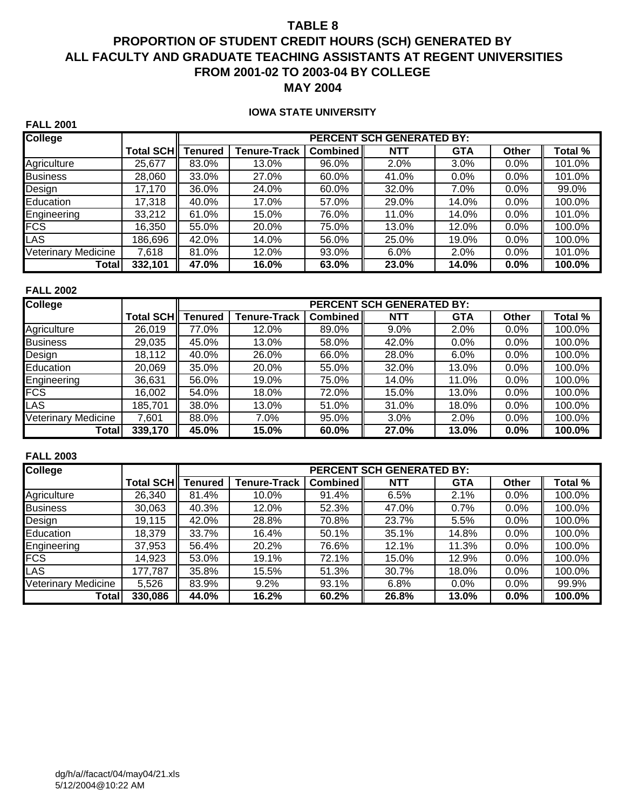# **PROPORTION OF STUDENT CREDIT HOURS (SCH) GENERATED BY ALL FACULTY AND GRADUATE TEACHING ASSISTANTS AT REGENT UNIVERSITIES FROM 2001-02 TO 2003-04 BY COLLEGE MAY 2004**

#### **IOWA STATE UNIVERSITY**

| <b>College</b>             |           |                |                     |                 | <b>PERCENT SCH GENERATED BY:</b> |            |              |         |
|----------------------------|-----------|----------------|---------------------|-----------------|----------------------------------|------------|--------------|---------|
|                            | Total SCH | <b>Tenured</b> | <b>Tenure-Track</b> | <b>Combined</b> | <b>NTT</b>                       | <b>GTA</b> | <b>Other</b> | Total % |
| Agriculture                | 25,677    | 83.0%          | 13.0%               | 96.0%           | 2.0%                             | 3.0%       | 0.0%         | 101.0%  |
| <b>Business</b>            | 28,060    | 33.0%          | 27.0%               | 60.0%           | 41.0%                            | $0.0\%$    | $0.0\%$      | 101.0%  |
| Design                     | 17,170    | 36.0%          | 24.0%               | 60.0%           | 32.0%                            | 7.0%       | 0.0%         | 99.0%   |
| Education                  | 17,318    | 40.0%          | 17.0%               | 57.0%           | 29.0%                            | 14.0%      | 0.0%         | 100.0%  |
| Engineering                | 33.212    | 61.0%          | 15.0%               | 76.0%           | 11.0%                            | 14.0%      | 0.0%         | 101.0%  |
| <b>FCS</b>                 | 16,350    | 55.0%          | 20.0%               | 75.0%           | 13.0%                            | 12.0%      | 0.0%         | 100.0%  |
| <b>LAS</b>                 | 186,696   | 42.0%          | 14.0%               | 56.0%           | 25.0%                            | 19.0%      | 0.0%         | 100.0%  |
| <b>Veterinary Medicine</b> | 7.618     | 81.0%          | 12.0%               | 93.0%           | 6.0%                             | 2.0%       | 0.0%         | 101.0%  |
| Total                      | 332,101   | 47.0%          | 16.0%               | 63.0%           | 23.0%                            | 14.0%      | $0.0\%$      | 100.0%  |

#### **FALL 2002**

**FALL 2001**

| <b>College</b>             |            |                |                     |                 | <b>PERCENT SCH GENERATED BY:</b> |            |              |         |
|----------------------------|------------|----------------|---------------------|-----------------|----------------------------------|------------|--------------|---------|
|                            | Total SCH∥ | <b>Tenured</b> | <b>Tenure-Track</b> | <b>Combined</b> | <b>NTT</b>                       | <b>GTA</b> | <b>Other</b> | Total % |
| Agriculture                | 26,019     | 77.0%          | 12.0%               | 89.0%           | $9.0\%$                          | 2.0%       | 0.0%         | 100.0%  |
| <b>Business</b>            | 29,035     | 45.0%          | 13.0%               | 58.0%           | 42.0%                            | $0.0\%$    | 0.0%         | 100.0%  |
| Design                     | 18,112     | 40.0%          | 26.0%               | 66.0%           | 28.0%                            | $6.0\%$    | 0.0%         | 100.0%  |
| Education                  | 20,069     | 35.0%          | 20.0%               | 55.0%           | 32.0%                            | 13.0%      | 0.0%         | 100.0%  |
| Engineering                | 36,631     | 56.0%          | 19.0%               | 75.0%           | 14.0%                            | 11.0%      | 0.0%         | 100.0%  |
| <b>FCS</b>                 | 16,002     | 54.0%          | 18.0%               | 72.0%           | 15.0%                            | 13.0%      | 0.0%         | 100.0%  |
| LAS                        | 185,701    | 38.0%          | 13.0%               | 51.0%           | 31.0%                            | 18.0%      | 0.0%         | 100.0%  |
| <b>Veterinary Medicine</b> | 7,601      | 88.0%          | $7.0\%$             | 95.0%           | 3.0%                             | 2.0%       | 0.0%         | 100.0%  |
| Total                      | 339,170    | 45.0%          | 15.0%               | 60.0%           | 27.0%                            | 13.0%      | 0.0%         | 100.0%  |

| <b>College</b>         |           |                |                     |          | <b>PERCENT SCH GENERATED BY:</b> |            |         |         |
|------------------------|-----------|----------------|---------------------|----------|----------------------------------|------------|---------|---------|
|                        | Total SCH | <b>Tenured</b> | <b>Tenure-Track</b> | Combined | <b>NTT</b>                       | <b>GTA</b> | Other   | Total % |
| Agriculture            | 26,340    | 81.4%          | 10.0%               | 91.4%    | 6.5%                             | 2.1%       | 0.0%    | 100.0%  |
| <b>Business</b>        | 30,063    | 40.3%          | 12.0%               | 52.3%    | 47.0%                            | 0.7%       | 0.0%    | 100.0%  |
| Design                 | 19.115    | 42.0%          | 28.8%               | 70.8%    | 23.7%                            | 5.5%       | $0.0\%$ | 100.0%  |
| Education              | 18,379    | 33.7%          | 16.4%               | 50.1%    | 35.1%                            | 14.8%      | $0.0\%$ | 100.0%  |
| Engineering            | 37,953    | 56.4%          | 20.2%               | 76.6%    | 12.1%                            | 11.3%      | 0.0%    | 100.0%  |
| <b>FCS</b>             | 14,923    | 53.0%          | 19.1%               | 72.1%    | 15.0%                            | 12.9%      | $0.0\%$ | 100.0%  |
| <b>LAS</b>             | 177,787   | 35.8%          | 15.5%               | 51.3%    | 30.7%                            | 18.0%      | 0.0%    | 100.0%  |
| Veterinary<br>Medicine | 5,526     | 83.9%          | 9.2%                | 93.1%    | 6.8%                             | $0.0\%$    | 0.0%    | 99.9%   |
| Total                  | 330,086   | 44.0%          | 16.2%               | 60.2%    | 26.8%                            | 13.0%      | $0.0\%$ | 100.0%  |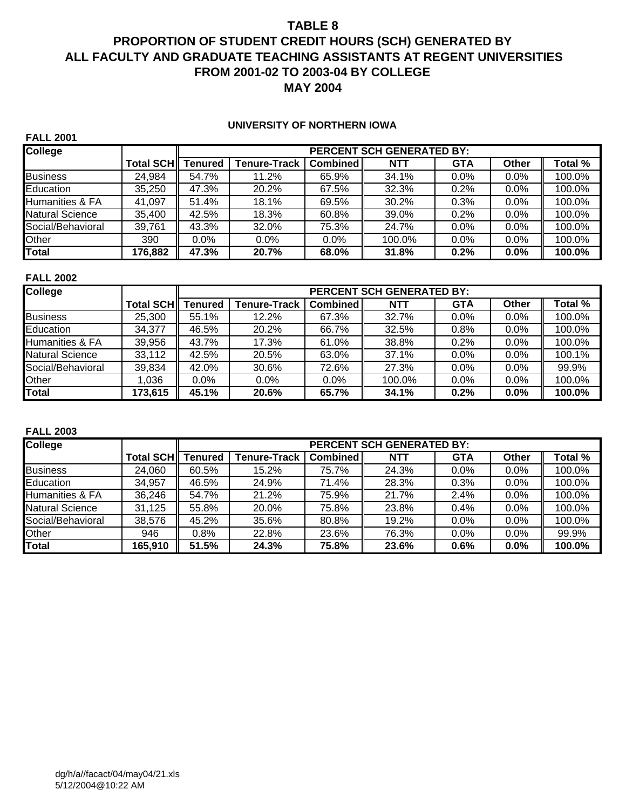# **PROPORTION OF STUDENT CREDIT HOURS (SCH) GENERATED BY ALL FACULTY AND GRADUATE TEACHING ASSISTANTS AT REGENT UNIVERSITIES FROM 2001-02 TO 2003-04 BY COLLEGE MAY 2004**

#### **UNIVERSITY OF NORTHERN IOWA**

| <b>FALL 2001</b>                                   |                   |                |                     |          |            |            |              |         |
|----------------------------------------------------|-------------------|----------------|---------------------|----------|------------|------------|--------------|---------|
| <b>College</b><br><b>PERCENT SCH GENERATED BY:</b> |                   |                |                     |          |            |            |              |         |
|                                                    | <b>Total SCHI</b> | <b>Tenured</b> | <b>Tenure-Track</b> | Combined | <b>NTT</b> | <b>GTA</b> | <b>Other</b> | Total % |
| <b>Business</b>                                    | 24.984            | 54.7%          | 11.2%               | 65.9%    | 34.1%      | $0.0\%$    | $0.0\%$      | 100.0%  |
| Education                                          | 35,250            | 47.3%          | 20.2%               | 67.5%    | 32.3%      | 0.2%       | $0.0\%$      | 100.0%  |
| <b>Humanities &amp; FA</b>                         | 41.097            | 51.4%          | 18.1%               | 69.5%    | 30.2%      | 0.3%       | $0.0\%$      | 100.0%  |
| <b>Natural Science</b>                             | 35.400            | 42.5%          | 18.3%               | 60.8%    | 39.0%      | 0.2%       | 0.0%         | 100.0%  |
| Social/Behavioral                                  | 39,761            | 43.3%          | 32.0%               | 75.3%    | 24.7%      | 0.0%       | 0.0%         | 100.0%  |
| Other                                              | 390               | $0.0\%$        | $0.0\%$             | $0.0\%$  | 100.0%     | $0.0\%$    | $0.0\%$      | 100.0%  |
| <b>Total</b>                                       | 176,882           | 47.3%          | 20.7%               | 68.0%    | 31.8%      | 0.2%       | $0.0\%$      | 100.0%  |

#### **FALL 2002**

| <b>College</b>         |           |                |                     |          | <b>PERCENT SCH GENERATED BY:</b> |            |              |         |
|------------------------|-----------|----------------|---------------------|----------|----------------------------------|------------|--------------|---------|
|                        | Total SCH | <b>Tenured</b> | <b>Tenure-Track</b> | Combined | <b>NTT</b>                       | <b>GTA</b> | <b>Other</b> | Total % |
| <b>Business</b>        | 25,300    | 55.1%          | 12.2%               | 67.3%    | 32.7%                            | 0.0%       | 0.0%         | 100.0%  |
| Education              | 34.377    | 46.5%          | 20.2%               | 66.7%    | 32.5%                            | 0.8%       | $0.0\%$      | 100.0%  |
| Humanities & FA        | 39,956    | 43.7%          | 17.3%               | 61.0%    | 38.8%                            | 0.2%       | $0.0\%$      | 100.0%  |
| <b>Natural Science</b> | 33,112    | 42.5%          | 20.5%               | 63.0%    | 37.1%                            | 0.0%       | 0.0%         | 100.1%  |
| Social/Behavioral      | 39,834    | 42.0%          | 30.6%               | 72.6%    | 27.3%                            | 0.0%       | 0.0%         | 99.9%   |
| Other                  | 1.036     | 0.0%           | $0.0\%$             | $0.0\%$  | 100.0%                           | 0.0%       | 0.0%         | 100.0%  |
| <b>Total</b>           | 173,615   | 45.1%          | 20.6%               | 65.7%    | 34.1%                            | 0.2%       | 0.0%         | 100.0%  |

| <b>College</b>             |           |                | <b>PERCENT SCH GENERATED BY:</b> |                 |            |            |              |         |  |
|----------------------------|-----------|----------------|----------------------------------|-----------------|------------|------------|--------------|---------|--|
|                            | Total SCH | <b>Tenured</b> | <b>Tenure-Track</b>              | <b>Combined</b> | <b>NTT</b> | <b>GTA</b> | <b>Other</b> | Total % |  |
| <b>Business</b>            | 24.060    | 60.5%          | 15.2%                            | 75.7%           | 24.3%      | $0.0\%$    | $0.0\%$      | 100.0%  |  |
| Education                  | 34.957    | 46.5%          | 24.9%                            | 71.4%           | 28.3%      | 0.3%       | $0.0\%$      | 100.0%  |  |
| <b>Humanities &amp; FA</b> | 36,246    | 54.7%          | 21.2%                            | 75.9%           | 21.7%      | 2.4%       | 0.0%         | 100.0%  |  |
| <b>Natural Science</b>     | 31,125    | 55.8%          | 20.0%                            | 75.8%           | 23.8%      | 0.4%       | 0.0%         | 100.0%  |  |
| Social/Behavioral          | 38,576    | 45.2%          | 35.6%                            | 80.8%           | 19.2%      | $0.0\%$    | 0.0%         | 100.0%  |  |
| Other                      | 946       | 0.8%           | 22.8%                            | 23.6%           | 76.3%      | $0.0\%$    | 0.0%         | 99.9%   |  |
| <b>Total</b>               | 165,910   | 51.5%          | 24.3%                            | 75.8%           | 23.6%      | 0.6%       | 0.0%         | 100.0%  |  |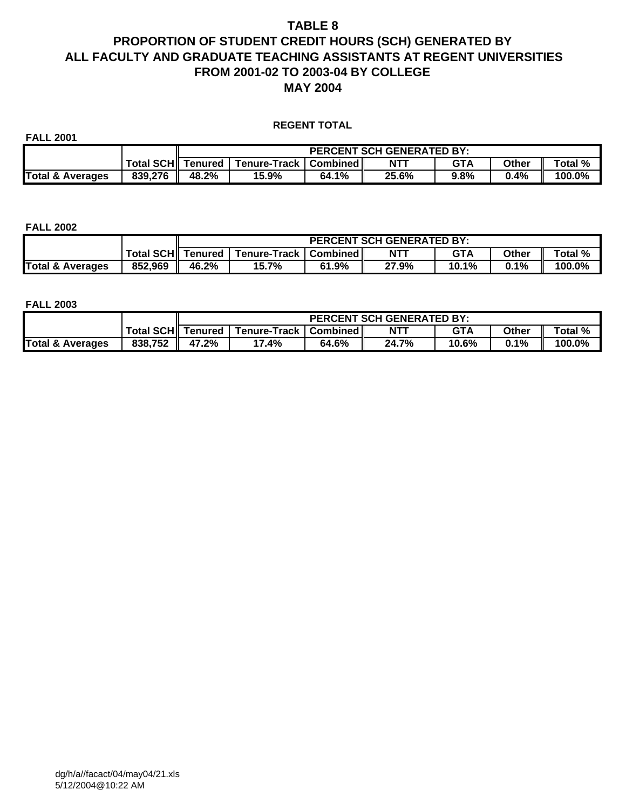## **PROPORTION OF STUDENT CREDIT HOURS (SCH) GENERATED BY ALL FACULTY AND GRADUATE TEACHING ASSISTANTS AT REGENT UNIVERSITIES FROM 2001-02 TO 2003-04 BY COLLEGE MAY 2004**

#### **REGENT TOTAL**

| <b>FALL 2001</b>            |                     |       |                         |       |                                  |            |              |         |  |  |  |
|-----------------------------|---------------------|-------|-------------------------|-------|----------------------------------|------------|--------------|---------|--|--|--|
|                             |                     |       |                         |       | <b>PERCENT SCH GENERATED BY:</b> |            |              |         |  |  |  |
|                             | Total SCH   Tenured |       | Tenure-Track   Combined |       | $NT^{\tau}$                      | <b>GTA</b> | <b>Other</b> | Total % |  |  |  |
| <b>Total &amp; Averages</b> | 839.276             | 48.2% | 15.9%                   | 64.1% | 25.6%                            | 9.8%       | 0.4%         | 100.0%  |  |  |  |

#### **FALL 2002**

|                  |                   |       |                         |       | <b>PERCENT SCH GENERATED BY:</b> |            |              |         |
|------------------|-------------------|-------|-------------------------|-------|----------------------------------|------------|--------------|---------|
|                  | Total SCH Tenured |       | Tenure-Track   Combined |       | <b>NTT</b>                       | <b>GTA</b> | <b>Other</b> | Total % |
| Total & Averages | 852,969           | 46.2% | 15.7%                   | 61.9% | 27.9%                            | 10.1%      | 0.1%         | 100.0%  |

|                             |                   |       |                                                                             |       | <b>PERCENT SCH GENERATED BY:</b> |       |      |        |  |  |  |  |  |  |
|-----------------------------|-------------------|-------|-----------------------------------------------------------------------------|-------|----------------------------------|-------|------|--------|--|--|--|--|--|--|
|                             | Total SCH Tenured |       | $NT^{\tau}$<br>GTA<br>Total %<br><b>Tenure-Track   Combined   </b><br>Other |       |                                  |       |      |        |  |  |  |  |  |  |
| <b>Total &amp; Averages</b> | 838,752           | 47.2% | 7.4%                                                                        | 64.6% | 24.7%                            | 10.6% | 0.1% | 100.0% |  |  |  |  |  |  |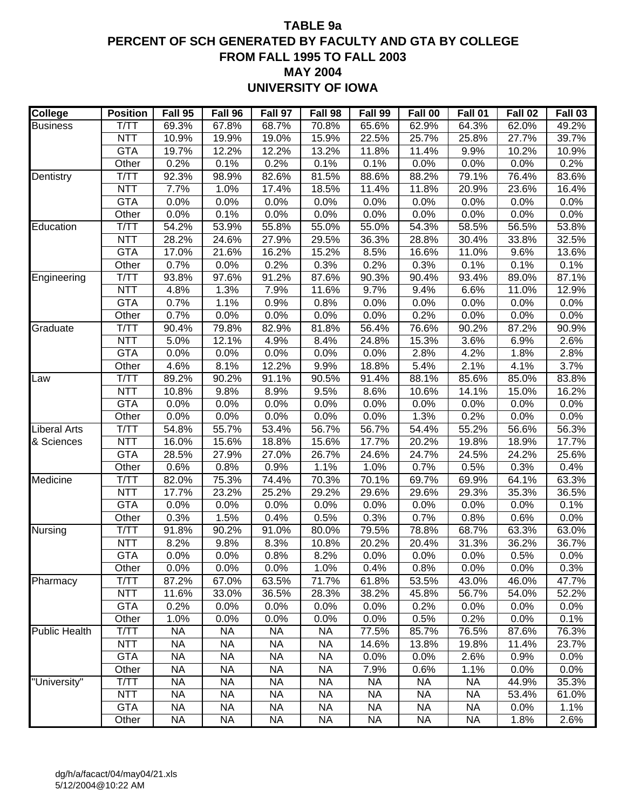## **TABLE 9a PERCENT OF SCH GENERATED BY FACULTY AND GTA BY COLLEGE FROM FALL 1995 TO FALL 2003 MAY 2004 UNIVERSITY OF IOWA**

| <b>College</b>       | <b>Position</b>     | Fall 95       | Fall 96       | Fall 97       | Fall 98       | Fall 99       | Fall 00       | Fall 01       | Fall 02       | Fall 03       |
|----------------------|---------------------|---------------|---------------|---------------|---------------|---------------|---------------|---------------|---------------|---------------|
| <b>Business</b>      | T/TT                | 69.3%         | 67.8%         | 68.7%         | 70.8%         | 65.6%         | 62.9%         | 64.3%         | 62.0%         | 49.2%         |
|                      | <b>NTT</b>          | 10.9%         | 19.9%         | 19.0%         | 15.9%         | 22.5%         | 25.7%         | 25.8%         | 27.7%         | 39.7%         |
|                      | <b>GTA</b>          | 19.7%         | 12.2%         | 12.2%         | 13.2%         | 11.8%         | 11.4%         | 9.9%          | 10.2%         | 10.9%         |
|                      | Other               | 0.2%          | 0.1%          | 0.2%          | 0.1%          | 0.1%          | 0.0%          | 0.0%          | 0.0%          | 0.2%          |
| Dentistry            | T/TT                | 92.3%         | 98.9%         | 82.6%         | 81.5%         | 88.6%         | 88.2%         | 79.1%         | 76.4%         | 83.6%         |
|                      | <b>NTT</b>          | 7.7%          | 1.0%          | 17.4%         | 18.5%         | 11.4%         | 11.8%         | 20.9%         | 23.6%         | 16.4%         |
|                      | <b>GTA</b>          | 0.0%          | 0.0%          | 0.0%          | 0.0%          | 0.0%          | 0.0%          | 0.0%          | 0.0%          | 0.0%          |
|                      | Other               | 0.0%          | 0.1%          | 0.0%          | 0.0%          | 0.0%          | 0.0%          | 0.0%          | 0.0%          | 0.0%          |
| Education            | T/TT                | 54.2%         | 53.9%         | 55.8%         | 55.0%         | 55.0%         | 54.3%         | 58.5%         | 56.5%         | 53.8%         |
|                      | <b>NTT</b>          | 28.2%         | 24.6%         | 27.9%         | 29.5%         | 36.3%         | 28.8%         | 30.4%         | 33.8%         | 32.5%         |
|                      | <b>GTA</b>          | 17.0%         | 21.6%         | 16.2%         | 15.2%         | 8.5%          | 16.6%         | 11.0%         | 9.6%          | 13.6%         |
|                      | Other               | 0.7%          | 0.0%          | 0.2%          | 0.3%          | 0.2%          | 0.3%          | 0.1%          | 0.1%          | 0.1%          |
| Engineering          | T/TT                | 93.8%         | 97.6%         | 91.2%         | 87.6%         | 90.3%         | 90.4%         | 93.4%         | 89.0%         | 87.1%         |
|                      | <b>NTT</b>          | 4.8%          | 1.3%          | 7.9%          | 11.6%         | 9.7%          | 9.4%          | 6.6%          | 11.0%         | 12.9%         |
|                      | <b>GTA</b>          | 0.7%          | 1.1%          | 0.9%          | 0.8%          | 0.0%          | 0.0%          | 0.0%          | 0.0%          | 0.0%          |
|                      | Other               | 0.7%          | 0.0%          | 0.0%          | 0.0%          | 0.0%          | 0.2%          | 0.0%          | 0.0%          | 0.0%          |
| Graduate             | T/TT                | 90.4%         | 79.8%         | 82.9%         | 81.8%         | 56.4%         | 76.6%         | 90.2%         | 87.2%         | 90.9%         |
|                      | <b>NTT</b>          | 5.0%          | 12.1%         | 4.9%          | 8.4%          | 24.8%         | 15.3%         | 3.6%          | 6.9%          | 2.6%          |
|                      | <b>GTA</b>          | 0.0%          | 0.0%          | 0.0%          | 0.0%          | 0.0%          | 2.8%          | 4.2%          | 1.8%          | 2.8%          |
|                      | Other               | 4.6%          | 8.1%          | 12.2%         | 9.9%          | 18.8%         | 5.4%          | 2.1%          | 4.1%          | 3.7%          |
| Law                  | T/TT                | 89.2%         | 90.2%         | 91.1%         | 90.5%         | 91.4%         | 88.1%         | 85.6%         | 85.0%         | 83.8%         |
|                      | <b>NTT</b>          | 10.8%         | 9.8%          | 8.9%          | 9.5%          | 8.6%          | 10.6%         | 14.1%         | 15.0%         | 16.2%         |
|                      | <b>GTA</b>          | 0.0%          | 0.0%          | 0.0%          | 0.0%          | 0.0%          | 0.0%          | 0.0%          | 0.0%          | 0.0%          |
|                      | Other               | 0.0%          | 0.0%          | 0.0%          | 0.0%          | 0.0%          | 1.3%          | 0.2%          | 0.0%          | 0.0%          |
| <b>Liberal Arts</b>  | T/TT                | 54.8%         | 55.7%         | 53.4%         | 56.7%         | 56.7%         | 54.4%         | 55.2%         | 56.6%         | 56.3%         |
| & Sciences           | <b>NTT</b>          | 16.0%         | 15.6%         | 18.8%         | 15.6%         | 17.7%         | 20.2%         | 19.8%         | 18.9%         | 17.7%         |
|                      | <b>GTA</b><br>Other | 28.5%<br>0.6% | 27.9%<br>0.8% | 27.0%<br>0.9% | 26.7%<br>1.1% | 24.6%<br>1.0% | 24.7%         | 24.5%<br>0.5% | 24.2%         | 25.6%<br>0.4% |
| Medicine             | T/TT                | 82.0%         | 75.3%         | 74.4%         | 70.3%         | 70.1%         | 0.7%<br>69.7% | 69.9%         | 0.3%<br>64.1% | 63.3%         |
|                      | <b>NTT</b>          | 17.7%         | 23.2%         | 25.2%         | 29.2%         | 29.6%         | 29.6%         | 29.3%         | 35.3%         | 36.5%         |
|                      | <b>GTA</b>          | 0.0%          | 0.0%          | 0.0%          | 0.0%          | 0.0%          | 0.0%          | 0.0%          | 0.0%          | 0.1%          |
|                      | Other               | 0.3%          | 1.5%          | 0.4%          | 0.5%          | 0.3%          | 0.7%          | 0.8%          | 0.6%          | 0.0%          |
| Nursing              | T/TT                | 91.8%         | 90.2%         | 91.0%         | 80.0%         | 79.5%         | 78.8%         | 68.7%         | 63.3%         | 63.0%         |
|                      | <b>NTT</b>          | 8.2%          | 9.8%          | 8.3%          | 10.8%         | 20.2%         | 20.4%         | 31.3%         | 36.2%         | 36.7%         |
|                      | <b>GTA</b>          | 0.0%          | 0.0%          | 0.8%          | 8.2%          | 0.0%          | 0.0%          | 0.0%          | 0.5%          | 0.0%          |
|                      | Other               | 0.0%          | 0.0%          | 0.0%          | 1.0%          | 0.4%          | 0.8%          | 0.0%          | 0.0%          | 0.3%          |
| Pharmacy             | T/TT                | 87.2%         | 67.0%         | 63.5%         | 71.7%         | 61.8%         | 53.5%         | 43.0%         | 46.0%         | 47.7%         |
|                      | <b>NTT</b>          | 11.6%         | 33.0%         | 36.5%         | 28.3%         | 38.2%         | 45.8%         | 56.7%         | 54.0%         | 52.2%         |
|                      | <b>GTA</b>          | 0.2%          | 0.0%          | 0.0%          | 0.0%          | 0.0%          | 0.2%          | 0.0%          | 0.0%          | 0.0%          |
|                      | Other               | 1.0%          | 0.0%          | 0.0%          | 0.0%          | 0.0%          | 0.5%          | 0.2%          | 0.0%          | 0.1%          |
| <b>Public Health</b> | T/TT                | <b>NA</b>     | <b>NA</b>     | <b>NA</b>     | <b>NA</b>     | 77.5%         | 85.7%         | 76.5%         | 87.6%         | 76.3%         |
|                      | <b>NTT</b>          | <b>NA</b>     | <b>NA</b>     | <b>NA</b>     | <b>NA</b>     | 14.6%         | 13.8%         | 19.8%         | 11.4%         | 23.7%         |
|                      | <b>GTA</b>          | <b>NA</b>     | <b>NA</b>     | <b>NA</b>     | <b>NA</b>     | 0.0%          | 0.0%          | 2.6%          | 0.9%          | 0.0%          |
|                      | Other               | <b>NA</b>     | <b>NA</b>     | <b>NA</b>     | <b>NA</b>     | 7.9%          | 0.6%          | 1.1%          | 0.0%          | 0.0%          |
| "University"         | T/TT                | <b>NA</b>     | <b>NA</b>     | <b>NA</b>     | <b>NA</b>     | <b>NA</b>     | <b>NA</b>     | <b>NA</b>     | 44.9%         | 35.3%         |
|                      | <b>NTT</b>          | <b>NA</b>     | <b>NA</b>     | <b>NA</b>     | <b>NA</b>     | <b>NA</b>     | <b>NA</b>     | <b>NA</b>     | 53.4%         | 61.0%         |
|                      | <b>GTA</b>          | <b>NA</b>     | <b>NA</b>     | <b>NA</b>     | <b>NA</b>     | <b>NA</b>     | <b>NA</b>     | NA            | 0.0%          | 1.1%          |
|                      | Other               | <b>NA</b>     | <b>NA</b>     | <b>NA</b>     | <b>NA</b>     | <b>NA</b>     | <b>NA</b>     | <b>NA</b>     | 1.8%          | 2.6%          |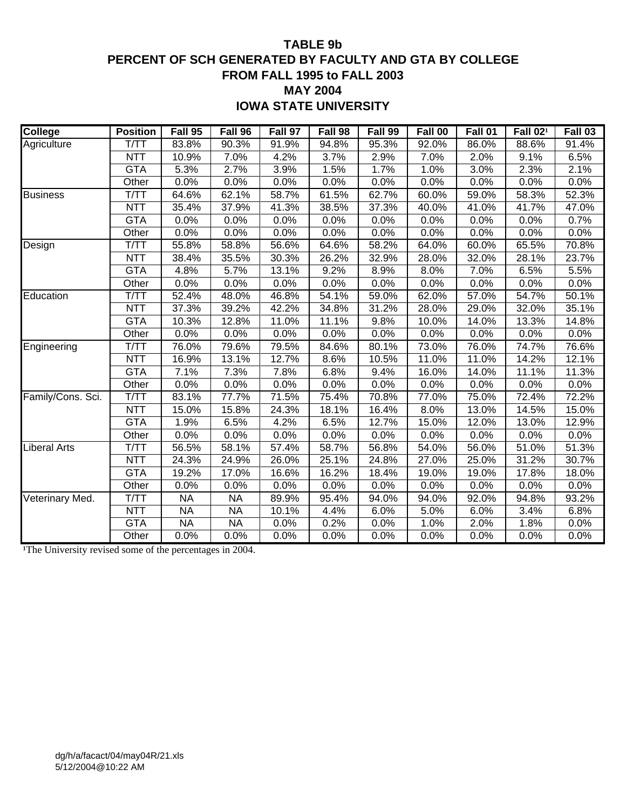## **TABLE 9b PERCENT OF SCH GENERATED BY FACULTY AND GTA BY COLLEGE FROM FALL 1995 to FALL 2003 MAY 2004**

**IOWA STATE UNIVERSITY**

| <b>College</b>      | <b>Position</b> | Fall 95   | Fall 96   | Fall 97 | Fall 98 | Fall 99 | Fall 00 | Fall 01 | Fall 02 <sup>1</sup> | Fall 03 |
|---------------------|-----------------|-----------|-----------|---------|---------|---------|---------|---------|----------------------|---------|
| Agriculture         | T/TT            | 83.8%     | 90.3%     | 91.9%   | 94.8%   | 95.3%   | 92.0%   | 86.0%   | 88.6%                | 91.4%   |
|                     | <b>NTT</b>      | 10.9%     | 7.0%      | 4.2%    | 3.7%    | 2.9%    | 7.0%    | 2.0%    | 9.1%                 | 6.5%    |
|                     | <b>GTA</b>      | 5.3%      | 2.7%      | 3.9%    | 1.5%    | 1.7%    | 1.0%    | 3.0%    | 2.3%                 | 2.1%    |
|                     | Other           | 0.0%      | 0.0%      | 0.0%    | 0.0%    | 0.0%    | 0.0%    | 0.0%    | 0.0%                 | 0.0%    |
| <b>Business</b>     | T/TT            | 64.6%     | 62.1%     | 58.7%   | 61.5%   | 62.7%   | 60.0%   | 59.0%   | 58.3%                | 52.3%   |
|                     | <b>NTT</b>      | 35.4%     | 37.9%     | 41.3%   | 38.5%   | 37.3%   | 40.0%   | 41.0%   | 41.7%                | 47.0%   |
|                     | <b>GTA</b>      | 0.0%      | 0.0%      | 0.0%    | 0.0%    | 0.0%    | 0.0%    | 0.0%    | 0.0%                 | 0.7%    |
|                     | Other           | 0.0%      | 0.0%      | 0.0%    | 0.0%    | 0.0%    | 0.0%    | 0.0%    | 0.0%                 | 0.0%    |
| Design              | T/TT            | 55.8%     | 58.8%     | 56.6%   | 64.6%   | 58.2%   | 64.0%   | 60.0%   | 65.5%                | 70.8%   |
|                     | <b>NTT</b>      | 38.4%     | 35.5%     | 30.3%   | 26.2%   | 32.9%   | 28.0%   | 32.0%   | 28.1%                | 23.7%   |
|                     | <b>GTA</b>      | 4.8%      | 5.7%      | 13.1%   | 9.2%    | 8.9%    | 8.0%    | 7.0%    | 6.5%                 | 5.5%    |
|                     | Other           | 0.0%      | 0.0%      | 0.0%    | 0.0%    | 0.0%    | 0.0%    | 0.0%    | 0.0%                 | 0.0%    |
| Education           | T/TT            | 52.4%     | 48.0%     | 46.8%   | 54.1%   | 59.0%   | 62.0%   | 57.0%   | 54.7%                | 50.1%   |
|                     | <b>NTT</b>      | 37.3%     | 39.2%     | 42.2%   | 34.8%   | 31.2%   | 28.0%   | 29.0%   | 32.0%                | 35.1%   |
|                     | <b>GTA</b>      | 10.3%     | 12.8%     | 11.0%   | 11.1%   | 9.8%    | 10.0%   | 14.0%   | 13.3%                | 14.8%   |
|                     | Other           | 0.0%      | 0.0%      | 0.0%    | 0.0%    | 0.0%    | 0.0%    | 0.0%    | 0.0%                 | 0.0%    |
| Engineering         | T/TT            | 76.0%     | 79.6%     | 79.5%   | 84.6%   | 80.1%   | 73.0%   | 76.0%   | 74.7%                | 76.6%   |
|                     | <b>NTT</b>      | 16.9%     | 13.1%     | 12.7%   | 8.6%    | 10.5%   | 11.0%   | 11.0%   | 14.2%                | 12.1%   |
|                     | <b>GTA</b>      | 7.1%      | 7.3%      | 7.8%    | 6.8%    | 9.4%    | 16.0%   | 14.0%   | 11.1%                | 11.3%   |
|                     | Other           | 0.0%      | 0.0%      | 0.0%    | 0.0%    | 0.0%    | 0.0%    | 0.0%    | 0.0%                 | 0.0%    |
| Family/Cons. Sci.   | T/TT            | 83.1%     | 77.7%     | 71.5%   | 75.4%   | 70.8%   | 77.0%   | 75.0%   | 72.4%                | 72.2%   |
|                     | <b>NTT</b>      | 15.0%     | 15.8%     | 24.3%   | 18.1%   | 16.4%   | 8.0%    | 13.0%   | 14.5%                | 15.0%   |
|                     | <b>GTA</b>      | 1.9%      | 6.5%      | 4.2%    | 6.5%    | 12.7%   | 15.0%   | 12.0%   | 13.0%                | 12.9%   |
|                     | Other           | 0.0%      | 0.0%      | 0.0%    | 0.0%    | 0.0%    | 0.0%    | 0.0%    | 0.0%                 | 0.0%    |
| <b>Liberal Arts</b> | T/TT            | 56.5%     | 58.1%     | 57.4%   | 58.7%   | 56.8%   | 54.0%   | 56.0%   | 51.0%                | 51.3%   |
|                     | <b>NTT</b>      | 24.3%     | 24.9%     | 26.0%   | 25.1%   | 24.8%   | 27.0%   | 25.0%   | 31.2%                | 30.7%   |
|                     | <b>GTA</b>      | 19.2%     | 17.0%     | 16.6%   | 16.2%   | 18.4%   | 19.0%   | 19.0%   | 17.8%                | 18.0%   |
|                     | Other           | 0.0%      | 0.0%      | 0.0%    | 0.0%    | 0.0%    | 0.0%    | 0.0%    | 0.0%                 | 0.0%    |
| Veterinary Med.     | T/TT            | <b>NA</b> | <b>NA</b> | 89.9%   | 95.4%   | 94.0%   | 94.0%   | 92.0%   | 94.8%                | 93.2%   |
|                     | <b>NTT</b>      | <b>NA</b> | <b>NA</b> | 10.1%   | 4.4%    | 6.0%    | 5.0%    | 6.0%    | 3.4%                 | 6.8%    |
|                     | <b>GTA</b>      | <b>NA</b> | <b>NA</b> | 0.0%    | 0.2%    | 0.0%    | 1.0%    | 2.0%    | 1.8%                 | 0.0%    |
|                     | Other           | 0.0%      | 0.0%      | 0.0%    | 0.0%    | 0.0%    | 0.0%    | 0.0%    | 0.0%                 | 0.0%    |

<sup>1</sup>The University revised some of the percentages in 2004.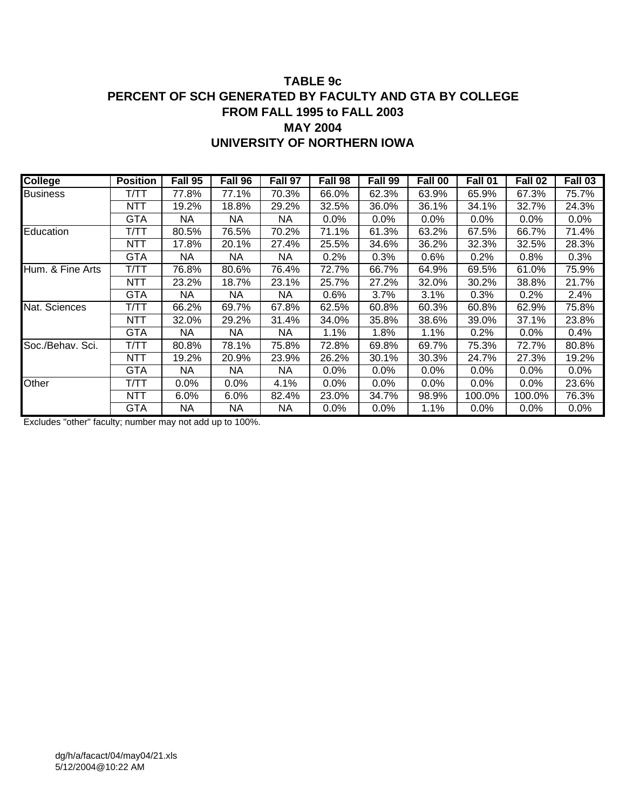## **TABLE 9c PERCENT OF SCH GENERATED BY FACULTY AND GTA BY COLLEGE FROM FALL 1995 to FALL 2003 MAY 2004 UNIVERSITY OF NORTHERN IOWA**

| <b>College</b>   | <b>Position</b> | Fall 95 | Fall 96 | Fall 97 | Fall 98 | Fall 99 | Fall 00 | Fall 01 | Fall 02 | Fall 03 |
|------------------|-----------------|---------|---------|---------|---------|---------|---------|---------|---------|---------|
| <b>Business</b>  | т/тт            | 77.8%   | 77.1%   | 70.3%   | 66.0%   | 62.3%   | 63.9%   | 65.9%   | 67.3%   | 75.7%   |
|                  | NTT             | 19.2%   | 18.8%   | 29.2%   | 32.5%   | 36.0%   | 36.1%   | 34.1%   | 32.7%   | 24.3%   |
|                  | <b>GTA</b>      | NA.     | NA      | NA      | $0.0\%$ | $0.0\%$ | $0.0\%$ | $0.0\%$ | $0.0\%$ | $0.0\%$ |
| Education        | T/TT            | 80.5%   | 76.5%   | 70.2%   | 71.1%   | 61.3%   | 63.2%   | 67.5%   | 66.7%   | 71.4%   |
|                  | NTT             | 17.8%   | 20.1%   | 27.4%   | 25.5%   | 34.6%   | 36.2%   | 32.3%   | 32.5%   | 28.3%   |
|                  | <b>GTA</b>      | NA.     | NA.     | NA      | 0.2%    | 0.3%    | 0.6%    | 0.2%    | 0.8%    | 0.3%    |
| Hum. & Fine Arts | т/тт            | 76.8%   | 80.6%   | 76.4%   | 72.7%   | 66.7%   | 64.9%   | 69.5%   | 61.0%   | 75.9%   |
|                  | NTT             | 23.2%   | 18.7%   | 23.1%   | 25.7%   | 27.2%   | 32.0%   | 30.2%   | 38.8%   | 21.7%   |
|                  | <b>GTA</b>      | NA.     | NA      | NА      | 0.6%    | 3.7%    | 3.1%    | 0.3%    | 0.2%    | 2.4%    |
| Nat. Sciences    | T/TT            | 66.2%   | 69.7%   | 67.8%   | 62.5%   | 60.8%   | 60.3%   | 60.8%   | 62.9%   | 75.8%   |
|                  | NTT             | 32.0%   | 29.2%   | 31.4%   | 34.0%   | 35.8%   | 38.6%   | 39.0%   | 37.1%   | 23.8%   |
|                  | GTA             | NА      | NA.     | NA.     | 1.1%    | 1.8%    | 1.1%    | 0.2%    | 0.0%    | $0.4\%$ |
| Soc./Behav. Sci. | Т/ТТ            | 80.8%   | 78.1%   | 75.8%   | 72.8%   | 69.8%   | 69.7%   | 75.3%   | 72.7%   | 80.8%   |
|                  | NTT             | 19.2%   | 20.9%   | 23.9%   | 26.2%   | 30.1%   | 30.3%   | 24.7%   | 27.3%   | 19.2%   |
|                  | GTA             | NA.     | NA.     | NA.     | $0.0\%$ | $0.0\%$ | $0.0\%$ | $0.0\%$ | 0.0%    | $0.0\%$ |
| Other            | т/тт            | $0.0\%$ | $0.0\%$ | 4.1%    | $0.0\%$ | $0.0\%$ | $0.0\%$ | 0.0%    | 0.0%    | 23.6%   |
|                  | NTT             | $6.0\%$ | 6.0%    | 82.4%   | 23.0%   | 34.7%   | 98.9%   | 100.0%  | 100.0%  | 76.3%   |
|                  | GTA             | NA.     | NA.     | NА      | $0.0\%$ | $0.0\%$ | 1.1%    | $0.0\%$ | 0.0%    | $0.0\%$ |

Excludes "other" faculty; number may not add up to 100%.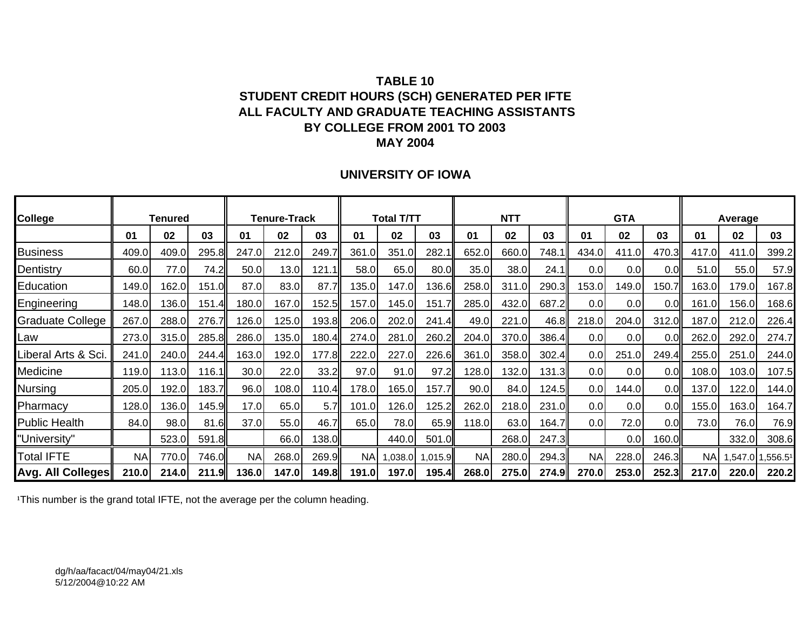## **TABLE 10STUDENT CREDIT HOURS (SCH) GENERATED PER IFTE ALL FACULTY AND GRADUATE TEACHING ASSISTANTS BY COLLEGE FROM 2001 TO 2003 MAY 2004**

### **UNIVERSITY OF IOWA**

| <b>College</b>          |           | <b>Tenured</b> |       |           | <b>Tenure-Track</b> |       |           | Total T/TT |         |           | <b>NTT</b> |       |                  | <b>GTA</b> |                 |           | Average          |       |
|-------------------------|-----------|----------------|-------|-----------|---------------------|-------|-----------|------------|---------|-----------|------------|-------|------------------|------------|-----------------|-----------|------------------|-------|
|                         | 01        | 02             | 03    | 01        | 02                  | 03    | 01        | 02         | 03      | 01        | 02         | 03    | 01               | 02         | 03              | 01        | 02               | 03    |
| <b>Business</b>         | 409.0     | 409.0          | 295.8 | 247.0     | 212.0               | 249.7 | 361.0     | 351.0      | 282.1   | 652.0     | 660.0      | 748.1 | 434.0            | 411.0      | 470.3           | 417.0     | 411.0            | 399.2 |
| Dentistry               | 60.0      | 77.0           | 74.2  | 50.0      | 13.0                | 121.1 | 58.0      | 65.0       | 80.0    | 35.0      | 38.0       | 24.1  | 0.0              | 0.0        | 0. <sub>C</sub> | 51.0      | 55.0             | 57.9  |
| Education               | 149.0     | 162.0          | 151.0 | 87.0      | 83.0                | 87.7  | 135.0     | 147.0      | 136.6   | 258.0     | 311.0      | 290.3 | 153.0            | 149.0      | 150.7           | 163.0     | 179.0            | 167.8 |
| Engineering             | 148.0     | 136.0          | 151.4 | 180.0     | 167.0               | 152.5 | 157.0     | 145.0      | 151.7   | 285.0     | 432.0      | 687.2 | 0.0              | 0.0        | 0.0             | 161.0     | 156.0            | 168.6 |
| <b>Graduate College</b> | 267.0     | 288.0          | 276.7 | 126.0     | 125.0               | 193.8 | 206.0     | 202.0      | 241     | 49.0      | 221.0      | 46.8  | 218.0            | 204.0      | 312.0           | 187.0     | 212.0            | 226.4 |
| Law                     | 273.0     | 315.0          | 285.8 | 286.0     | 135.0               | 180.4 | 274.0     | 281.0      | 260.2   | 204.0     | 370.0      | 386.4 | 0.0              | 0.0        | 0. <sub>C</sub> | 262.0     | 292.0            | 274.7 |
| Liberal Arts & Sci.     | 241.0     | 240.0          | 244.4 | 163.0     | 192.0               | 177.8 | 222.0     | 227.0      | 226.6   | 361.0     | 358.0      | 302.4 | 0.0 <sub>l</sub> | 251.0      | 249.4           | 255.0     | 251.0            | 244.0 |
| Medicine                | 119.0     | 113.0          | 116.1 | 30.0      | 22.0                | 33.2  | 97.0      | 91.0       | 97.2    | 128.0     | 132.0      | 131.3 | 0.0              | 0.0        | 0.0             | 108.0     | 103.0            | 107.5 |
| Nursing                 | 205.0     | 192.0          | 183.7 | 96.0      | 108.0               | 110.4 | 178.0     | 165.0      | 157.7   | 90.0      | 84.0       | 124.5 | 0.0              | 144.0      | 0.0             | 137.0     | 122.0            | 144.0 |
| Pharmacy                | 128.0     | 136.0          | 145.9 | 17.0      | 65.0                | 5.7   | 101.0     | 126.0      | 125.2   | 262.0     | 218.0      | 231.0 | 0.0              | 0.0        | 0.0             | 155.0     | 163.0            | 164.7 |
| <b>Public Health</b>    | 84.0      | 98.0           | 81.6  | 37.0      | 55.0                | 46.7  | 65.0      | 78.0       | 65.9    | 118.0     | 63.0       | 164.7 | 0.0              | 72.0       | 0.0             | 73.0      | 76.0             | 76.9  |
| "University"            |           | 523.0          | 591.8 |           | 66.0                | 138.0 |           | 440.0      | 501.0   |           | 268.0      | 247.3 |                  | 0.0        | 160.0           |           | 332.0            | 308.6 |
| <b>Total IFTE</b>       | <b>NA</b> | 770.0          | 746.0 | <b>NA</b> | 268.0               | 269.9 | <b>NA</b> | 1,038.0    | 1,015.9 | <b>NA</b> | 280.0      | 294.3 | <b>NA</b>        | 228.0      | 246.3           | <b>NA</b> | 1,547.0 1,556.51 |       |
| Avg. All Colleges       | 210.0     | 214.0          | 211.9 | 136.0     | 147.0               | 149.8 | 191.0     | 197.0      | 195.4   | 268.0     | 275.0      | 274.9 | 270.0            | 253.0      | 252.3           | 217.0     | 220.0            | 220.2 |

<sup>1</sup>This number is the grand total IFTE, not the average per the column heading.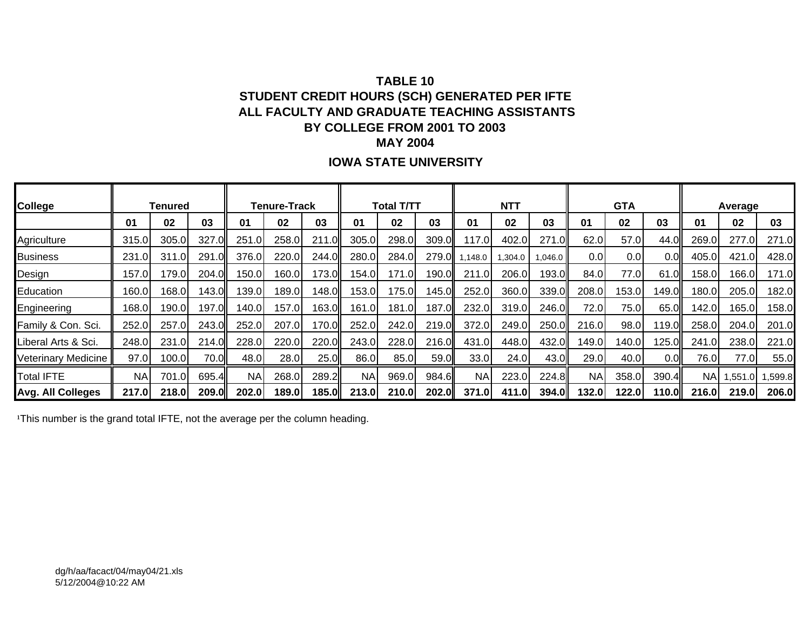# **TABLE 10STUDENT CREDIT HOURS (SCH) GENERATED PER IFTE ALL FACULTY AND GRADUATE TEACHING ASSISTANTS BY COLLEGE FROM 2001 TO 2003 MAY 2004**

## **IOWA STATE UNIVERSITY**

| College                  |           | Tenured |       |           | <b>Tenure-Track</b> |       |           | <b>Total T/TT</b> |       |           | <b>NTT</b> |              |           | <b>GTA</b> |                 |           | Average |         |
|--------------------------|-----------|---------|-------|-----------|---------------------|-------|-----------|-------------------|-------|-----------|------------|--------------|-----------|------------|-----------------|-----------|---------|---------|
|                          | 01        | 02      | 03    | 01        | 02                  | 03    | 01        | 02                | 03    | 01        | 02         | 03           | 01        | 02         | 03              | 01        | 02      | 03      |
| Agriculture              | 315.0     | 305.0   | 327.0 | 251.0     | 258.0               | 211.0 | 305.0     | 298.0             | 309.0 | 117.0     | 402.0      | 271.0        | 62.0      | 57.0       | 44.C            | 269.0     | 277.0   | 271.0   |
| <b>Business</b>          | 231.0     | 311.0   | 291.0 | 376.0     | 220.0               | 244.0 | 280.0     | 284.0             | 279.0 | .148.0    | 0.304.0    | 1,046.0      | 0.0       | 0.0        | 0. <sub>C</sub> | 405.0     | 421.0   | 428.0   |
| Design                   | 157.01    | 179.0   | 204.0 | 50.0      | 160.0               | 173.0 | 154.0     | 171.0             | 190.0 | 211.0     | 206.0      | 193.0        | 84.0      | 77.0I      | 61.0            | 158.0     | 166.0   | 171.0   |
| Education                | 60.0      | 168.0   | 143.0 | 39.0      | 189.0               | 148.0 | 153.0     | 175.0             | 145.0 | 252.0     | 360.0      | 339.0        | 208.0     | 153.0      | 149.0           | 180.0     | 205.0   | 182.0   |
| Engineering              | 168.0     | 190.0   | 197.0 | 40.0      | 157.0               | 163.0 | 161.0     | 181.0             | 187.0 | 232.0     | 319.0      | 246.0        | 72.0      | 75.0       | 65.0            | 142.0     | 165.0   | 158.0   |
| Family & Con. Sci.       | 252.0     | 257.0   | 243.0 | 252.0     | 207.0               | 170.0 | 252.0     | 242.0             | 219.0 | 372.0     | 249.0      | 250.0        | 216.0     | 98.0       | 19.0            | 258.0     | 204.0   | 201.0   |
| Liberal Arts & Sci.      | 248.0     | 231.0   | 214.0 | 228.0     | 220.0               | 220.0 | 243.0     | 228.0             | 216.0 | 431.0     | 448.0      | 432.0        | 149.0     | 140.0      | 125.0           | 241.0     | 238.0   | 221.0   |
| Veterinary Medicine      | 97.0      | 100.0   | 70.0I | 48.0      | 28.0                | 25.0  | 86.0      | 85.0              | 59.0  | 33.0      | 24.0I      | 43.0         | 29.0      | 40.0       | 0.0             | 76.0      | 77.0    | 55.0    |
| <b>Total IFTE</b>        | <b>NA</b> | 701.0   | 695.4 | <b>NA</b> | 268.0               | 289.2 | <b>NA</b> | 969.0             | 984.6 | <b>NA</b> | 223.0      | 224.8        | <b>NA</b> | 358.0      | 390.4           | <b>NA</b> | 1,551.0 | 1,599.8 |
| <b>Avg. All Colleges</b> | 217.0     | 218.0   | 209.0 | 202.0     | 189.0               | 185.0 | 213.0     | 210.0             | 202.0 | 371.0     | 411.0      | <b>394.0</b> | 132.0     | 122.0      | 110.0ll         | 216.0     | 219.0   | 206.0   |

<sup>1</sup>This number is the grand total IFTE, not the average per the column heading.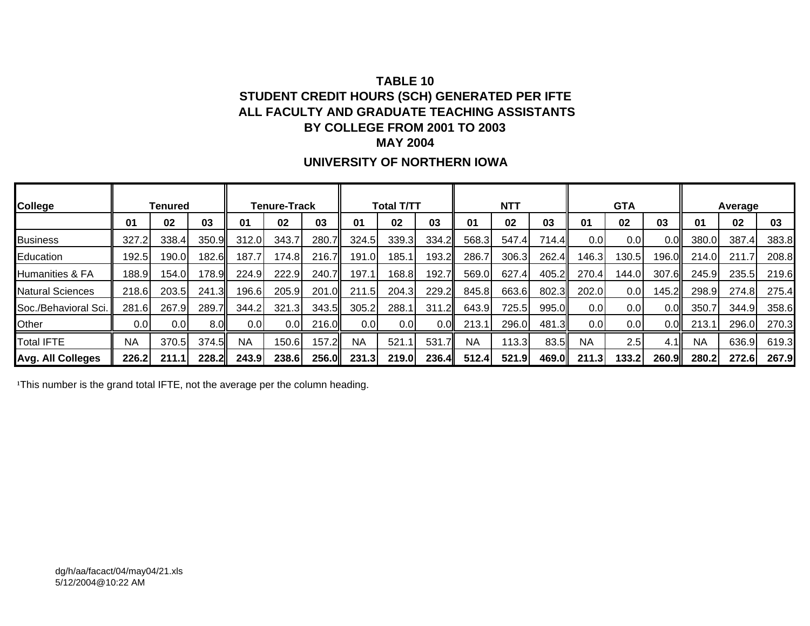# **TABLE 10STUDENT CREDIT HOURS (SCH) GENERATED PER IFTE ALL FACULTY AND GRADUATE TEACHING ASSISTANTS BY COLLEGE FROM 2001 TO 2003 MAY 2004**

## **UNIVERSITY OF NORTHERN IOWA**

| <b>College</b>          |           | Tenured |       |           | <b>Tenure-Track</b> |       |                  | Total T/TT |       |           | <b>NTT</b> |       |                  | <b>GTA</b> |       |           | Average |       |
|-------------------------|-----------|---------|-------|-----------|---------------------|-------|------------------|------------|-------|-----------|------------|-------|------------------|------------|-------|-----------|---------|-------|
|                         | 01        | 02      | 03    | 01        | 02                  | 03    | 01               | 02         | 03    | 01        | 02         | 03    | 01               | 02         | 03    | 01        | 02      | 03    |
| <b>Business</b>         | 327.2     | 338.4   | 350.9 | 312.0     | 343.7               | 280.7 | 324.5            | 339.3      | 334.2 | 568.3     | 547.4      | 714.4 | 0.0 <sub>l</sub> | 0.01       | 0.0   | 380.0     | 387.4   | 383.8 |
| Education               | 192.5     | 190.0   | 182.6 | 187.7     | 174.8               | 216.7 | 191.0            | 185.1      | 193.2 | 286.7     | 306.3      | 262.4 | 146.3            | 130.5      | 196.0 | 214.0     | 211.7   | 208.8 |
| Humanities & FA         | 188.9     | 154.0   | 178.9 | 224.9     | 222.9               | 240.7 | 197.1            | 168.8      | 192.7 | 569.0     | 627.4      | 405.2 | 270.4            | 144.0      | 307.6 | 245.9     | 235.5   | 219.6 |
| <b>Natural Sciences</b> | 218.6     | 203.5   | 241.3 | 196.6     | 205.9               | 201.0 | 211.5            | 204.3      | 229.2 | 845.8     | 663.6      | 802.3 | 202.0            | 0.01       | 145.2 | 298.9     | 274.8   | 275.4 |
| Soc./Behavioral Sci.    | 281.6     | 267.9   | 289.7 | 344.2     | 321.3               | 343.5 | 305.2            | 288.1      | 311.2 | 643.9     | 725.5      | 995.0 | 0.0              | 0.0        | 0.0   | 350.7     | 344.9   | 358.6 |
| Other                   | 0.01      | 0.0     | 8.OI  | 0.0       | 0.0                 | 216.0 | 0.0 <sub>l</sub> | 0.01       | 0.0   | 213.1     | 296.0      | 481.3 | 0.01             | 0.01       | 0.0   | 213.1     | 296.0   | 270.3 |
| <b>Total IFTE</b>       | <b>NA</b> | 370.5   | 374.5 | <b>NA</b> | 150.6               | 157.2 | <b>NA</b>        | 521.7      | 531   | <b>NA</b> | 113.3      | 83.5  | <b>NA</b>        | 2.5        | 4.1I  | <b>NA</b> | 636.9   | 619.3 |
| Avg. All Colleges       | 226.2     | 211.1   | 228.2 | 243.9     | 238.6               | 256.0 | 231.3            | 219.0      | 236.4 | 512.4     | 521.9      | 469.0 | 211.3            | 133.2      | 260.9 | 280.2     | 272.6   | 267.9 |

<sup>1</sup>This number is the grand total IFTE, not the average per the column heading.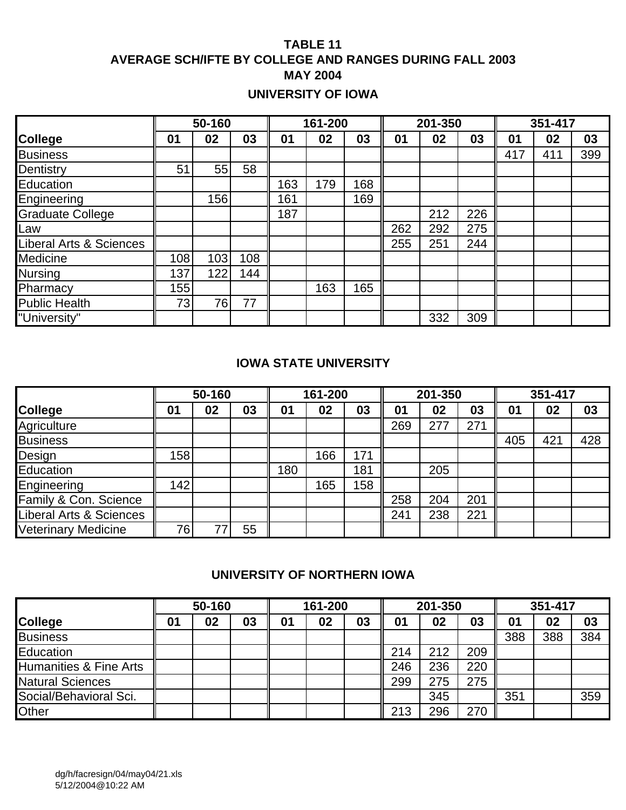# **TABLE 11 AVERAGE SCH/IFTE BY COLLEGE AND RANGES DURING FALL 2003 MAY 2004**

# **UNIVERSITY OF IOWA**

|                         |     | 50-160 |     |     | 161-200 |     |     | 201-350 |     |     | 351-417 |     |
|-------------------------|-----|--------|-----|-----|---------|-----|-----|---------|-----|-----|---------|-----|
| <b>College</b>          | 01  | 02     | 03  | 01  | 02      | 03  | 01  | 02      | 03  | 01  | 02      | 03  |
| <b>Business</b>         |     |        |     |     |         |     |     |         |     | 417 | 411     | 399 |
| Dentistry               | 51  | 55     | 58  |     |         |     |     |         |     |     |         |     |
| Education               |     |        |     | 163 | 179     | 168 |     |         |     |     |         |     |
| Engineering             |     | 156    |     | 161 |         | 169 |     |         |     |     |         |     |
| <b>Graduate College</b> |     |        |     | 187 |         |     |     | 212     | 226 |     |         |     |
| Law                     |     |        |     |     |         |     | 262 | 292     | 275 |     |         |     |
| Liberal Arts & Sciences |     |        |     |     |         |     | 255 | 251     | 244 |     |         |     |
| Medicine                | 108 | 103    | 108 |     |         |     |     |         |     |     |         |     |
| <b>Nursing</b>          | 137 | 122    | 144 |     |         |     |     |         |     |     |         |     |
| Pharmacy                | 155 |        |     |     | 163     | 165 |     |         |     |     |         |     |
| <b>Public Health</b>    | 73  | 76     | 77  |     |         |     |     |         |     |     |         |     |
| "University"            |     |        |     |     |         |     |     | 332     | 309 |     |         |     |

### **IOWA STATE UNIVERSITY**

|                            |                  | 50-160 |    |     | 161-200 |     |     | 201-350 |     |                | 351-417 |     |
|----------------------------|------------------|--------|----|-----|---------|-----|-----|---------|-----|----------------|---------|-----|
| <b>College</b>             | 01               | 02     | 03 | 01  | 02      | 03  | 01  | 02      | 03  | 0 <sub>1</sub> | 02      | 03  |
| Agriculture                |                  |        |    |     |         |     | 269 | 277     | 271 |                |         |     |
| <b>Business</b>            |                  |        |    |     |         |     |     |         |     | 405            | 421     | 428 |
| Design                     | 158 <sub>1</sub> |        |    |     | 166     | 171 |     |         |     |                |         |     |
| Education                  |                  |        |    | 180 |         | 181 |     | 205     |     |                |         |     |
| Engineering                | 142              |        |    |     | 165     | 158 |     |         |     |                |         |     |
| Family & Con. Science      |                  |        |    |     |         |     | 258 | 204     | 201 |                |         |     |
| Liberal Arts & Sciences    |                  |        |    |     |         |     | 241 | 238     | 221 |                |         |     |
| <b>Veterinary Medicine</b> | 76               |        | 55 |     |         |     |     |         |     |                |         |     |

## **UNIVERSITY OF NORTHERN IOWA**

|                         |    | 50-160 |    |    | 161-200 |    |     | 201-350 |     |              | 351-417 |     |
|-------------------------|----|--------|----|----|---------|----|-----|---------|-----|--------------|---------|-----|
| <b>College</b>          | 01 | 02     | 03 | 01 | 02      | 03 | 01  | 02      | 03  | $\mathbf{0}$ | 02      | 03  |
| <b>Business</b>         |    |        |    |    |         |    |     |         |     | 388          | 388     | 384 |
| Education               |    |        |    |    |         |    | 214 | 212     | 209 |              |         |     |
| Humanities & Fine Arts  |    |        |    |    |         |    | 246 | 236     | 220 |              |         |     |
| <b>Natural Sciences</b> |    |        |    |    |         |    | 299 | 275     | 275 |              |         |     |
| Social/Behavioral Sci.  |    |        |    |    |         |    |     | 345     |     | 351          |         | 359 |
| Other                   |    |        |    |    |         |    | 213 | 296     | 270 |              |         |     |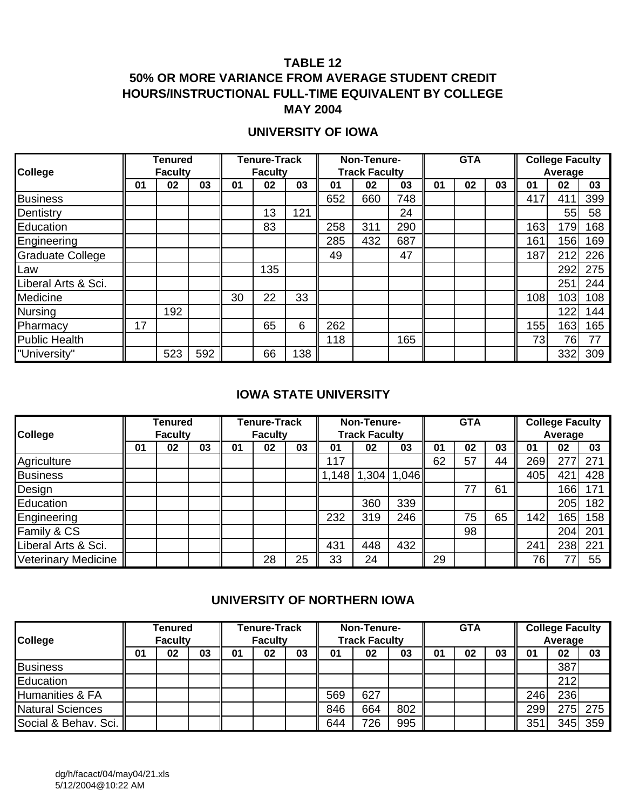## **50% OR MORE VARIANCE FROM AVERAGE STUDENT CREDIT HOURS/INSTRUCTIONAL FULL-TIME EQUIVALENT BY COLLEGE MAY 2004**

## **UNIVERSITY OF IOWA**

|                         |    | <b>Tenured</b> |     |    | <b>Tenure-Track</b> |     |     | Non-Tenure-          |     |    | <b>GTA</b> |    |     | <b>College Faculty</b> |     |
|-------------------------|----|----------------|-----|----|---------------------|-----|-----|----------------------|-----|----|------------|----|-----|------------------------|-----|
| <b>College</b>          |    | <b>Faculty</b> |     |    | <b>Faculty</b>      |     |     | <b>Track Faculty</b> |     |    |            |    |     | Average                |     |
|                         | 01 | 02             | 03  | 01 | 02                  | 03  | 01  | 02                   | 03  | 01 | 02         | 03 | 01  | 02                     | 03  |
| <b>Business</b>         |    |                |     |    |                     |     | 652 | 660                  | 748 |    |            |    | 417 | 411                    | 399 |
| Dentistry               |    |                |     |    | 13                  | 121 |     |                      | 24  |    |            |    |     | 55                     | 58  |
| Education               |    |                |     |    | 83                  |     | 258 | 311                  | 290 |    |            |    | 163 | 179                    | 168 |
| Engineering             |    |                |     |    |                     |     | 285 | 432                  | 687 |    |            |    | 161 | 156                    | 169 |
| <b>Graduate College</b> |    |                |     |    |                     |     | 49  |                      | 47  |    |            |    | 187 | 212                    | 226 |
| Law                     |    |                |     |    | 135                 |     |     |                      |     |    |            |    |     | 292                    | 275 |
| Liberal Arts & Sci.     |    |                |     |    |                     |     |     |                      |     |    |            |    |     | 251                    | 244 |
| Medicine                |    |                |     | 30 | 22                  | 33  |     |                      |     |    |            |    | 108 | 103                    | 108 |
| <b>Nursing</b>          |    | 192            |     |    |                     |     |     |                      |     |    |            |    |     | 122                    | 144 |
| Pharmacy                | 17 |                |     |    | 65                  | 6   | 262 |                      |     |    |            |    | 155 | 163                    | 165 |
| <b>Public Health</b>    |    |                |     |    |                     |     | 118 |                      | 165 |    |            |    | 73  | 76                     | 77  |
| "University"            |    | 523            | 592 |    | 66                  | 138 |     |                      |     |    |            |    |     | 332                    | 309 |

## **IOWA STATE UNIVERSITY**

|                            | Tenured        |    | <b>Tenure-Track</b><br><b>Faculty</b> |    |    | Non-Tenure- |                      |     | <b>GTA</b>      |    |    | <b>College Faculty</b> |     |      |     |
|----------------------------|----------------|----|---------------------------------------|----|----|-------------|----------------------|-----|-----------------|----|----|------------------------|-----|------|-----|
| College                    | <b>Faculty</b> |    |                                       |    |    |             | <b>Track Faculty</b> |     |                 |    |    | Average                |     |      |     |
|                            | 01             | 02 | 03                                    | 01 | 02 | 03          | 01                   | 02  | 03              | 01 | 02 | 03                     | 01  | 02   | 03  |
| Agriculture                |                |    |                                       |    |    |             | 117                  |     |                 | 62 | 57 | 44                     | 269 | 277  | 271 |
| <b>Business</b>            |                |    |                                       |    |    |             | 1,148                |     | $1,304$   1,046 |    |    |                        | 405 | 421  | 428 |
| Design                     |                |    |                                       |    |    |             |                      |     |                 |    | 77 | 61                     |     | 166  | 171 |
| Education                  |                |    |                                       |    |    |             |                      | 360 | 339             |    |    |                        |     | 205  | 182 |
| Engineering                |                |    |                                       |    |    |             | 232                  | 319 | 246             |    | 75 | 65                     | 142 | 165. | 158 |
| Family & CS                |                |    |                                       |    |    |             |                      |     |                 |    | 98 |                        |     | 204  | 201 |
| Liberal Arts & Sci.        |                |    |                                       |    |    |             | 431                  | 448 | 432             |    |    |                        | 241 | 238  | 221 |
| <b>Veterinary Medicine</b> |                |    |                                       |    | 28 | 25          | 33                   | 24  |                 | 29 |    |                        | 76  |      | 55  |

### **UNIVERSITY OF NORTHERN IOWA**

| College                    | Tenured<br><b>Faculty</b> |    |    | Tenure-Track<br><b>Faculty</b> |    |    | Non-Tenure-<br><b>Track Faculty</b> |     |     |    | <b>GTA</b> |    | <b>College Faculty</b><br>Average |     |         |
|----------------------------|---------------------------|----|----|--------------------------------|----|----|-------------------------------------|-----|-----|----|------------|----|-----------------------------------|-----|---------|
|                            | 01                        | 02 | 03 | 01                             | 02 | 03 | 01                                  | 02  | 03  | 01 | 02         | 03 | 01                                | 02  | 03      |
| <b>Business</b>            |                           |    |    |                                |    |    |                                     |     |     |    |            |    |                                   | 387 |         |
| Education                  |                           |    |    |                                |    |    |                                     |     |     |    |            |    |                                   | 212 |         |
| <b>Humanities &amp; FA</b> |                           |    |    |                                |    |    | 569                                 | 627 |     |    |            |    | 246                               | 236 |         |
| <b>Natural Sciences</b>    |                           |    |    |                                |    |    | 846                                 | 664 | 802 |    |            |    | 299                               |     | 275 275 |
| Social & Behav. Sci.       |                           |    |    |                                |    |    | 644                                 | 726 | 995 |    |            |    | 351                               | 345 | 359     |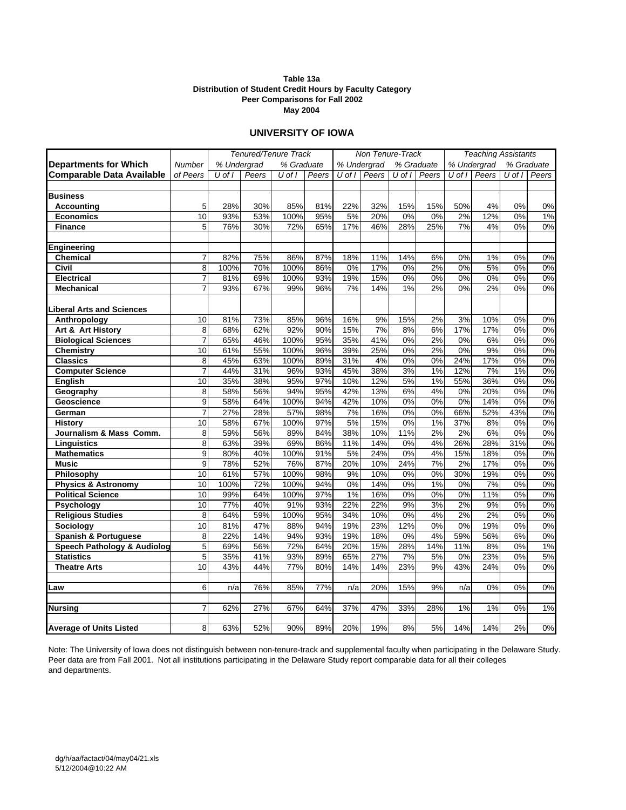#### **May 2004 Table 13a Distribution of Student Credit Hours by Faculty Category Peer Comparisons for Fall 2002**

#### **UNIVERSITY OF IOWA**

|                                        |                | Tenured/Tenure Track |       |            |              |            | Non Tenure-Track |        |            | <b>Teaching Assistants</b> |             |        |            |
|----------------------------------------|----------------|----------------------|-------|------------|--------------|------------|------------------|--------|------------|----------------------------|-------------|--------|------------|
| <b>Departments for Which</b>           | Number         | % Undergrad          |       | % Graduate |              |            | % Undergrad      |        | % Graduate |                            | % Undergrad |        | % Graduate |
| <b>Comparable Data Available</b>       | of Peers       | U of I               | Peers | U of I     | <b>Peers</b> | $U$ of $I$ | Peers            | U of I | Peers      | $U$ of $I$                 | Peers       | U of I | Peers      |
|                                        |                |                      |       |            |              |            |                  |        |            |                            |             |        |            |
| <b>Business</b>                        |                |                      |       |            |              |            |                  |        |            |                            |             |        |            |
| Accountina                             | 5              | 28%                  | 30%   | 85%        | 81%          | 22%        | 32%              | 15%    | 15%        | 50%                        | 4%          | 0%     | 0%         |
| <b>Economics</b>                       | 10             | 93%                  | 53%   | 100%       | 95%          | 5%         | 20%              | 0%     | 0%         | 2%                         | 12%         | 0%     | 1%         |
| <b>Finance</b>                         | 5              | 76%                  | 30%   | 72%        | 65%          | 17%        | 46%              | 28%    | 25%        | 7%                         | 4%          | 0%     | $0\%$      |
|                                        |                |                      |       |            |              |            |                  |        |            |                            |             |        |            |
| Engineering                            |                |                      |       |            |              |            |                  |        |            |                            |             |        |            |
| <b>Chemical</b>                        | $\overline{7}$ | 82%                  | 75%   | 86%        | 87%          | 18%        | 11%              | 14%    | 6%         | 0%                         | 1%          | 0%     | 0%         |
| Civil                                  | 8              | 100%                 | 70%   | 100%       | 86%          | 0%         | 17%              | 0%     | 2%         | 0%                         | 5%          | 0%     | 0%         |
| <b>Electrical</b>                      | $\overline{7}$ | 81%                  | 69%   | 100%       | 93%          | 19%        | 15%              | 0%     | 0%         | 0%                         | 0%          | 0%     | 0%         |
| <b>Mechanical</b>                      | $\overline{7}$ | 93%                  | 67%   | 99%        | 96%          | 7%         | 14%              | 1%     | 2%         | 0%                         | 2%          | 0%     | 0%         |
|                                        |                |                      |       |            |              |            |                  |        |            |                            |             |        |            |
| <b>Liberal Arts and Sciences</b>       |                |                      |       |            |              |            |                  |        |            |                            |             |        |            |
| Anthropology                           | 10             | 81%                  | 73%   | 85%        | 96%          | 16%        | 9%               | 15%    | 2%         | 3%                         | 10%         | 0%     | 0%         |
| Art & Art History                      | 8              | 68%                  | 62%   | 92%        | 90%          | 15%        | 7%               | 8%     | 6%         | 17%                        | 17%         | 0%     | 0%         |
| <b>Biological Sciences</b>             | $\overline{7}$ | 65%                  | 46%   | 100%       | 95%          | 35%        | 41%              | 0%     | 2%         | 0%                         | 6%          | 0%     | 0%         |
| <b>Chemistry</b>                       | 10             | 61%                  | 55%   | 100%       | 96%          | 39%        | 25%              | 0%     | 2%         | 0%                         | 9%          | 0%     | 0%         |
| <b>Classics</b>                        | 8              | 45%                  | 63%   | 100%       | 89%          | 31%        | 4%               | 0%     | 0%         | 24%                        | 17%         | 0%     | 0%         |
| <b>Computer Science</b>                | 7              | 44%                  | 31%   | 96%        | 93%          | 45%        | 38%              | 3%     | 1%         | 12%                        | 7%          | 1%     | 0%         |
| English                                | 10             | 35%                  | 38%   | 95%        | 97%          | 10%        | 12%              | 5%     | 1%         | 55%                        | 36%         | 0%     | 0%         |
| Geography                              | 8              | 58%                  | 56%   | 94%        | 95%          | 42%        | 13%              | 6%     | 4%         | 0%                         | 20%         | 0%     | 0%         |
| Geoscience                             | 9              | 58%                  | 64%   | 100%       | 94%          | 42%        | 10%              | 0%     | 0%         | 0%                         | 14%         | 0%     | 0%         |
| German                                 | $\overline{7}$ | 27%                  | 28%   | 57%        | 98%          | 7%         | 16%              | 0%     | 0%         | 66%                        | 52%         | 43%    | 0%         |
| <b>History</b>                         | 10             | 58%                  | 67%   | 100%       | 97%          | 5%         | 15%              | 0%     | 1%         | 37%                        | 8%          | 0%     | 0%         |
| Journalism & Mass Comm.                | 8              | 59%                  | 56%   | 89%        | 84%          | 38%        | 10%              | 11%    | 2%         | 2%                         | 6%          | 0%     | 0%         |
| Linguistics                            | 8              | 63%                  | 39%   | 69%        | 86%          | 11%        | 14%              | 0%     | 4%         | 26%                        | 28%         | 31%    | 0%         |
| <b>Mathematics</b>                     | $\overline{9}$ | 80%                  | 40%   | 100%       | 91%          | 5%         | 24%              | 0%     | 4%         | 15%                        | 18%         | 0%     | 0%         |
| <b>Music</b>                           | 9              | 78%                  | 52%   | 76%        | 87%          | 20%        | 10%              | 24%    | 7%         | 2%                         | 17%         | 0%     | 0%         |
| Philosophy                             | 10             | 61%                  | 57%   | 100%       | 98%          | 9%         | 10%              | 0%     | 0%         | 30%                        | 19%         | 0%     | 0%         |
| <b>Physics &amp; Astronomy</b>         | 10             | 100%                 | 72%   | 100%       | 94%          | 0%         | 14%              | 0%     | 1%         | 0%                         | 7%          | 0%     | 0%         |
| <b>Political Science</b>               | 10             | 99%                  | 64%   | 100%       | 97%          | 1%         | 16%              | 0%     | 0%         | 0%                         | 11%         | 0%     | 0%         |
| Psychology                             | 10             | 77%                  | 40%   | 91%        | 93%          | 22%        | 22%              | 9%     | 3%         | 2%                         | 9%          | 0%     | 0%         |
| <b>Religious Studies</b>               | 8              | 64%                  | 59%   | 100%       | 95%          | 34%        | 10%              | 0%     | 4%         | 2%                         | 2%          | 0%     | 0%         |
| Sociology                              | 10             | 81%                  | 47%   | 88%        | 94%          | 19%        | 23%              | 12%    | 0%         | 0%                         | 19%         | 0%     | 0%         |
| <b>Spanish &amp; Portuguese</b>        | 8              | 22%                  | 14%   | 94%        | 93%          | 19%        | 18%              | 0%     | 4%         | 59%                        | 56%         | 6%     | 0%         |
| <b>Speech Pathology &amp; Audiolog</b> | $\overline{5}$ | 69%                  | 56%   | 72%        | 64%          | 20%        | 15%              | 28%    | 14%        | 11%                        | 8%          | 0%     | 1%         |
| <b>Statistics</b>                      | 5              | 35%                  | 41%   | 93%        | 89%          | 65%        | 27%              | 7%     | 5%         | 0%                         | 23%         | 0%     | 5%         |
| <b>Theatre Arts</b>                    | 10             | 43%                  | 44%   | 77%        | 80%          | 14%        | 14%              | 23%    | 9%         | 43%                        | 24%         | 0%     | 0%         |
| Law                                    | 6              | n/a                  | 76%   | 85%        | 77%          | n/a        | 20%              | 15%    | 9%         | n/a                        | 0%          | 0%     | 0%         |
|                                        |                |                      |       |            |              |            |                  |        |            |                            |             |        |            |
| Nursing                                | $\overline{7}$ | 62%                  | 27%   | 67%        | 64%          | 37%        | 47%              | 33%    | 28%        | 1%                         | 1%          | 0%     | 1%         |
|                                        |                |                      |       |            |              |            |                  |        |            |                            |             |        |            |
| <b>Average of Units Listed</b>         | 8              | 63%                  | 52%   | 90%        | 89%          | 20%        | 19%              | 8%     | 5%         | 14%                        | 14%         | 2%     | $0\%$      |

Note: The University of Iowa does not distinguish between non-tenure-track and supplemental faculty when participating in the Delaware Study. Peer data are from Fall 2001. Not all institutions participating in the Delaware Study report comparable data for all their colleges and departments.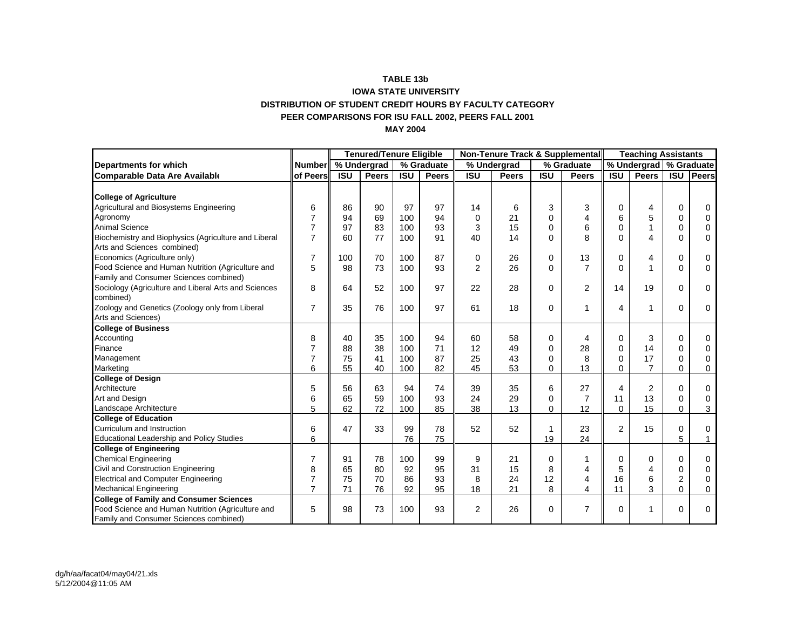#### **TABLE 13b IOWA STATE UNIVERSITY DISTRIBUTION OF STUDENT CREDIT HOURS BY FACULTY CATEGORYPEER COMPARISONS FOR ISU FALL 2002, PEERS FALL 2001 MAY 2004**

|                                                                                             |                | <b>Tenured/Tenure Eligible</b> |              |            | Non-Tenure Track & Supplemental |                |              |             |                | <b>Teaching Assistants</b> |                |                |             |
|---------------------------------------------------------------------------------------------|----------------|--------------------------------|--------------|------------|---------------------------------|----------------|--------------|-------------|----------------|----------------------------|----------------|----------------|-------------|
| <b>Departments for which</b>                                                                | <b>Number</b>  |                                | % Undergrad  |            | % Graduate                      |                | % Undergrad  |             | % Graduate     | % Undergrad   % Graduate   |                |                |             |
| <b>Comparable Data Are Available</b>                                                        | of Peers       | <b>ISU</b>                     | <b>Peers</b> | <b>ISU</b> | <b>Peers</b>                    | <b>ISU</b>     | <b>Peers</b> | <b>ISU</b>  | <b>Peers</b>   | <b>ISU</b>                 | <b>Peers</b>   | <b>ISU</b>     | Peers       |
|                                                                                             |                |                                |              |            |                                 |                |              |             |                |                            |                |                |             |
| <b>College of Agriculture</b>                                                               |                |                                |              |            |                                 |                |              |             |                |                            |                |                |             |
| Agricultural and Biosystems Engineering                                                     | 6              | 86                             | 90           | 97         | 97                              | 14             | 6            | 3           | 3              | 0                          | 4              | 0              | 0           |
| Agronomy                                                                                    | $\overline{7}$ | 94                             | 69           | 100        | 94                              | $\mathbf 0$    | 21           | $\Omega$    | 4              | 6                          | 5              | $\mathbf 0$    | $\Omega$    |
| <b>Animal Science</b>                                                                       | $\overline{7}$ | 97                             | 83           | 100        | 93                              | 3              | 15           | $\Omega$    | 6              | 0                          | 1              | $\mathbf 0$    | $\Omega$    |
| Biochemistry and Biophysics (Agriculture and Liberal<br>Arts and Sciences combined)         | $\overline{7}$ | 60                             | 77           | 100        | 91                              | 40             | 14           | $\Omega$    | 8              | 0                          | 4              | $\mathbf 0$    | 0           |
| Economics (Agriculture only)                                                                | $\overline{7}$ | 100                            | 70           | 100        | 87                              | 0              | 26           | 0           | 13             | 0                          | 4              | 0              | 0           |
| Food Science and Human Nutrition (Agriculture and<br>Family and Consumer Sciences combined) | 5              | 98                             | 73           | 100        | 93                              | $\overline{2}$ | 26           | $\Omega$    | $\overline{7}$ | 0                          | 1              | $\overline{0}$ | $\Omega$    |
| Sociology (Agriculture and Liberal Arts and Sciences<br>combined)                           | 8              | 64                             | 52           | 100        | 97                              | 22             | 28           | $\Omega$    | $\overline{2}$ | 14                         | 19             | $\mathbf 0$    | 0           |
| Zoology and Genetics (Zoology only from Liberal<br>Arts and Sciences)                       | $\overline{7}$ | 35                             | 76           | 100        | 97                              | 61             | 18           | $\Omega$    |                | 4                          | $\mathbf{1}$   | $\mathbf 0$    | 0           |
| <b>College of Business</b>                                                                  |                |                                |              |            |                                 |                |              |             |                |                            |                |                |             |
| Accounting                                                                                  | 8              | 40                             | 35           | 100        | 94                              | 60             | 58           | 0           | 4              | 0                          | 3              | $\mathbf 0$    | $\Omega$    |
| Finance                                                                                     | $\overline{7}$ | 88                             | 38           | 100        | 71                              | 12             | 49           | $\mathbf 0$ | 28             | 0                          | 14             | $\Omega$       | 0           |
| Management                                                                                  | $\overline{7}$ | 75                             | 41           | 100        | 87                              | 25             | 43           | 0           | 8              | 0                          | 17             | $\mathbf 0$    | 0           |
| Marketing                                                                                   | 6              | 55                             | 40           | 100        | 82                              | 45             | 53           | 0           | 13             | 0                          | $\overline{7}$ | $\Omega$       | 0           |
| <b>College of Design</b>                                                                    |                |                                |              |            |                                 |                |              |             |                |                            |                |                |             |
| Architecture                                                                                | 5              | 56                             | 63           | 94         | 74                              | 39             | 35           | 6           | 27             | 4                          | 2              | $\mathbf 0$    | $\mathbf 0$ |
| Art and Design                                                                              | 6              | 65                             | 59           | 100        | 93                              | 24             | 29           | $\mathbf 0$ | $\overline{7}$ | 11                         | 13             | $\mathbf 0$    | 0           |
| Landscape Architecture                                                                      | 5              | 62                             | 72           | 100        | 85                              | 38             | 13           | 0           | 12             | 0                          | 15             | $\Omega$       | 3           |
| <b>College of Education</b>                                                                 |                |                                |              |            |                                 |                |              |             |                |                            |                |                |             |
| Curriculum and Instruction                                                                  | 6              | 47                             | 33           | 99         | 78                              | 52             | 52           | 1           | 23             | $\overline{2}$             | 15             | $\mathbf 0$    | 0           |
| <b>Educational Leadership and Policy Studies</b>                                            | 6              |                                |              | 76         | 75                              |                |              | 19          | 24             |                            |                | 5              | 1           |
| <b>College of Engineering</b>                                                               |                |                                |              |            |                                 |                |              |             |                |                            |                |                |             |
| <b>Chemical Engineering</b>                                                                 | $\overline{7}$ | 91                             | 78           | 100        | 99                              | 9              | 21           | 0           |                | 0                          | $\Omega$       | $\mathbf 0$    | $\Omega$    |
| Civil and Construction Engineering                                                          | 8              | 65                             | 80           | 92         | 95                              | 31             | 15           | 8           | 4              | 5                          | 4              | $\mathbf 0$    | 0           |
| <b>Electrical and Computer Engineering</b>                                                  | $\overline{7}$ | 75                             | 70           | 86         | 93                              | 8              | 24           | 12          | 4              | 16                         | 6              | $\overline{c}$ | 0           |
| <b>Mechanical Engineering</b>                                                               | $\overline{7}$ | 71                             | 76           | 92         | 95                              | 18             | 21           | 8           | 4              | 11                         | 3              | $\Omega$       | 0           |
| <b>College of Family and Consumer Sciences</b>                                              |                |                                |              |            |                                 |                |              |             |                |                            |                |                |             |
| Food Science and Human Nutrition (Agriculture and<br>Family and Consumer Sciences combined) | 5              | 98                             | 73           | 100        | 93                              | $\overline{2}$ | 26           | $\mathbf 0$ | 7              | 0                          | 1              | $\mathbf 0$    | 0           |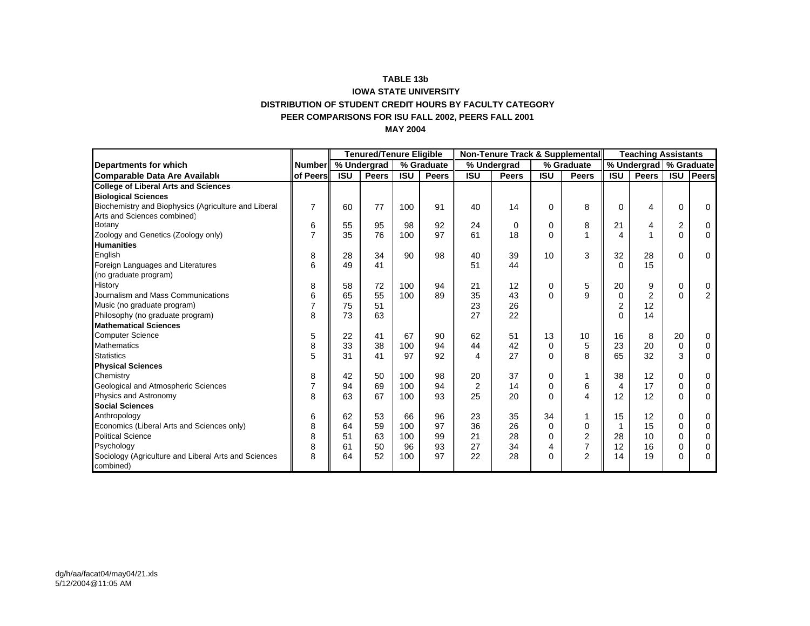#### **TABLE 13b IOWA STATE UNIVERSITY DISTRIBUTION OF STUDENT CREDIT HOURS BY FACULTY CATEGORYPEER COMPARISONS FOR ISU FALL 2002, PEERS FALL 2001 MAY 2004**

|                                                      |                | <b>Tenured/Tenure Eligible</b> |              |            | Non-Tenure Track & Supplemental |                |              |             |                | <b>Teaching Assistants</b> |                |                |                |
|------------------------------------------------------|----------------|--------------------------------|--------------|------------|---------------------------------|----------------|--------------|-------------|----------------|----------------------------|----------------|----------------|----------------|
| Departments for which                                | <b>Number</b>  |                                | % Undergrad  |            | % Graduate                      |                | % Undergrad  |             | % Graduate     | % Undergrad                |                | % Graduate     |                |
| <b>Comparable Data Are Available</b>                 | of Peers       | <b>ISU</b>                     | <b>Peers</b> | <b>ISU</b> | Peers                           | <b>ISU</b>     | <b>Peers</b> | <b>ISU</b>  | <b>Peers</b>   | <b>ISU</b>                 | <b>Peers</b>   | <b>ISU</b>     | Peers          |
| <b>College of Liberal Arts and Sciences</b>          |                |                                |              |            |                                 |                |              |             |                |                            |                |                |                |
| <b>Biological Sciences</b>                           |                |                                |              |            |                                 |                |              |             |                |                            |                |                |                |
| Biochemistry and Biophysics (Agriculture and Liberal | $\overline{7}$ | 60                             | 77           | 100        | 91                              | 40             | 14           | $\Omega$    | 8              | $\Omega$                   | 4              | 0              | $\mathbf 0$    |
| Arts and Sciences combined)                          |                |                                |              |            |                                 |                |              |             |                |                            |                |                |                |
| Botany                                               | 6              | 55                             | 95           | 98         | 92                              | 24             | $\mathbf 0$  | $\mathbf 0$ | 8              | 21                         | 4              | $\overline{2}$ | 0              |
| Zoology and Genetics (Zoology only)                  | 7              | 35                             | 76           | 100        | 97                              | 61             | 18           | $\Omega$    |                | 4                          |                | $\mathbf{0}$   | $\mathbf 0$    |
| <b>Humanities</b>                                    |                |                                |              |            |                                 |                |              |             |                |                            |                |                |                |
| English                                              | 8              | 28                             | 34           | 90         | 98                              | 40             | 39           | 10          | 3              | 32                         | 28             | 0              | $\mathbf 0$    |
| Foreign Languages and Literatures                    | 6              | 49                             | 41           |            |                                 | 51             | 44           |             |                | $\Omega$                   | 15             |                |                |
| (no graduate program)                                |                |                                |              |            |                                 |                |              |             |                |                            |                |                |                |
| History                                              | 8              | 58                             | 72           | 100        | 94                              | 21             | 12           | 0           | 5              | 20                         | 9              | 0              | 0              |
| Journalism and Mass Communications                   | 6              | 65                             | 55           | 100        | 89                              | 35             | 43           | $\Omega$    | 9              | $\Omega$                   | $\overline{2}$ | 0              | $\overline{2}$ |
| Music (no graduate program)                          | 7              | 75                             | 51           |            |                                 | 23             | 26           |             |                | 2                          | 12             |                |                |
| Philosophy (no graduate program)                     | 8              | 73                             | 63           |            |                                 | 27             | 22           |             |                | O                          | 14             |                |                |
| <b>Mathematical Sciences</b>                         |                |                                |              |            |                                 |                |              |             |                |                            |                |                |                |
| <b>Computer Science</b>                              | 5              | 22                             | 41           | 67         | 90                              | 62             | 51           | 13          | 10             | 16                         | 8              | 20             | 0              |
| Mathematics                                          | 8              | 33                             | 38           | 100        | 94                              | 44             | 42           | $\mathbf 0$ | 5              | 23                         | 20             | 0              | 0              |
| <b>Statistics</b>                                    | 5              | 31                             | 41           | 97         | 92                              | 4              | 27           | $\Omega$    | 8              | 65                         | 32             | 3              | 0              |
| <b>Physical Sciences</b>                             |                |                                |              |            |                                 |                |              |             |                |                            |                |                |                |
| Chemistry                                            | 8              | 42                             | 50           | 100        | 98                              | 20             | 37           | $\Omega$    |                | 38                         | 12             | 0              | 0              |
| Geological and Atmospheric Sciences                  | 7              | 94                             | 69           | 100        | 94                              | $\overline{2}$ | 14           | $\Omega$    | 6              | 4                          | 17             | 0              | 0              |
| Physics and Astronomy                                | 8              | 63                             | 67           | 100        | 93                              | 25             | 20           | $\Omega$    | 4              | 12                         | 12             | 0              | 0              |
| <b>Social Sciences</b>                               |                |                                |              |            |                                 |                |              |             |                |                            |                |                |                |
| Anthropology                                         | 6              | 62                             | 53           | 66         | 96                              | 23             | 35           | 34          | 1              | 15                         | 12             | 0              | $\mathbf 0$    |
| Economics (Liberal Arts and Sciences only)           | 8              | 64                             | 59           | 100        | 97                              | 36             | 26           | $\Omega$    | 0              |                            | 15             | 0              | $\Omega$       |
| <b>Political Science</b>                             | 8              | 51                             | 63           | 100        | 99                              | 21             | 28           | $\Omega$    | $\overline{2}$ | 28                         | 10             | 0              | 0              |
| Psychology                                           | 8              | 61                             | 50           | 96         | 93                              | 27             | 34           | 4           | $\overline{7}$ | 12                         | 16             | $\Omega$       | 0              |
| Sociology (Agriculture and Liberal Arts and Sciences | 8              | 64                             | 52           | 100        | 97                              | 22             | 28           | $\Omega$    | 2              | 14                         | 19             | 0              | $\Omega$       |
| combined)                                            |                |                                |              |            |                                 |                |              |             |                |                            |                |                |                |